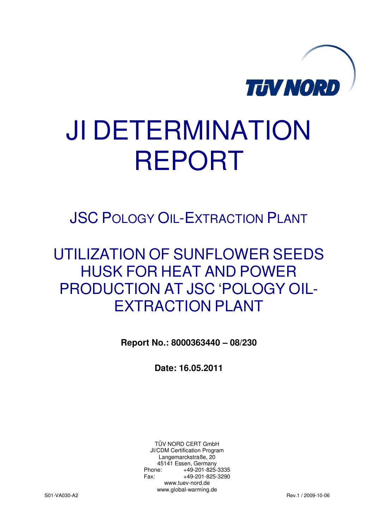

# JI DETERMINATION REPORT

JSC POLOGY OIL-EXTRACTION PLANT

## UTILIZATION OF SUNFLOWER SEEDS HUSK FOR HEAT AND POWER PRODUCTION AT JSC 'POLOGY OIL-EXTRACTION PLANT

**Report No.: 8000363440 – 08/230** 

**Date: 16.05.2011** 

TÜV NORD CERT GmbH JI/CDM Certification Program Langemarckstraße, 20 45141 Essen, Germany Phone: +49-201-825-3335 Fax: +49-201-825-3290 www.tuev-nord.de www.global-warming.de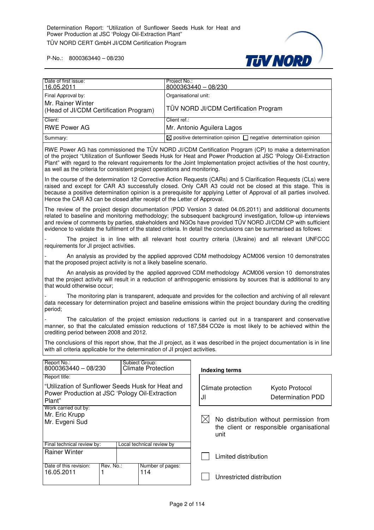

| Date of first issue:                                                              | Project No.:                                                                     |
|-----------------------------------------------------------------------------------|----------------------------------------------------------------------------------|
| 16.05.2011                                                                        | 8000363440 - 08/230                                                              |
| Final Approval by:<br>Mr. Rainer Winter<br>(Head of JI/CDM Certification Program) | Organisational unit:<br>TÜV NORD JI/CDM Certification Program                    |
| Client:                                                                           | Client ref.:                                                                     |
| <b>RWE Power AG</b>                                                               | Mr. Antonio Aguilera Lagos                                                       |
| Summary:                                                                          | $\boxtimes$ positive determination opinion $\Box$ negative determination opinion |

RWE Power AG has commissioned the TÜV NORD JI/CDM Certification Program (CP) to make a determination of the project "Utilization of Sunflower Seeds Husk for Heat and Power Production at JSC 'Pology Oil-Extraction Plant" with regard to the relevant requirements for the Joint Implementation project activities of the host country, as well as the criteria for consistent project operations and monitoring.

In the course of the determination 12 Corrective Action Requests (CARs) and 5 Clarification Requests (CLs) were raised and except for CAR A3 successfully closed. Only CAR A3 could not be closed at this stage. This is because a positive determination opinion is a prerequisite for applying Letter of Approval of all parties involved. Hence the CAR A3 can be closed after receipt of the Letter of Approval.

The review of the project design documentation (PDD Version 3 dated 04.05.2011) and additional documents related to baseline and monitoring methodology; the subsequent background investigation, follow-up interviews and review of comments by parties, stakeholders and NGOs have provided TÜV NORD JI/CDM CP with sufficient evidence to validate the fulfilment of the stated criteria. In detail the conclusions can be summarised as follows:

The project is in line with all relevant host country criteria (Ukraine) and all relevant UNFCCC requirements for JI project activities.

- An analysis as provided by the applied approved CDM methodology ACM006 version 10 demonstrates that the proposed project activity is not a likely baseline scenario.

 An analysis as provided by the applied approved CDM methodology ACM006 version 10 demonstrates that the project activity will result in a reduction of anthropogenic emissions by sources that is additional to any that would otherwise occur;

The monitoring plan is transparent, adequate and provides for the collection and archiving of all relevant data necessary for determination project and baseline emissions within the project boundary during the crediting period;

The calculation of the project emission reductions is carried out in a transparent and conservative manner, so that the calculated emission reductions of 187,584 CO2e is most likely to be achieved within the crediting period between 2008 and 2012.

The conclusions of this report show, that the JI project, as it was described in the project documentation is in line with all criteria applicable for the determination of JI project activities.

| Report No.:<br>8000363440 - 08/230                                                                            |  |  | Subject Group:<br><b>Climate Protection</b> |                      | <b>Indexing terms</b>                                                               |                                     |
|---------------------------------------------------------------------------------------------------------------|--|--|---------------------------------------------|----------------------|-------------------------------------------------------------------------------------|-------------------------------------|
| Report title:                                                                                                 |  |  |                                             |                      |                                                                                     |                                     |
| "Utilization of Sunflower Seeds Husk for Heat and<br>Power Production at JSC 'Pology Oil-Extraction<br>Plant" |  |  |                                             | JI                   | Climate protection                                                                  | Kyoto Protocol<br>Determination PDD |
| Work carried out by:<br>Mr. Eric Krupp<br>Mr. Evgeni Sud                                                      |  |  | IXI                                         | unit                 | No distribution without permission from<br>the client or responsible organisational |                                     |
| Final technical review by:                                                                                    |  |  | Local technical review by                   |                      |                                                                                     |                                     |
| <b>Rainer Winter</b>                                                                                          |  |  |                                             | Limited distribution |                                                                                     |                                     |
| Rev. No.:<br>Date of this revision:<br>16.05.2011                                                             |  |  | Number of pages:<br>114                     |                      | Unrestricted distribution                                                           |                                     |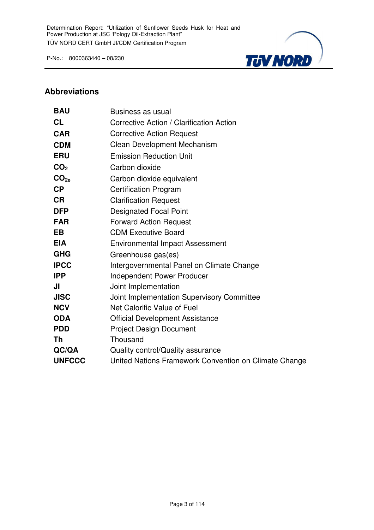

#### **Abbreviations**

| <b>BAU</b>       | Business as usual                                     |
|------------------|-------------------------------------------------------|
| CL               | Corrective Action / Clarification Action              |
| <b>CAR</b>       | <b>Corrective Action Request</b>                      |
| <b>CDM</b>       | <b>Clean Development Mechanism</b>                    |
| <b>ERU</b>       | <b>Emission Reduction Unit</b>                        |
| CO <sub>2</sub>  | Carbon dioxide                                        |
| CO <sub>2e</sub> | Carbon dioxide equivalent                             |
| CP               | <b>Certification Program</b>                          |
| <b>CR</b>        | <b>Clarification Request</b>                          |
| <b>DFP</b>       | <b>Designated Focal Point</b>                         |
| <b>FAR</b>       | <b>Forward Action Request</b>                         |
| <b>EB</b>        | <b>CDM Executive Board</b>                            |
| <b>EIA</b>       | <b>Environmental Impact Assessment</b>                |
| <b>GHG</b>       | Greenhouse gas(es)                                    |
| <b>IPCC</b>      | Intergovernmental Panel on Climate Change             |
| <b>IPP</b>       | <b>Independent Power Producer</b>                     |
| JI               | Joint Implementation                                  |
| <b>JISC</b>      | Joint Implementation Supervisory Committee            |
| <b>NCV</b>       | Net Calorific Value of Fuel                           |
| <b>ODA</b>       | <b>Official Development Assistance</b>                |
| <b>PDD</b>       | <b>Project Design Document</b>                        |
| Th               | Thousand                                              |
| QC/QA            | Quality control/Quality assurance                     |
| <b>UNFCCC</b>    | United Nations Framework Convention on Climate Change |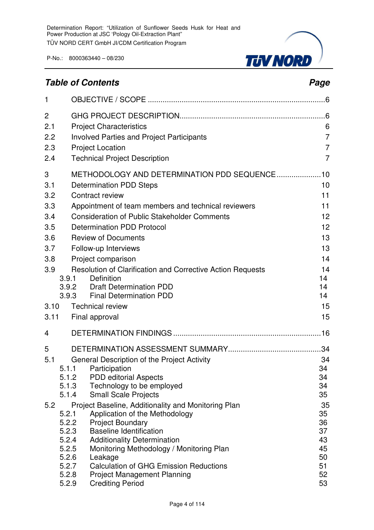### **Table of Contents Page 2014**

**TJV NORD** 

| $\mathbf{1}$ |                |                                                                                |                |
|--------------|----------------|--------------------------------------------------------------------------------|----------------|
| 2            |                |                                                                                |                |
| 2.1          |                | <b>Project Characteristics</b>                                                 | 6              |
| 2.2          |                | <b>Involved Parties and Project Participants</b>                               | $\overline{7}$ |
| 2.3          |                | <b>Project Location</b>                                                        | $\overline{7}$ |
| 2.4          |                | <b>Technical Project Description</b>                                           | $\overline{7}$ |
| 3            |                | METHODOLOGY AND DETERMINATION PDD SEQUENCE10                                   |                |
| 3.1          |                | <b>Determination PDD Steps</b>                                                 | 10             |
| 3.2          |                | Contract review                                                                | 11             |
| 3.3          |                | Appointment of team members and technical reviewers                            | 11             |
| 3.4          |                | <b>Consideration of Public Stakeholder Comments</b>                            | 12             |
| 3.5          |                | <b>Determination PDD Protocol</b>                                              | 12             |
| 3.6          |                | <b>Review of Documents</b>                                                     | 13             |
| 3.7          |                | Follow-up Interviews                                                           | 13             |
| 3.8          |                | Project comparison                                                             | 14             |
| 3.9          |                | Resolution of Clarification and Corrective Action Requests                     | 14             |
|              | 3.9.1          | Definition                                                                     | 14             |
|              | 3.9.2          | <b>Draft Determination PDD</b>                                                 | 14<br>14       |
|              | 3.9.3          | <b>Final Determination PDD</b>                                                 |                |
| 3.10         |                | <b>Technical review</b>                                                        | 15             |
| 3.11         |                | Final approval                                                                 | 15             |
| 4            |                |                                                                                |                |
| 5            |                |                                                                                |                |
| 5.1          |                | General Description of the Project Activity                                    | 34             |
|              | 5.1.1          | Participation                                                                  | 34             |
|              | 5.1.2<br>5.1.3 | <b>PDD editorial Aspects</b><br>Technology to be employed                      | 34<br>34       |
|              | 5.1.4          | <b>Small Scale Projects</b>                                                    | 35             |
| 5.2          |                | Project Baseline, Additionality and Monitoring Plan                            | 35             |
|              | 5.2.1          | Application of the Methodology                                                 | 35             |
|              | 5.2.2          | <b>Project Boundary</b>                                                        | 36             |
|              | 5.2.3          | <b>Baseline Identification</b>                                                 | 37             |
|              | 5.2.4<br>5.2.5 | <b>Additionality Determination</b><br>Monitoring Methodology / Monitoring Plan | 43<br>45       |
|              | 5.2.6          | Leakage                                                                        | 50             |
|              | 5.2.7          | <b>Calculation of GHG Emission Reductions</b>                                  | 51             |
|              | 5.2.8          | <b>Project Management Planning</b>                                             | 52             |
|              | 5.2.9          | <b>Crediting Period</b>                                                        | 53             |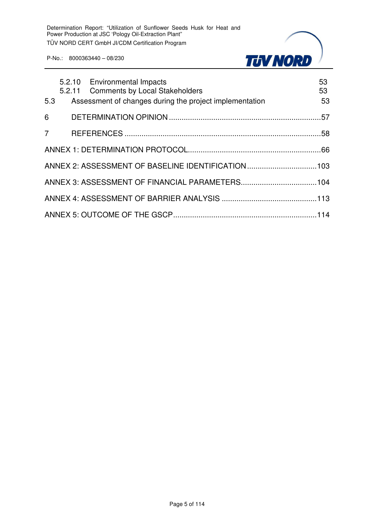

|     |  | 5.2.10 Environmental Impacts<br>5.2.11 Comments by Local Stakeholders | 53<br>53 |
|-----|--|-----------------------------------------------------------------------|----------|
| 5.3 |  | Assessment of changes during the project implementation               | 53       |
|     |  |                                                                       |          |
|     |  |                                                                       |          |
|     |  |                                                                       |          |
|     |  | ANNEX 2: ASSESSMENT OF BASELINE IDENTIFICATION 103                    |          |
|     |  |                                                                       |          |
|     |  |                                                                       |          |
|     |  |                                                                       |          |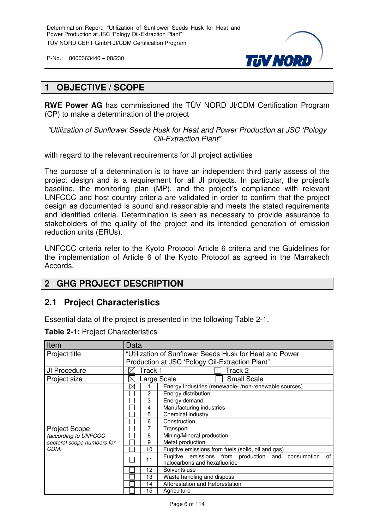

#### **1 OBJECTIVE / SCOPE**

**RWE Power AG** has commissioned the TÜV NORD JI/CDM Certification Program (CP) to make a determination of the project

"Utilization of Sunflower Seeds Husk for Heat and Power Production at JSC 'Pology Oil-Extraction Plant"

with regard to the relevant requirements for JI project activities

The purpose of a determination is to have an independent third party assess of the project design and is a requirement for all JI projects. In particular, the project's baseline, the monitoring plan (MP), and the project's compliance with relevant UNFCCC and host country criteria are validated in order to confirm that the project design as documented is sound and reasonable and meets the stated requirements and identified criteria. Determination is seen as necessary to provide assurance to stakeholders of the quality of the project and its intended generation of emission reduction units (ERUs).

UNFCCC criteria refer to the Kyoto Protocol Article 6 criteria and the Guidelines for the implementation of Article 6 of the Kyoto Protocol as agreed in the Marrakech Accords.

#### **2 GHG PROJECT DESCRIPTION**

#### **2.1 Project Characteristics**

Essential data of the project is presented in the following Table 2-1.

| Item                       | Data                                                    |         |                                                                                               |  |  |
|----------------------------|---------------------------------------------------------|---------|-----------------------------------------------------------------------------------------------|--|--|
| Project title              | "Utilization of Sunflower Seeds Husk for Heat and Power |         |                                                                                               |  |  |
|                            |                                                         |         | Production at JSC 'Pology Oil-Extraction Plant"                                               |  |  |
| JI Procedure               |                                                         | Track 1 | Track 2                                                                                       |  |  |
| Project size               | Х                                                       |         | <b>Small Scale</b><br>Large Scale                                                             |  |  |
|                            | $\boxtimes$                                             |         | Energy Industries (renewable-/non-renewable sources)                                          |  |  |
|                            |                                                         | 2       | Energy distribution                                                                           |  |  |
|                            |                                                         | 3       | Energy demand                                                                                 |  |  |
|                            |                                                         | 4       | Manufacturing industries                                                                      |  |  |
|                            |                                                         | 5       | Chemical industry                                                                             |  |  |
|                            |                                                         | 6       | Construction                                                                                  |  |  |
| <b>Project Scope</b>       |                                                         | 7       | Transport                                                                                     |  |  |
| (according to UNFCCC       |                                                         | 8       | Mining/Mineral production                                                                     |  |  |
| sectoral scope numbers for |                                                         | 9       | Metal production                                                                              |  |  |
| CDM)                       |                                                         | 10      | Fugitive emissions from fuels (solid, oil and gas)                                            |  |  |
|                            |                                                         | 11      | Fugitive emissions from production and<br>of l<br>consumption<br>halocarbons and hexafluoride |  |  |
|                            |                                                         | 12      | Solvents use                                                                                  |  |  |
|                            |                                                         | 13      | Waste handling and disposal                                                                   |  |  |
|                            |                                                         | 14      | Afforestation and Reforestation                                                               |  |  |
|                            |                                                         | 15      | Agriculture                                                                                   |  |  |

**Table 2-1:** Project Characteristics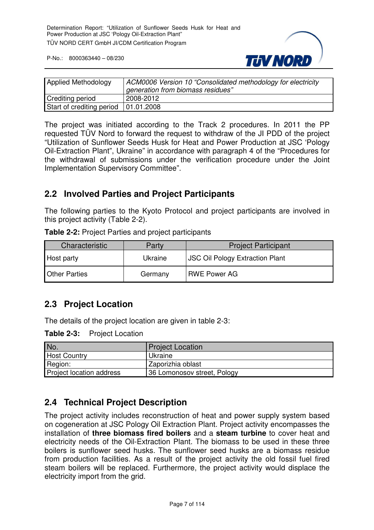

| <b>Applied Methodology</b>             | ACM0006 Version 10 "Consolidated methodology for electricity<br>generation from biomass residues" |
|----------------------------------------|---------------------------------------------------------------------------------------------------|
| <b>Crediting period</b>                | 2008-2012                                                                                         |
| Start of crediting period   01.01.2008 |                                                                                                   |

The project was initiated according to the Track 2 procedures. In 2011 the PP requested TÜV Nord to forward the request to withdraw of the JI PDD of the project "Utilization of Sunflower Seeds Husk for Heat and Power Production at JSC 'Pology Oil-Extraction Plant", Ukraine" in accordance with paragraph 4 of the "Procedures for the withdrawal of submissions under the verification procedure under the Joint Implementation Supervisory Committee".

#### **2.2 Involved Parties and Project Participants**

The following parties to the Kyoto Protocol and project participants are involved in this project activity (Table 2-2).

**Table 2-2:** Project Parties and project participants

| Characteristic       | Party   | <b>Project Participant</b>             |
|----------------------|---------|----------------------------------------|
| Host party           | Ukraine | <b>JSC Oil Pology Extraction Plant</b> |
| <b>Other Parties</b> | Germany | <b>RWE Power AG</b>                    |

#### **2.3 Project Location**

The details of the project location are given in table 2-3:

**Table 2-3:** Project Location

| No.                      | <b>Project Location</b>     |
|--------------------------|-----------------------------|
| <b>Host Country</b>      | Ukraine                     |
| Region:                  | Zaporizhia oblast           |
| Project location address | 36 Lomonosov street, Pology |

#### **2.4 Technical Project Description**

The project activity includes reconstruction of heat and power supply system based on cogeneration at JSC Pology Oil Extraction Plant. Project activity encompasses the installation of **three biomass fired boilers** and a **steam turbine** to cover heat and electricity needs of the Oil-Extraction Plant. The biomass to be used in these three boilers is sunflower seed husks. The sunflower seed husks are a biomass residue from production facilities. As a result of the project activity the old fossil fuel fired steam boilers will be replaced. Furthermore, the project activity would displace the electricity import from the grid.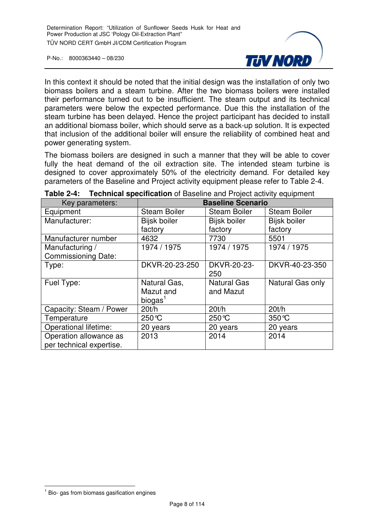

In this context it should be noted that the initial design was the installation of only two biomass boilers and a steam turbine. After the two biomass boilers were installed their performance turned out to be insufficient. The steam output and its technical parameters were below the expected performance. Due this the installation of the steam turbine has been delayed. Hence the project participant has decided to install an additional biomass boiler, which should serve as a back-up solution. It is expected that inclusion of the additional boiler will ensure the reliability of combined heat and power generating system.

The biomass boilers are designed in such a manner that they will be able to cover fully the heat demand of the oil extraction site. The intended steam turbine is designed to cover approximately 50% of the electricity demand. For detailed key parameters of the Baseline and Project activity equipment please refer to Table 2-4.

| Key parameters:            | <b>Baseline Scenario</b> |                     |                     |  |
|----------------------------|--------------------------|---------------------|---------------------|--|
| Equipment                  | <b>Steam Boiler</b>      | <b>Steam Boiler</b> | <b>Steam Boiler</b> |  |
| Manufacturer:              | Bijsk boiler             | Bijsk boiler        | <b>Bijsk boiler</b> |  |
|                            | factory                  | factory             | factory             |  |
| Manufacturer number        | 4632                     | 7730                | 5501                |  |
| Manufacturing /            | 1974 / 1975              | 1974 / 1975         | 1974 / 1975         |  |
| <b>Commissioning Date:</b> |                          |                     |                     |  |
| Type:                      | DKVR-20-23-250           | DKVR-20-23-         | DKVR-40-23-350      |  |
|                            |                          | 250                 |                     |  |
| Fuel Type:                 | Natural Gas,             | <b>Natural Gas</b>  | Natural Gas only    |  |
|                            | Mazut and                | and Mazut           |                     |  |
|                            | biogas <sup>1</sup>      |                     |                     |  |
| Capacity: Steam / Power    | 20t/h                    | 20t/h               | 20t/h               |  |
| Temperature                | 250 °C                   | 250 °C              | $350^{\circ}$ C     |  |
| Operational lifetime:      | 20 years                 | 20 years            | 20 years            |  |
| Operation allowance as     | 2013                     | 2014                | 2014                |  |
| per technical expertise.   |                          |                     |                     |  |

**Table 2-4: Technical specification** of Baseline and Project activity equipment

 $\overline{1}$ 

 $<sup>1</sup>$  Bio- gas from biomass gasification engines</sup>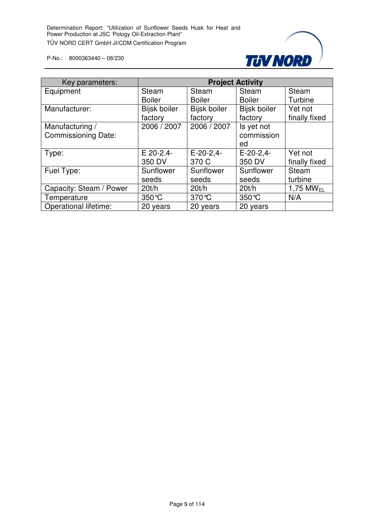

| Key parameters:              |               |               | <b>Project Activity</b> |                         |
|------------------------------|---------------|---------------|-------------------------|-------------------------|
| Equipment                    | Steam         | <b>Steam</b>  | <b>Steam</b>            | Steam                   |
|                              | <b>Boiler</b> | <b>Boiler</b> | <b>Boiler</b>           | Turbine                 |
| Manufacturer:                | Bijsk boiler  | Bijsk boiler  | <b>Bijsk boiler</b>     | Yet not                 |
|                              | factory       | factory       | factory                 | finally fixed           |
| Manufacturing /              | 2006 / 2007   | 2006 / 2007   | Is yet not              |                         |
| <b>Commissioning Date:</b>   |               |               | commission              |                         |
|                              |               |               | ed                      |                         |
| Type:                        | E 20-2.4-     | $E-20-2,4-$   | $E-20-2,4-$             | Yet not                 |
|                              | 350 DV        | 370 C         | 350 DV                  | finally fixed           |
| Fuel Type:                   | Sunflower     | Sunflower     | Sunflower               | <b>Steam</b>            |
|                              | seeds         | seeds         | seeds                   | turbine                 |
| Capacity: Steam / Power      | 20t/h         | 20t/h         | 20t/h                   | $1,75$ MW <sub>FL</sub> |
| Temperature                  | 350 °C        | 370 °C        | $350^{\circ}$ C         | N/A                     |
| <b>Operational lifetime:</b> | 20 years      | 20 years      | 20 years                |                         |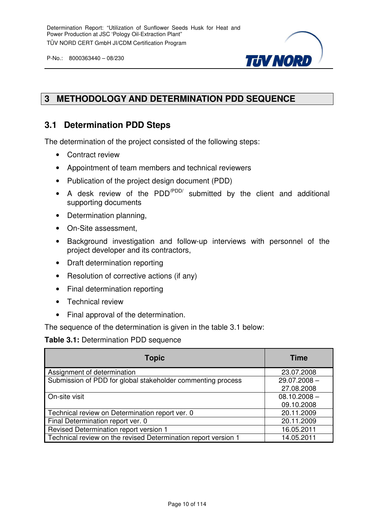

#### **3 METHODOLOGY AND DETERMINATION PDD SEQUENCE**

#### **3.1 Determination PDD Steps**

The determination of the project consisted of the following steps:

- Contract review
- Appointment of team members and technical reviewers
- Publication of the project design document (PDD)
- A desk review of the PDD<sup>/PDD/</sup> submitted by the client and additional supporting documents
- Determination planning,
- On-Site assessment,
- Background investigation and follow-up interviews with personnel of the project developer and its contractors,
- Draft determination reporting
- Resolution of corrective actions (if any)
- Final determination reporting
- Technical review
- Final approval of the determination.

The sequence of the determination is given in the table 3.1 below:

#### **Table 3.1:** Determination PDD sequence

| <b>Topic</b>                                                   | <b>Time</b>    |
|----------------------------------------------------------------|----------------|
| Assignment of determination                                    | 23.07.2008     |
| Submission of PDD for global stakeholder commenting process    | $29.07.2008 -$ |
|                                                                | 27.08.2008     |
| On-site visit                                                  | $08.10.2008 -$ |
|                                                                | 09.10.2008     |
| Technical review on Determination report ver. 0                | 20.11.2009     |
| Final Determination report ver. 0                              | 20.11.2009     |
| Revised Determination report version 1                         | 16.05.2011     |
| Technical review on the revised Determination report version 1 | 14.05.2011     |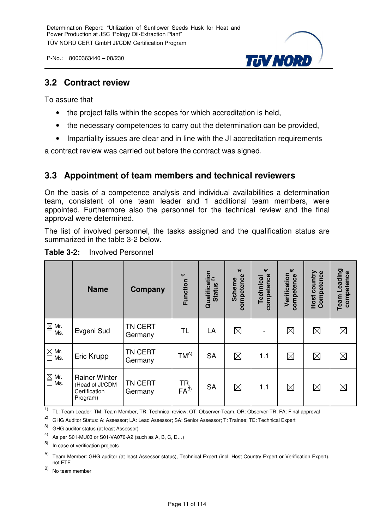

#### **3.2 Contract review**

To assure that

- the project falls within the scopes for which accreditation is held,
- the necessary competences to carry out the determination can be provided,
- Impartiality issues are clear and in line with the JI accreditation requirements

a contract review was carried out before the contract was signed.

#### **3.3 Appointment of team members and technical reviewers**

On the basis of a competence analysis and individual availabilities a determination team, consistent of one team leader and 1 additional team members, were appointed. Furthermore also the personnel for the technical review and the final approval were determined.

The list of involved personnel, the tasks assigned and the qualification status are summarized in the table 3-2 below.

|                                                        | <b>Name</b>                                                          | Company                   | $\widehat{\mathbf{r}}$<br><b>Function</b> | Qualification<br>Chatting 2)<br><b>Status</b> | $\widehat{\mathbf{c}}$<br>competence<br><b>Scheme</b> | $\hat{+}$<br>competence<br>Technical | ត<br>Verification<br>competence | Competence<br>Host country | Team Leading<br>competence |
|--------------------------------------------------------|----------------------------------------------------------------------|---------------------------|-------------------------------------------|-----------------------------------------------|-------------------------------------------------------|--------------------------------------|---------------------------------|----------------------------|----------------------------|
| $\boxtimes$ Mr.<br>$\Box$<br>Ms.                       | Evgeni Sud                                                           | <b>TN CERT</b><br>Germany | TL                                        | LA                                            | $\boxtimes$                                           |                                      | $\boxtimes$                     | $\boxtimes$                | $\boxtimes$                |
| $\overline{\square}$ Mr.<br>$\overline{\square}$ Ms.   | Eric Krupp                                                           | <b>TN CERT</b><br>Germany | $TM^{A)}$                                 | <b>SA</b>                                     | $\boxtimes$                                           | 1.1                                  | $\boxtimes$                     | $\boxtimes$                | $\boxtimes$                |
| $\overline{\text{M}}$ Mr.<br>$\overline{\text{M}}$ Ms. | <b>Rainer Winter</b><br>(Head of JI/CDM<br>Certification<br>Program) | <b>TN CERT</b><br>Germany | TR,<br>FA <sup>B)</sup>                   | <b>SA</b>                                     | $\boxtimes$                                           | 1.1                                  | $\boxtimes$                     | $\boxtimes$                | $\boxtimes$                |

#### **Table 3-2:** Involved Personnel

<sup>1)</sup> TL: Team Leader; TM: Team Member, TR: Technical review; OT: Observer-Team, OR: Observer-TR; FA: Final approval

2) GHG Auditor Status: A: Assessor; LA: Lead Assessor; SA: Senior Assessor; T: Trainee; TE: Technical Expert

3) GHG auditor status (at least Assessor)

4) As per S01-MU03 or S01-VA070-A2 (such as A, B, C, D...)

5) In case of verification projects

A) Team Member: GHG auditor (at least Assessor status), Technical Expert (incl. Host Country Expert or Verification Expert), not ETE

B) No team member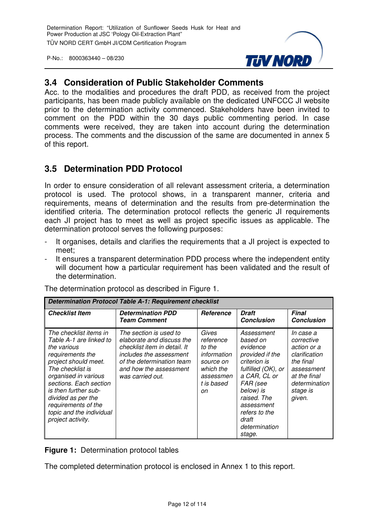

#### **3.4 Consideration of Public Stakeholder Comments**

Acc. to the modalities and procedures the draft PDD, as received from the project participants, has been made publicly available on the dedicated UNFCCC JI website prior to the determination activity commenced. Stakeholders have been invited to comment on the PDD within the 30 days public commenting period. In case comments were received, they are taken into account during the determination process. The comments and the discussion of the same are documented in annex 5 of this report.

#### **3.5 Determination PDD Protocol**

In order to ensure consideration of all relevant assessment criteria, a determination protocol is used. The protocol shows, in a transparent manner, criteria and requirements, means of determination and the results from pre-determination the identified criteria. The determination protocol reflects the generic JI requirements each JI project has to meet as well as project specific issues as applicable. The determination protocol serves the following purposes:

- It organises, details and clarifies the requirements that a JI project is expected to meet;
- It ensures a transparent determination PDD process where the independent entity will document how a particular requirement has been validated and the result of the determination.

| <b>Determination Protocol Table A-1: Requirement checklist</b>                                                                                                                                                                                                                                           |                                                                                                                                                                                           |                                                                                                        |                                                                                                                                                                                                                        |                                                                                                                                           |
|----------------------------------------------------------------------------------------------------------------------------------------------------------------------------------------------------------------------------------------------------------------------------------------------------------|-------------------------------------------------------------------------------------------------------------------------------------------------------------------------------------------|--------------------------------------------------------------------------------------------------------|------------------------------------------------------------------------------------------------------------------------------------------------------------------------------------------------------------------------|-------------------------------------------------------------------------------------------------------------------------------------------|
| <b>Checklist Item</b>                                                                                                                                                                                                                                                                                    | <b>Determination PDD</b><br><b>Team Comment</b>                                                                                                                                           | <b>Reference</b>                                                                                       | <b>Draft</b><br><b>Conclusion</b>                                                                                                                                                                                      | <b>Final</b><br><b>Conclusion</b>                                                                                                         |
| The checklist items in<br>Table A-1 are linked to<br>the various<br>requirements the<br>project should meet.<br>The checklist is<br>organised in various<br>sections. Each section<br>is then further sub-<br>divided as per the<br>requirements of the<br>topic and the individual<br>project activity. | The section is used to<br>elaborate and discuss the<br>checklist item in detail. It<br>includes the assessment<br>of the determination team<br>and how the assessment<br>was carried out. | Gives<br>reference<br>to the<br>information<br>source on<br>which the<br>assessmen<br>t is based<br>on | Assessment<br>based on<br>evidence<br>provided if the<br>criterion is<br>fulfilled (OK), or<br>a CAR, CL or<br>FAR (see<br>below) is<br>raised. The<br>assessment<br>refers to the<br>draft<br>determination<br>stage. | In case a<br>corrective<br>action or a<br>clarification<br>the final<br>assessment<br>at the final<br>determination<br>stage is<br>given. |

The determination protocol as described in Figure 1.

**Figure 1:** Determination protocol tables

The completed determination protocol is enclosed in Annex 1 to this report.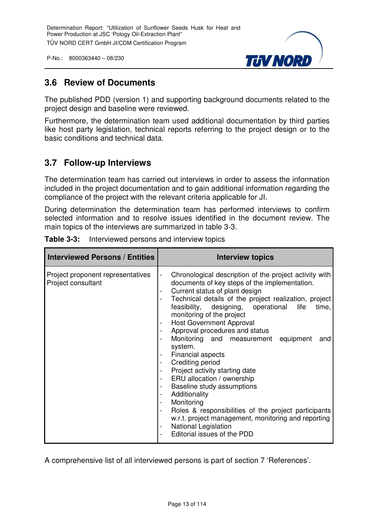

#### **3.6 Review of Documents**

The published PDD (version 1) and supporting background documents related to the project design and baseline were reviewed.

Furthermore, the determination team used additional documentation by third parties like host party legislation, technical reports referring to the project design or to the basic conditions and technical data.

#### **3.7 Follow-up Interviews**

The determination team has carried out interviews in order to assess the information included in the project documentation and to gain additional information regarding the compliance of the project with the relevant criteria applicable for JI.

During determination the determination team has performed interviews to confirm selected information and to resolve issues identified in the document review. The main topics of the interviews are summarized in table 3-3.

| <b>Interviewed Persons / Entities</b>                   | <b>Interview topics</b>                                                                                                                                                                                                                                                                                                                                                                                                                                                                                                                                                                                                                                                                                                                                                                                                                                                                                                                                                                                                                                                                                                                                         |
|---------------------------------------------------------|-----------------------------------------------------------------------------------------------------------------------------------------------------------------------------------------------------------------------------------------------------------------------------------------------------------------------------------------------------------------------------------------------------------------------------------------------------------------------------------------------------------------------------------------------------------------------------------------------------------------------------------------------------------------------------------------------------------------------------------------------------------------------------------------------------------------------------------------------------------------------------------------------------------------------------------------------------------------------------------------------------------------------------------------------------------------------------------------------------------------------------------------------------------------|
| Project proponent representatives<br>Project consultant | Chronological description of the project activity with<br>$\blacksquare$<br>documents of key steps of the implementation.<br>Current status of plant design<br>$\overline{\phantom{a}}$<br>Technical details of the project realization, project<br>$\blacksquare$<br>feasibility, designing, operational<br>life<br>time,<br>monitoring of the project<br><b>Host Government Approval</b><br>$\blacksquare$<br>Approval procedures and status<br>$\overline{\phantom{a}}$<br>Monitoring and measurement equipment<br>and<br>system.<br><b>Financial aspects</b><br>$\blacksquare$<br>Crediting period<br>$\overline{\phantom{a}}$<br>Project activity starting date<br>$\overline{\phantom{a}}$<br>ERU allocation / ownership<br>$\overline{\phantom{a}}$<br>Baseline study assumptions<br>$\overline{\phantom{a}}$<br>Additionality<br>$\blacksquare$<br>Monitoring<br>$\qquad \qquad \blacksquare$<br>Roles & responsibilities of the project participants<br>$\overline{\phantom{a}}$<br>w.r.t. project management, monitoring and reporting<br>National Legislation<br>$\overline{\phantom{a}}$<br>Editorial issues of the PDD<br>$\overline{\phantom{0}}$ |

|  | <b>Table 3-3:</b> Interviewed persons and interview topics |
|--|------------------------------------------------------------|
|--|------------------------------------------------------------|

A comprehensive list of all interviewed persons is part of section 7 'References'.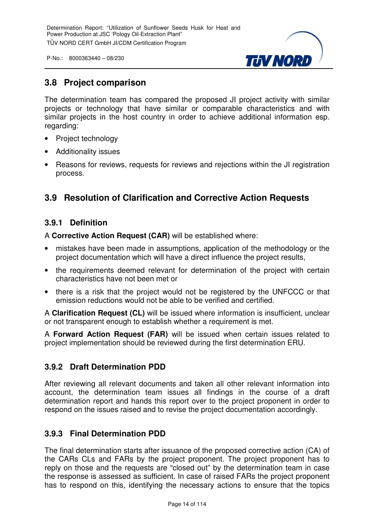

#### **3.8 Project comparison**

The determination team has compared the proposed JI project activity with similar projects or technology that have similar or comparable characteristics and with similar projects in the host country in order to achieve additional information esp. regarding:

- Project technology
- Additionality issues
- Reasons for reviews, requests for reviews and rejections within the JI registration process.

#### **3.9 Resolution of Clarification and Corrective Action Requests**

#### **3.9.1 Definition**

A **Corrective Action Request (CAR)** will be established where:

- mistakes have been made in assumptions, application of the methodology or the project documentation which will have a direct influence the project results,
- the requirements deemed relevant for determination of the project with certain characteristics have not been met or
- there is a risk that the project would not be registered by the UNFCCC or that emission reductions would not be able to be verified and certified.

A **Clarification Request (CL)** will be issued where information is insufficient, unclear or not transparent enough to establish whether a requirement is met.

A **Forward Action Request (FAR)** will be issued when certain issues related to project implementation should be reviewed during the first determination ERU.

#### **3.9.2 Draft Determination PDD**

After reviewing all relevant documents and taken all other relevant information into account, the determination team issues all findings in the course of a draft determination report and hands this report over to the project proponent in order to respond on the issues raised and to revise the project documentation accordingly.

#### **3.9.3 Final Determination PDD**

The final determination starts after issuance of the proposed corrective action (CA) of the CARs CLs and FARs by the project proponent. The project proponent has to reply on those and the requests are "closed out" by the determination team in case the response is assessed as sufficient. In case of raised FARs the project proponent has to respond on this, identifying the necessary actions to ensure that the topics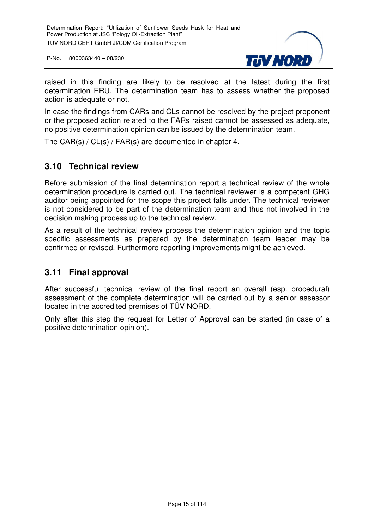

raised in this finding are likely to be resolved at the latest during the first determination ERU. The determination team has to assess whether the proposed action is adequate or not.

In case the findings from CARs and CLs cannot be resolved by the project proponent or the proposed action related to the FARs raised cannot be assessed as adequate, no positive determination opinion can be issued by the determination team.

The CAR(s) / CL(s) / FAR(s) are documented in chapter 4.

#### **3.10 Technical review**

Before submission of the final determination report a technical review of the whole determination procedure is carried out. The technical reviewer is a competent GHG auditor being appointed for the scope this project falls under. The technical reviewer is not considered to be part of the determination team and thus not involved in the decision making process up to the technical review.

As a result of the technical review process the determination opinion and the topic specific assessments as prepared by the determination team leader may be confirmed or revised. Furthermore reporting improvements might be achieved.

#### **3.11 Final approval**

After successful technical review of the final report an overall (esp. procedural) assessment of the complete determination will be carried out by a senior assessor located in the accredited premises of TÜV NORD.

Only after this step the request for Letter of Approval can be started (in case of a positive determination opinion).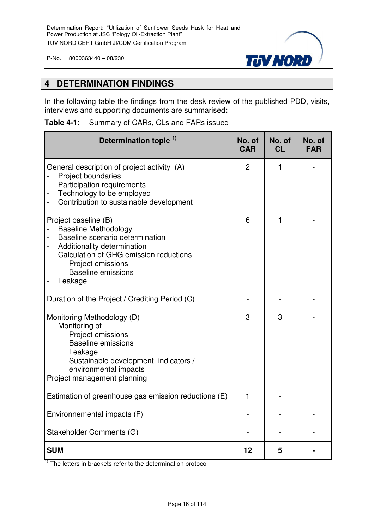

#### **4 DETERMINATION FINDINGS**

In the following table the findings from the desk review of the published PDD, visits, interviews and supporting documents are summarised**:**

|  |  |  | Table 4-1: Summary of CARs, CLs and FARs issued |
|--|--|--|-------------------------------------------------|
|--|--|--|-------------------------------------------------|

| Determination topic <sup>1)</sup>                                                                                                                                                                                     | No. of<br><b>CAR</b> | No. of<br><b>CL</b> | No. of<br><b>FAR</b> |
|-----------------------------------------------------------------------------------------------------------------------------------------------------------------------------------------------------------------------|----------------------|---------------------|----------------------|
| General description of project activity (A)<br><b>Project boundaries</b><br><b>Participation requirements</b><br>Technology to be employed<br>Contribution to sustainable development                                 | $\overline{2}$       | 1                   |                      |
| Project baseline (B)<br><b>Baseline Methodology</b><br>Baseline scenario determination<br>Additionality determination<br>Calculation of GHG emission reductions<br>Project emissions<br>Baseline emissions<br>Leakage | 6                    | 1                   |                      |
| Duration of the Project / Crediting Period (C)                                                                                                                                                                        |                      |                     |                      |
| Monitoring Methodology (D)<br>Monitoring of<br>Project emissions<br><b>Baseline emissions</b><br>Leakage<br>Sustainable development indicators /<br>environmental impacts<br>Project management planning              |                      | 3                   |                      |
| Estimation of greenhouse gas emission reductions (E)                                                                                                                                                                  | 1                    |                     |                      |
| Environnemental impacts (F)                                                                                                                                                                                           |                      |                     |                      |
| Stakeholder Comments (G)                                                                                                                                                                                              |                      |                     |                      |
| <b>SUM</b>                                                                                                                                                                                                            | 12                   | 5                   |                      |

 $1)$  The letters in brackets refer to the determination protocol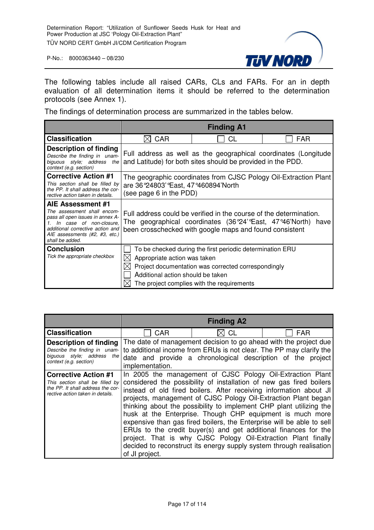

The following tables include all raised CARs, CLs and FARs. For an in depth evaluation of all determination items it should be referred to the determination protocols (see Annex 1).

The findings of determination process are summarized in the tables below.

|                                                                                                                                                                                                          | <b>Finding A1</b>                                                                                                                   |                                                                                                                                                                                          |      |  |
|----------------------------------------------------------------------------------------------------------------------------------------------------------------------------------------------------------|-------------------------------------------------------------------------------------------------------------------------------------|------------------------------------------------------------------------------------------------------------------------------------------------------------------------------------------|------|--|
| <b>Classification</b>                                                                                                                                                                                    | <b>CAR</b>                                                                                                                          | CL                                                                                                                                                                                       | FAR  |  |
| Description of finding<br>Describe the finding in unam-<br>biguous style; address<br>the<br>context (e.g. section)                                                                                       |                                                                                                                                     | Full address as well as the geographical coordinates (Longitude<br>and Latitude) for both sites should be provided in the PDD.                                                           |      |  |
| <b>Corrective Action #1</b><br>This section shall be filled by<br>the PP. It shall address the cor-<br>rective action taken in details.                                                                  | The geographic coordinates from CJSC Pology Oil-Extraction Plant<br>are 36°24803' East, 47°460894' North<br>(see page 6 in the PDD) |                                                                                                                                                                                          |      |  |
| AIE Assessment #1<br>The assessment shall encom-<br>pass all open issues in annex A-<br>In case of non-closure,<br>additional corrective action and<br>AIE assessments (#2, #3, etc.)<br>shall be added. |                                                                                                                                     | Full address could be verified in the course of the determination.<br>The geographical coordinates (36°24'°East, 47°46'North)<br>been crosschecked with google maps and found consistent | have |  |
| <b>Conclusion</b><br>Tick the appropriate checkbox                                                                                                                                                       | Appropriate action was taken<br>Additional action should be taken                                                                   | To be checked during the first periodic determination ERU<br>Project documentation was corrected correspondingly<br>The project complies with the requirements                           |      |  |

|                                                                                                                                         |                                                                                                                                                                                                                                  | <b>Finding A2</b>                                                                                                                                                                                                                                                                                                                                                                                                                                                                   |                                                                                                                                                                                                            |
|-----------------------------------------------------------------------------------------------------------------------------------------|----------------------------------------------------------------------------------------------------------------------------------------------------------------------------------------------------------------------------------|-------------------------------------------------------------------------------------------------------------------------------------------------------------------------------------------------------------------------------------------------------------------------------------------------------------------------------------------------------------------------------------------------------------------------------------------------------------------------------------|------------------------------------------------------------------------------------------------------------------------------------------------------------------------------------------------------------|
| <b>Classification</b>                                                                                                                   | <b>CAR</b>                                                                                                                                                                                                                       | CL                                                                                                                                                                                                                                                                                                                                                                                                                                                                                  | <b>FAR</b>                                                                                                                                                                                                 |
| Description of finding<br>Describe the finding in unam-<br>biguous style; address<br>context (e.g. section)                             | The date of management decision to go ahead with the project due<br>to additional income from ERUs is not clear. The PP may clarify the<br>the<br>date and provide a chronological description of the project<br>implementation. |                                                                                                                                                                                                                                                                                                                                                                                                                                                                                     |                                                                                                                                                                                                            |
| <b>Corrective Action #1</b><br>This section shall be filled by<br>the PP. It shall address the cor-<br>rective action taken in details. | of JI project.                                                                                                                                                                                                                   | considered the possibility of installation of new gas fired boilers<br>instead of old fired boilers. After receiving information about JI<br>projects, management of CJSC Pology Oil-Extraction Plant began<br>husk at the Enterprise. Though CHP equipment is much more<br>ERUs to the credit buyer(s) and get additional finances for the<br>project. That is why CJSC Pology Oil-Extraction Plant finally<br>decided to reconstruct its energy supply system through realisation | In 2005 the management of CJSC Pology Oil-Extraction Plant<br>thinking about the possibility to implement CHP plant utilizing the<br>expensive than gas fired boilers, the Enterprise will be able to sell |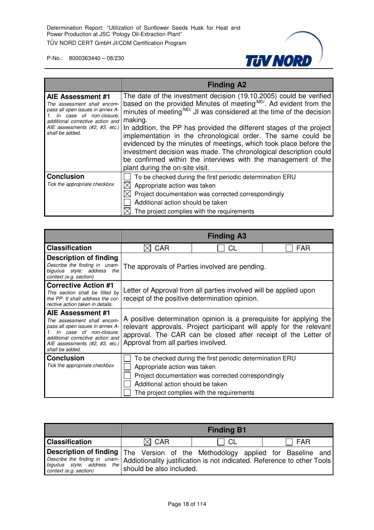

|                                                                                                                                                                                                             | <b>Finding A2</b>                                                                                                                                                                                                                                                                                                                                                                                                                                                                                                                                                                                                                        |
|-------------------------------------------------------------------------------------------------------------------------------------------------------------------------------------------------------------|------------------------------------------------------------------------------------------------------------------------------------------------------------------------------------------------------------------------------------------------------------------------------------------------------------------------------------------------------------------------------------------------------------------------------------------------------------------------------------------------------------------------------------------------------------------------------------------------------------------------------------------|
| AIE Assessment #1<br>The assessment shall encom-<br>pass all open issues in annex A-<br>1. In case of non-closure,<br>additional corrective action and<br>AIE assessments (#2, #3, etc.)<br>shall be added. | The date of the investment decision (19.10.2005) could be verified<br>based on the provided Minutes of meeting <sup>MD/</sup> . Ad evident from the<br>minutes of meeting <sup>MD</sup> / JI was considered at the time of the decision<br>making.<br>In addition, the PP has provided the different stages of the project<br>implementation in the chronological order. The same could be<br>evidenced by the minutes of meetings, which took place before the<br>investment decision was made. The chronological description could<br>be confirmed within the interviews with the management of the<br>plant during the on-site visit. |
| <b>Conclusion</b><br>Tick the appropriate checkbox                                                                                                                                                          | To be checked during the first periodic determination ERU<br>Appropriate action was taken                                                                                                                                                                                                                                                                                                                                                                                                                                                                                                                                                |
|                                                                                                                                                                                                             | Project documentation was corrected correspondingly<br>Additional action should be taken<br>The project complies with the requirements                                                                                                                                                                                                                                                                                                                                                                                                                                                                                                   |

|                                                                                                                                                                                                          |                                                                                                                     | <b>Finding A3</b>                                                                                                                                                                                            |     |  |
|----------------------------------------------------------------------------------------------------------------------------------------------------------------------------------------------------------|---------------------------------------------------------------------------------------------------------------------|--------------------------------------------------------------------------------------------------------------------------------------------------------------------------------------------------------------|-----|--|
| <b>Classification</b>                                                                                                                                                                                    | CAR                                                                                                                 | СL                                                                                                                                                                                                           | FAR |  |
| Description of finding<br>Describe the finding in unam-<br>biguous style; address<br>the<br>context (e.g. section)                                                                                       | The approvals of Parties involved are pending.                                                                      |                                                                                                                                                                                                              |     |  |
| <b>Corrective Action #1</b><br>This section shall be filled by<br>the PP. It shall address the cor-<br>rective action taken in details.                                                                  | Letter of Approval from all parties involved will be applied upon<br>receipt of the positive determination opinion. |                                                                                                                                                                                                              |     |  |
| AIE Assessment #1<br>The assessment shall encom-<br>pass all open issues in annex A-<br>In case of non-closure,<br>additional corrective action and<br>AIE assessments (#2, #3, etc.)<br>shall be added. | Approval from all parties involved.                                                                                 | A positive determination opinion is a prerequisite for applying the<br>relevant approvals. Project participant will apply for the relevant<br>approval. The CAR can be closed after receipt of the Letter of |     |  |
| <b>Conclusion</b><br>Tick the appropriate checkbox                                                                                                                                                       | Appropriate action was taken<br>Additional action should be taken                                                   | To be checked during the first periodic determination ERU<br>Project documentation was corrected correspondingly<br>The project complies with the requirements                                               |     |  |

|                                                                                                                                                                                                                                                | <b>Finding B1</b> |      |              |
|------------------------------------------------------------------------------------------------------------------------------------------------------------------------------------------------------------------------------------------------|-------------------|------|--------------|
| <b>Classification</b>                                                                                                                                                                                                                          | $\boxtimes$ CAR   | - CL | $\sqcap$ FAR |
| Description of finding The Version of the Methodology applied for Baseline and<br>Describe the finding in unam- Addiotionality justification is not indicated. Reference to other Tools<br>biguous style; address the should be also included. |                   |      |              |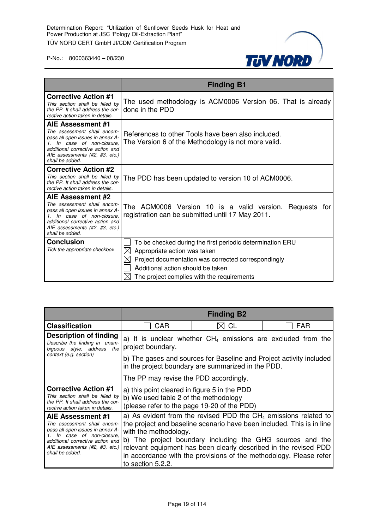

|                                                                                                                                                                                                             | <b>Finding B1</b>                                                                                                                                                                                                                        |
|-------------------------------------------------------------------------------------------------------------------------------------------------------------------------------------------------------------|------------------------------------------------------------------------------------------------------------------------------------------------------------------------------------------------------------------------------------------|
| <b>Corrective Action #1</b><br>This section shall be filled by<br>the PP. It shall address the cor-<br>rective action taken in details.                                                                     | The used methodology is ACM0006 Version 06. That is already<br>done in the PDD                                                                                                                                                           |
| AIE Assessment #1<br>The assessment shall encom-<br>pass all open issues in annex A-<br>1. In case of non-closure.<br>additional corrective action and<br>AIE assessments (#2, #3, etc.)<br>shall be added. | References to other Tools have been also included.<br>The Version 6 of the Methodology is not more valid.                                                                                                                                |
| <b>Corrective Action #2</b><br>This section shall be filled by<br>the PP. It shall address the cor-<br>rective action taken in details.                                                                     | The PDD has been updated to version 10 of ACM0006.                                                                                                                                                                                       |
| AIE Assessment #2<br>The assessment shall encom-<br>pass all open issues in annex A-<br>1. In case of non-closure,<br>additional corrective action and<br>AIE assessments (#2, #3, etc.)<br>shall be added. | The ACM0006 Version 10 is a valid version. Requests for<br>registration can be submitted until 17 May 2011.                                                                                                                              |
| <b>Conclusion</b><br>Tick the appropriate checkbox                                                                                                                                                          | To be checked during the first periodic determination ERU<br>⊠<br>Appropriate action was taken<br>Project documentation was corrected correspondingly<br>Additional action should be taken<br>The project complies with the requirements |

|                                                                                                                                                                                                                             |                                                                                                                                      | <b>Finding B2</b>                                                                                                                                                                                                                                                                                                                                 |            |
|-----------------------------------------------------------------------------------------------------------------------------------------------------------------------------------------------------------------------------|--------------------------------------------------------------------------------------------------------------------------------------|---------------------------------------------------------------------------------------------------------------------------------------------------------------------------------------------------------------------------------------------------------------------------------------------------------------------------------------------------|------------|
| <b>Classification</b>                                                                                                                                                                                                       | <b>CAR</b>                                                                                                                           | CL                                                                                                                                                                                                                                                                                                                                                | <b>FAR</b> |
| Description of finding<br>Describe the finding in unam-<br>biguous style; address the                                                                                                                                       | a) It is unclear whether $CH_4$ emissions are excluded from the<br>project boundary.                                                 |                                                                                                                                                                                                                                                                                                                                                   |            |
| context (e.g. section)                                                                                                                                                                                                      | b) The gases and sources for Baseline and Project activity included<br>in the project boundary are summarized in the PDD.            |                                                                                                                                                                                                                                                                                                                                                   |            |
|                                                                                                                                                                                                                             | The PP may revise the PDD accordingly.                                                                                               |                                                                                                                                                                                                                                                                                                                                                   |            |
| <b>Corrective Action #1</b><br>This section shall be filled by<br>the PP. It shall address the cor-<br>rective action taken in details.                                                                                     | a) this point cleared in figure 5 in the PDD<br>b) We used table 2 of the methodology<br>(please refer to the page 19-20 of the PDD) |                                                                                                                                                                                                                                                                                                                                                   |            |
| AIE Assessment #1<br>The assessment shall encom-<br>pass all open issues in annex A-<br>In case of non-closure,<br>$\mathcal{I}$ .<br>additional corrective action and<br>AIE assessments (#2, #3, etc.)<br>shall be added. | with the methodology.<br>to section 5.2.2.                                                                                           | a) As evident from the revised PDD the $CH4$ emissions related to<br>the project and baseline scenario have been included. This is in line<br>b) The project boundary including the GHG sources and the<br>relevant equipment has been clearly described in the revised PDD<br>in accordance with the provisions of the methodology. Please refer |            |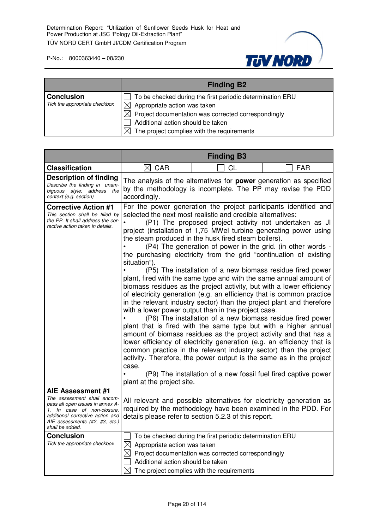

|                                                    | <b>Finding B2</b>                                                                                                                                                                                                                                      |
|----------------------------------------------------|--------------------------------------------------------------------------------------------------------------------------------------------------------------------------------------------------------------------------------------------------------|
| <b>Conclusion</b><br>Tick the appropriate checkbox | To be checked during the first periodic determination ERU<br>Appropriate action was taken<br>$\boxtimes$ Project documentation was corrected correspondingly<br>Additional action should be taken<br>The project complies with the requirements<br>IXI |

|                                                                                                                                                                                                             |                                                                                                                                                                                                                                                                                                                                                                                                                                                                                                                                                                                                                                                                                                                                                                                                                                                                                                                                                                                                                                                                                                                                                                                                                                                                                                                                         | <b>Finding B3</b>                                                                                                                                                                               |            |
|-------------------------------------------------------------------------------------------------------------------------------------------------------------------------------------------------------------|-----------------------------------------------------------------------------------------------------------------------------------------------------------------------------------------------------------------------------------------------------------------------------------------------------------------------------------------------------------------------------------------------------------------------------------------------------------------------------------------------------------------------------------------------------------------------------------------------------------------------------------------------------------------------------------------------------------------------------------------------------------------------------------------------------------------------------------------------------------------------------------------------------------------------------------------------------------------------------------------------------------------------------------------------------------------------------------------------------------------------------------------------------------------------------------------------------------------------------------------------------------------------------------------------------------------------------------------|-------------------------------------------------------------------------------------------------------------------------------------------------------------------------------------------------|------------|
| <b>Classification</b>                                                                                                                                                                                       | $\boxtimes$<br><b>CAR</b>                                                                                                                                                                                                                                                                                                                                                                                                                                                                                                                                                                                                                                                                                                                                                                                                                                                                                                                                                                                                                                                                                                                                                                                                                                                                                                               | СL                                                                                                                                                                                              | <b>FAR</b> |
| <b>Description of finding</b><br>Describe the finding in unam-<br>biguous style; address the<br>context (e.g. section)                                                                                      | The analysis of the alternatives for <b>power</b> generation as specified<br>by the methodology is incomplete. The PP may revise the PDD<br>accordingly.                                                                                                                                                                                                                                                                                                                                                                                                                                                                                                                                                                                                                                                                                                                                                                                                                                                                                                                                                                                                                                                                                                                                                                                |                                                                                                                                                                                                 |            |
| <b>Corrective Action #1</b><br>This section shall be filled by<br>the PP. It shall address the cor-<br>rective action taken in details.                                                                     | For the power generation the project participants identified and<br>selected the next most realistic and credible alternatives:<br>(P1) The proposed project activity not undertaken as JI<br>project (installation of 1,75 MWel turbine generating power using<br>the steam produced in the husk fired steam boilers).<br>(P4) The generation of power in the grid. (in other words -<br>the purchasing electricity from the grid "continuation of existing<br>situation").<br>(P5) The installation of a new biomass residue fired power<br>plant, fired with the same type and with the same annual amount of<br>biomass residues as the project activity, but with a lower efficiency<br>of electricity generation (e.g. an efficiency that is common practice<br>in the relevant industry sector) than the project plant and therefore<br>with a lower power output than in the project case.<br>(P6) The installation of a new biomass residue fired power<br>plant that is fired with the same type but with a higher annual<br>amount of biomass residues as the project activity and that has a<br>lower efficiency of electricity generation (e.g. an efficiency that is<br>common practice in the relevant industry sector) than the project<br>activity. Therefore, the power output is the same as in the project<br>case. |                                                                                                                                                                                                 |            |
|                                                                                                                                                                                                             | plant at the project site.                                                                                                                                                                                                                                                                                                                                                                                                                                                                                                                                                                                                                                                                                                                                                                                                                                                                                                                                                                                                                                                                                                                                                                                                                                                                                                              | (P9) The installation of a new fossil fuel fired captive power                                                                                                                                  |            |
| AIE Assessment #1<br>The assessment shall encom-<br>pass all open issues in annex A-<br>1. In case of non-closure.<br>additional corrective action and<br>AIE assessments (#2, #3, etc.)<br>shall be added. |                                                                                                                                                                                                                                                                                                                                                                                                                                                                                                                                                                                                                                                                                                                                                                                                                                                                                                                                                                                                                                                                                                                                                                                                                                                                                                                                         | All relevant and possible alternatives for electricity generation as<br>required by the methodology have been examined in the PDD. For<br>details please refer to section 5.2.3 of this report. |            |
| <b>Conclusion</b><br>Tick the appropriate checkbox                                                                                                                                                          | $\bowtie$<br>Appropriate action was taken<br>Additional action should be taken<br>$\times$                                                                                                                                                                                                                                                                                                                                                                                                                                                                                                                                                                                                                                                                                                                                                                                                                                                                                                                                                                                                                                                                                                                                                                                                                                              | To be checked during the first periodic determination ERU<br>$\boxtimes$ Project documentation was corrected correspondingly<br>The project complies with the requirements                      |            |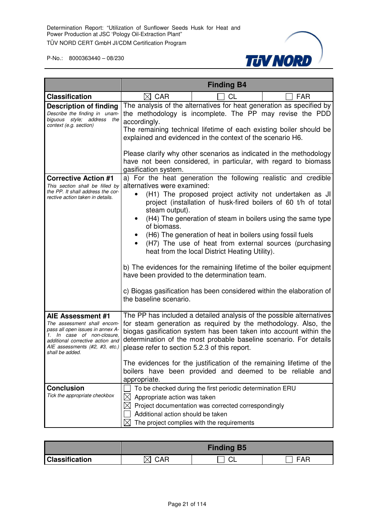

|                                                                                                                                                                                                             | <b>Finding B4</b>                                                                                                                                                                                                                                                                                                                                                                                                                                                                                                                                                                                                                                                                                                              |  |  |
|-------------------------------------------------------------------------------------------------------------------------------------------------------------------------------------------------------------|--------------------------------------------------------------------------------------------------------------------------------------------------------------------------------------------------------------------------------------------------------------------------------------------------------------------------------------------------------------------------------------------------------------------------------------------------------------------------------------------------------------------------------------------------------------------------------------------------------------------------------------------------------------------------------------------------------------------------------|--|--|
| <b>Classification</b>                                                                                                                                                                                       | $\boxtimes$ CAR<br>CL<br><b>FAR</b>                                                                                                                                                                                                                                                                                                                                                                                                                                                                                                                                                                                                                                                                                            |  |  |
| <b>Description of finding</b><br>Describe the finding in unam-<br>biguous style; address the<br>context (e.g. section)                                                                                      | The analysis of the alternatives for heat generation as specified by<br>the methodology is incomplete. The PP may revise the PDD<br>accordingly.<br>The remaining technical lifetime of each existing boiler should be<br>explained and evidenced in the context of the scenario H6.<br>Please clarify why other scenarios as indicated in the methodology                                                                                                                                                                                                                                                                                                                                                                     |  |  |
|                                                                                                                                                                                                             | have not been considered, in particular, with regard to biomass<br>gasification system.                                                                                                                                                                                                                                                                                                                                                                                                                                                                                                                                                                                                                                        |  |  |
| <b>Corrective Action #1</b><br>This section shall be filled by<br>the PP. It shall address the cor-<br>rective action taken in details.                                                                     | a) For the heat generation the following realistic and credible<br>alternatives were examined:<br>(H1) The proposed project activity not undertaken as JI<br>project (installation of husk-fired boilers of 60 t/h of total<br>steam output).<br>(H4) The generation of steam in boilers using the same type<br>of biomass.<br>(H6) The generation of heat in boilers using fossil fuels<br>(H7) The use of heat from external sources (purchasing<br>heat from the local District Heating Utility).<br>b) The evidences for the remaining lifetime of the boiler equipment<br>have been provided to the determination team.<br>c) Biogas gasification has been considered within the elaboration of<br>the baseline scenario. |  |  |
| AIE Assessment #1<br>The assessment shall encom-<br>pass all open issues in annex A-<br>1. In case of non-closure,<br>additional corrective action and<br>AIE assessments (#2, #3, etc.)<br>shall be added. | The PP has included a detailed analysis of the possible alternatives<br>for steam generation as required by the methodology. Also, the<br>biogas gasification system has been taken into account within the<br>determination of the most probable baseline scenario. For details<br>please refer to section 5.2.3 of this report.<br>The evidences for the justification of the remaining lifetime of the<br>boilers have been provided and deemed to be reliable and<br>appropriate.                                                                                                                                                                                                                                          |  |  |
| <b>Conclusion</b><br>Tick the appropriate checkbox                                                                                                                                                          | To be checked during the first periodic determination ERU<br>Appropriate action was taken<br>$\bowtie$<br>$\boxtimes$ Project documentation was corrected correspondingly<br>Additional action should be taken<br>The project complies with the requirements                                                                                                                                                                                                                                                                                                                                                                                                                                                                   |  |  |

|                       |     | <b>Finding B5</b> |               |
|-----------------------|-----|-------------------|---------------|
| <b>Classification</b> | CAR |                   | - 10 L<br>FAR |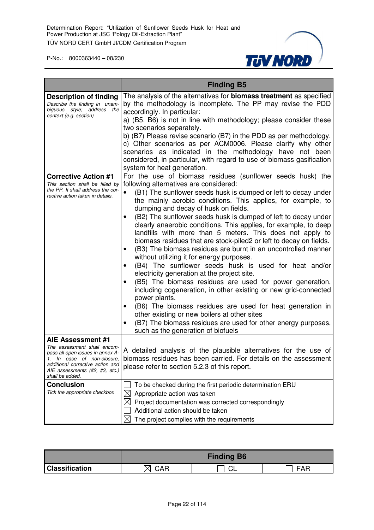

|                                                                                                                                                                                                          | <b>Finding B5</b>                                                                                                                                                                                                                                                                                                                                                                                                                                                                                                                                                                                                                                                                                                                                                                                                                                                                                                                                                                                                                                                                                                                                                   |
|----------------------------------------------------------------------------------------------------------------------------------------------------------------------------------------------------------|---------------------------------------------------------------------------------------------------------------------------------------------------------------------------------------------------------------------------------------------------------------------------------------------------------------------------------------------------------------------------------------------------------------------------------------------------------------------------------------------------------------------------------------------------------------------------------------------------------------------------------------------------------------------------------------------------------------------------------------------------------------------------------------------------------------------------------------------------------------------------------------------------------------------------------------------------------------------------------------------------------------------------------------------------------------------------------------------------------------------------------------------------------------------|
| <b>Description of finding</b><br>Describe the finding in unam-<br>biguous style; address the<br>context (e.g. section)                                                                                   | The analysis of the alternatives for <b>biomass treatment</b> as specified<br>by the methodology is incomplete. The PP may revise the PDD<br>accordingly. In particular:<br>a) (B5, B6) is not in line with methodology; please consider these<br>two scenarios separately.<br>b) (B7) Please revise scenario (B7) in the PDD as per methodology.<br>c) Other scenarios as per ACM0006. Please clarify why other<br>scenarios as indicated in the methodology have not been<br>considered, in particular, with regard to use of biomass gasification<br>system for heat generation.                                                                                                                                                                                                                                                                                                                                                                                                                                                                                                                                                                                 |
| <b>Corrective Action #1</b><br>This section shall be filled by<br>the PP. It shall address the cor-<br>rective action taken in details.                                                                  | For the use of biomass residues (sunflower seeds husk) the<br>following alternatives are considered:<br>(B1) The sunflower seeds husk is dumped or left to decay under<br>the mainly aerobic conditions. This applies, for example, to<br>dumping and decay of husk on fields.<br>(B2) The sunflower seeds husk is dumped of left to decay under<br>clearly anaerobic conditions. This applies, for example, to deep<br>landfills with more than 5 meters. This does not apply to<br>biomass residues that are stock-piled2 or left to decay on fields.<br>(B3) The biomass residues are burnt in an uncontrolled manner<br>without utilizing it for energy purposes.<br>(B4) The sunflower seeds husk is used for heat and/or<br>٠<br>electricity generation at the project site.<br>(B5) The biomass residues are used for power generation,<br>including cogeneration, in other existing or new grid-connected<br>power plants.<br>(B6) The biomass residues are used for heat generation in<br>other existing or new boilers at other sites<br>(B7) The biomass residues are used for other energy purposes,<br>$\bullet$<br>such as the generation of biofuels |
| AIE Assessment #1<br>The assessment shall encom-<br>pass all open issues in annex A-<br>In case of non-closure,<br>additional corrective action and<br>AIE assessments (#2, #3, etc.)<br>shall be added. | A detailed analysis of the plausible alternatives for the use of<br>biomass residues has been carried. For details on the assessment<br>please refer to section 5.2.3 of this report.                                                                                                                                                                                                                                                                                                                                                                                                                                                                                                                                                                                                                                                                                                                                                                                                                                                                                                                                                                               |
| <b>Conclusion</b><br>Tick the appropriate checkbox                                                                                                                                                       | To be checked during the first periodic determination ERU<br>Appropriate action was taken<br>Project documentation was corrected correspondingly<br>Additional action should be taken<br>The project complies with the requirements                                                                                                                                                                                                                                                                                                                                                                                                                                                                                                                                                                                                                                                                                                                                                                                                                                                                                                                                 |

|                       |     | <b>Finding B6</b> |                             |
|-----------------------|-----|-------------------|-----------------------------|
| <b>Classification</b> | ◝∧г | ⌒                 | $\Lambda$ $\Gamma$<br>- ^ - |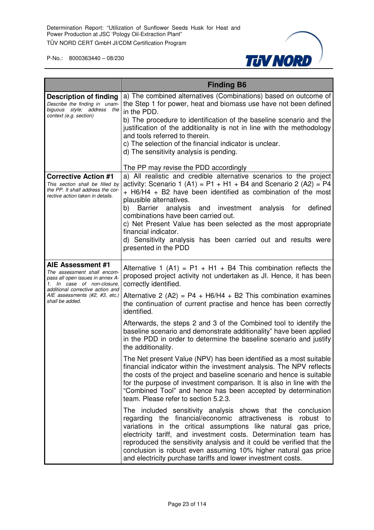

|                                                                                                                                                                                                             | <b>Finding B6</b>                                                                                                                                                                                                                                                                                                                                                                                                                                                                                                                  |
|-------------------------------------------------------------------------------------------------------------------------------------------------------------------------------------------------------------|------------------------------------------------------------------------------------------------------------------------------------------------------------------------------------------------------------------------------------------------------------------------------------------------------------------------------------------------------------------------------------------------------------------------------------------------------------------------------------------------------------------------------------|
| <b>Description of finding</b><br>Describe the finding in unam-<br>biguous style; address the<br>context (e.g. section)                                                                                      | a) The combined alternatives (Combinations) based on outcome of<br>the Step 1 for power, heat and biomass use have not been defined<br>in the PDD.<br>b) The procedure to identification of the baseline scenario and the                                                                                                                                                                                                                                                                                                          |
|                                                                                                                                                                                                             | justification of the additionality is not in line with the methodology<br>and tools referred to therein.<br>c) The selection of the financial indicator is unclear.<br>d) The sensitivity analysis is pending.                                                                                                                                                                                                                                                                                                                     |
|                                                                                                                                                                                                             | The PP may revise the PDD accordingly                                                                                                                                                                                                                                                                                                                                                                                                                                                                                              |
| <b>Corrective Action #1</b><br>This section shall be filled by<br>the PP. It shall address the cor-<br>rective action taken in details.                                                                     | a) All realistic and credible alternative scenarios to the project<br>activity: Scenario 1 (A1) = $P1 + H1 + B4$ and Scenario 2 (A2) = P4<br>+ H6/H4 + B2 have been identified as combination of the most<br>plausible alternatives.<br>and investment analysis for<br>defined<br>b) Barrier<br>analysis<br>combinations have been carried out.<br>c) Net Present Value has been selected as the most appropriate<br>financial indicator.<br>d) Sensitivity analysis has been carried out and results were<br>presented in the PDD |
| AIE Assessment #1<br>The assessment shall encom-<br>pass all open issues in annex A-<br>1. In case of non-closure,<br>additional corrective action and<br>AIE assessments (#2, #3, etc.)<br>shall be added. | Alternative 1 (A1) = $P1 + H1 + B4$ This combination reflects the<br>proposed project activity not undertaken as JI. Hence, it has been<br>correctly identified.                                                                                                                                                                                                                                                                                                                                                                   |
|                                                                                                                                                                                                             | Alternative 2 (A2) = $P4 + H6/H4 + B2$ This combination examines<br>the continuation of current practise and hence has been correctly<br>identified.                                                                                                                                                                                                                                                                                                                                                                               |
|                                                                                                                                                                                                             | Afterwards, the steps 2 and 3 of the Combined tool to identify the<br>baseline scenario and demonstrate additionality" have been applied<br>in the PDD in order to determine the baseline scenario and justify<br>the additionality.                                                                                                                                                                                                                                                                                               |
|                                                                                                                                                                                                             | The Net present Value (NPV) has been identified as a most suitable<br>financial indicator within the investment analysis. The NPV reflects<br>the costs of the project and baseline scenario and hence is suitable<br>for the purpose of investment comparison. It is also in line with the<br>"Combined Tool" and hence has been accepted by determination<br>team. Please refer to section 5.2.3.                                                                                                                                |
|                                                                                                                                                                                                             | The included sensitivity analysis shows that the conclusion<br>regarding the financial/economic attractiveness is robust to<br>variations in the critical assumptions like natural gas price,<br>electricity tariff, and investment costs. Determination team has<br>reproduced the sensitivity analysis and it could be verified that the<br>conclusion is robust even assuming 10% higher natural gas price<br>and electricity purchase tariffs and lower investment costs.                                                      |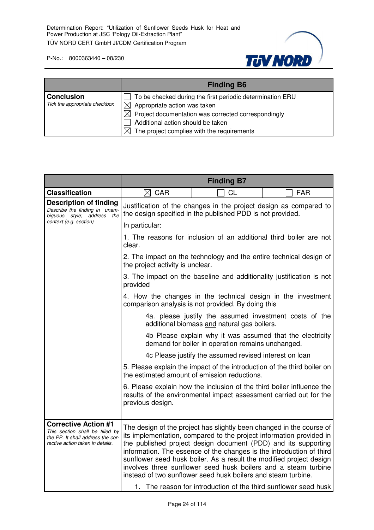

|                                                    | <b>Finding B6</b>                                                                                                                                                                                                                                                  |
|----------------------------------------------------|--------------------------------------------------------------------------------------------------------------------------------------------------------------------------------------------------------------------------------------------------------------------|
| <b>Conclusion</b><br>Tick the appropriate checkbox | To be checked during the first periodic determination ERU<br>$\boxtimes$ Appropriate action was taken<br>$\boxtimes$ Project documentation was corrected correspondingly<br>Additional action should be taken<br>The project complies with the requirements<br>IXI |

|                                                                                                                                         | <b>Finding B7</b>                |                                                                                                                                                                                                                                                                                                                                                                                                                                                                                                 |                                                                 |
|-----------------------------------------------------------------------------------------------------------------------------------------|----------------------------------|-------------------------------------------------------------------------------------------------------------------------------------------------------------------------------------------------------------------------------------------------------------------------------------------------------------------------------------------------------------------------------------------------------------------------------------------------------------------------------------------------|-----------------------------------------------------------------|
| <b>Classification</b>                                                                                                                   | $\boxtimes$ CAR                  | CL                                                                                                                                                                                                                                                                                                                                                                                                                                                                                              | <b>FAR</b>                                                      |
| <b>Description of finding</b><br>Describe the finding in unam-<br>biguous style; address the                                            |                                  | Justification of the changes in the project design as compared to<br>the design specified in the published PDD is not provided.                                                                                                                                                                                                                                                                                                                                                                 |                                                                 |
| context (e.g. section)                                                                                                                  | In particular:                   |                                                                                                                                                                                                                                                                                                                                                                                                                                                                                                 |                                                                 |
|                                                                                                                                         | clear.                           | 1. The reasons for inclusion of an additional third boiler are not                                                                                                                                                                                                                                                                                                                                                                                                                              |                                                                 |
|                                                                                                                                         | the project activity is unclear. | 2. The impact on the technology and the entire technical design of                                                                                                                                                                                                                                                                                                                                                                                                                              |                                                                 |
|                                                                                                                                         | provided                         | 3. The impact on the baseline and additionality justification is not                                                                                                                                                                                                                                                                                                                                                                                                                            |                                                                 |
|                                                                                                                                         |                                  | 4. How the changes in the technical design in the investment<br>comparison analysis is not provided. By doing this                                                                                                                                                                                                                                                                                                                                                                              |                                                                 |
|                                                                                                                                         |                                  | 4a. please justify the assumed investment costs of the<br>additional biomass and natural gas boilers.                                                                                                                                                                                                                                                                                                                                                                                           |                                                                 |
|                                                                                                                                         |                                  | 4b Please explain why it was assumed that the electricity<br>demand for boiler in operation remains unchanged.                                                                                                                                                                                                                                                                                                                                                                                  |                                                                 |
|                                                                                                                                         |                                  | 4c Please justify the assumed revised interest on loan                                                                                                                                                                                                                                                                                                                                                                                                                                          |                                                                 |
|                                                                                                                                         |                                  | 5. Please explain the impact of the introduction of the third boiler on<br>the estimated amount of emission reductions.                                                                                                                                                                                                                                                                                                                                                                         |                                                                 |
|                                                                                                                                         | previous design.                 | 6. Please explain how the inclusion of the third boiler influence the<br>results of the environmental impact assessment carried out for the                                                                                                                                                                                                                                                                                                                                                     |                                                                 |
| <b>Corrective Action #1</b><br>This section shall be filled by<br>the PP. It shall address the cor-<br>rective action taken in details. |                                  | The design of the project has slightly been changed in the course of<br>its implementation, compared to the project information provided in<br>the published project design document (PDD) and its supporting<br>information. The essence of the changes is the introduction of third<br>sunflower seed husk boiler. As a result the modified project design<br>involves three sunflower seed husk boilers and a steam turbine<br>instead of two sunflower seed husk boilers and steam turbine. | 1. The reason for introduction of the third sunflower seed husk |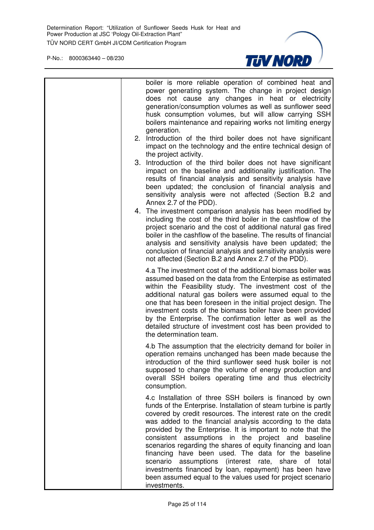

| boiler is more reliable operation of combined heat and<br>power generating system. The change in project design<br>does not cause any changes in heat or electricity<br>generation/consumption volumes as well as sunflower seed<br>husk consumption volumes, but will allow carrying SSH<br>boilers maintenance and repairing works not limiting energy<br>generation.<br>2. Introduction of the third boiler does not have significant<br>impact on the technology and the entire technical design of<br>the project activity.<br>3. Introduction of the third boiler does not have significant<br>impact on the baseline and additionality justification. The<br>results of financial analysis and sensitivity analysis have<br>been updated; the conclusion of financial analysis and |
|-------------------------------------------------------------------------------------------------------------------------------------------------------------------------------------------------------------------------------------------------------------------------------------------------------------------------------------------------------------------------------------------------------------------------------------------------------------------------------------------------------------------------------------------------------------------------------------------------------------------------------------------------------------------------------------------------------------------------------------------------------------------------------------------|
| sensitivity analysis were not affected (Section B.2 and<br>Annex 2.7 of the PDD).<br>4. The investment comparison analysis has been modified by<br>including the cost of the third boiler in the cashflow of the<br>project scenario and the cost of additional natural gas fired<br>boiler in the cashflow of the baseline. The results of financial<br>analysis and sensitivity analysis have been updated; the<br>conclusion of financial analysis and sensitivity analysis were<br>not affected (Section B.2 and Annex 2.7 of the PDD).                                                                                                                                                                                                                                               |
| 4.a The investment cost of the additional biomass boiler was<br>assumed based on the data from the Enterpise as estimated<br>within the Feasibility study. The investment cost of the<br>additional natural gas boilers were assumed equal to the<br>one that has been foreseen in the initial project design. The<br>investment costs of the biomass boiler have been provided<br>by the Enterprise. The confirmation letter as well as the<br>detailed structure of investment cost has been provided to<br>the determination team.                                                                                                                                                                                                                                                     |
| 4.b The assumption that the electricity demand for boiler in<br>operation remains unchanged has been made because the<br>introduction of the third sunflower seed husk boiler is not<br>supposed to change the volume of energy production and<br>overall SSH boilers operating time and thus electricity<br>consumption.                                                                                                                                                                                                                                                                                                                                                                                                                                                                 |
| 4.c Installation of three SSH boilers is financed by own<br>funds of the Enterprise. Installation of steam turbine is partly<br>covered by credit resources. The interest rate on the credit<br>was added to the financial analysis according to the data<br>provided by the Enterprise. It is important to note that the<br>consistent assumptions in the project and<br>baseline<br>scenarios regarding the shares of equity financing and loan<br>financing have been used. The data for the baseline<br>scenario<br>assumptions (interest rate, share<br>of total<br>investments financed by loan, repayment) has been have<br>been assumed equal to the values used for project scenario<br>investments.                                                                             |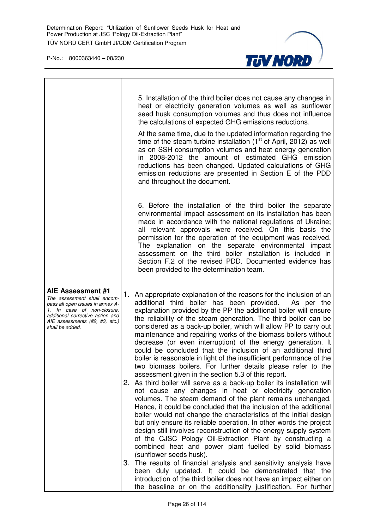

|                                                                                                                                                                                                             | 5. Installation of the third boiler does not cause any changes in<br>heat or electricity generation volumes as well as sunflower<br>seed husk consumption volumes and thus does not influence<br>the calculations of expected GHG emissions reductions.                                                                                                                                                                                                                                                                                                                                                                                                                                                                                                                                                                                                                                                                                                                                                                                                                                                                                                                                                                                                                                                                                                                                                                                                                                                                                                                                                                                                             |
|-------------------------------------------------------------------------------------------------------------------------------------------------------------------------------------------------------------|---------------------------------------------------------------------------------------------------------------------------------------------------------------------------------------------------------------------------------------------------------------------------------------------------------------------------------------------------------------------------------------------------------------------------------------------------------------------------------------------------------------------------------------------------------------------------------------------------------------------------------------------------------------------------------------------------------------------------------------------------------------------------------------------------------------------------------------------------------------------------------------------------------------------------------------------------------------------------------------------------------------------------------------------------------------------------------------------------------------------------------------------------------------------------------------------------------------------------------------------------------------------------------------------------------------------------------------------------------------------------------------------------------------------------------------------------------------------------------------------------------------------------------------------------------------------------------------------------------------------------------------------------------------------|
|                                                                                                                                                                                                             | At the same time, due to the updated information regarding the<br>time of the steam turbine installation $(1st$ of April, 2012) as well<br>as on SSH consumption volumes and heat energy generation<br>in 2008-2012 the amount of estimated GHG emission<br>reductions has been changed. Updated calculations of GHG<br>emission reductions are presented in Section E of the PDD<br>and throughout the document.                                                                                                                                                                                                                                                                                                                                                                                                                                                                                                                                                                                                                                                                                                                                                                                                                                                                                                                                                                                                                                                                                                                                                                                                                                                   |
|                                                                                                                                                                                                             | 6. Before the installation of the third boiler the separate<br>environmental impact assessment on its installation has been<br>made in accordance with the national regulations of Ukraine;<br>all relevant approvals were received. On this basis the<br>permission for the operation of the equipment was received.<br>The explanation on the separate environmental impact<br>assessment on the third boiler installation is included in<br>Section F.2 of the revised PDD. Documented evidence has<br>been provided to the determination team.                                                                                                                                                                                                                                                                                                                                                                                                                                                                                                                                                                                                                                                                                                                                                                                                                                                                                                                                                                                                                                                                                                                  |
| AIE Assessment #1<br>The assessment shall encom-<br>pass all open issues in annex A-<br>1. In case of non-closure,<br>additional corrective action and<br>AIE assessments (#2, #3, etc.)<br>shall be added. | An appropriate explanation of the reasons for the inclusion of an<br>1.<br>additional third boiler has been provided.<br>As per the<br>explanation provided by the PP the additional boiler will ensure<br>the reliability of the steam generation. The third boiler can be<br>considered as a back-up boiler, which will allow PP to carry out<br>maintenance and repairing works of the biomass boilers without<br>decrease (or even interruption) of the energy generation. It<br>could be concluded that the inclusion of an additional third<br>boiler is reasonable in light of the insufficient performance of the<br>two biomass boilers. For further details please refer to the<br>assessment given in the section 5.3 of this report.<br>As third boiler will serve as a back-up boiler its installation will<br>2.<br>not cause any changes in heat or electricity generation<br>volumes. The steam demand of the plant remains unchanged.<br>Hence, it could be concluded that the inclusion of the additional<br>boiler would not change the characteristics of the initial design<br>but only ensure its reliable operation. In other words the project<br>design still involves reconstruction of the energy supply system<br>of the CJSC Pology Oil-Extraction Plant by constructing a<br>combined heat and power plant fuelled by solid biomass<br>(sunflower seeds husk).<br>3. The results of financial analysis and sensitivity analysis have<br>been duly updated. It could be demonstrated that the<br>introduction of the third boiler does not have an impact either on<br>the baseline or on the additionality justification. For further |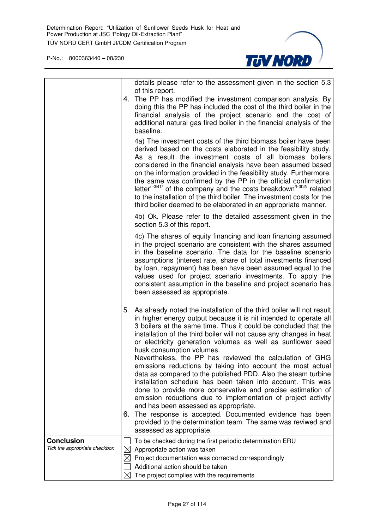

|                                                    |                                       | details please refer to the assessment given in the section 5.3                                                                                                                                                                                                                                                                                                                                                                                                                                                                                                                                                                                                                                                                                                                                                                                                                                                                                                                  |
|----------------------------------------------------|---------------------------------------|----------------------------------------------------------------------------------------------------------------------------------------------------------------------------------------------------------------------------------------------------------------------------------------------------------------------------------------------------------------------------------------------------------------------------------------------------------------------------------------------------------------------------------------------------------------------------------------------------------------------------------------------------------------------------------------------------------------------------------------------------------------------------------------------------------------------------------------------------------------------------------------------------------------------------------------------------------------------------------|
|                                                    |                                       | of this report.<br>4. The PP has modified the investment comparison analysis. By<br>doing this the PP has included the cost of the third boiler in the<br>financial analysis of the project scenario and the cost of<br>additional natural gas fired boiler in the financial analysis of the<br>baseline.                                                                                                                                                                                                                                                                                                                                                                                                                                                                                                                                                                                                                                                                        |
|                                                    |                                       | 4a) The investment costs of the third biomass boiler have been<br>derived based on the costs elaborated in the feasibility study.<br>As a result the investment costs of all biomass boilers<br>considered in the financial analysis have been assumed based<br>on the information provided in the feasibility study. Furthermore,<br>the same was confirmed by the PP in the official confirmation<br>letter <sup><math>4-3B1/</math></sup> of the company and the costs breakdown <sup><math>4-3B2/</math></sup> related<br>to the installation of the third boiler. The investment costs for the<br>third boiler deemed to be elaborated in an appropriate manner.                                                                                                                                                                                                                                                                                                            |
|                                                    |                                       | 4b) Ok. Please refer to the detailed assessment given in the<br>section 5.3 of this report.                                                                                                                                                                                                                                                                                                                                                                                                                                                                                                                                                                                                                                                                                                                                                                                                                                                                                      |
|                                                    |                                       | 4c) The shares of equity financing and loan financing assumed<br>in the project scenario are consistent with the shares assumed<br>in the baseline scenario. The data for the baseline scenario<br>assumptions (interest rate, share of total investments financed<br>by loan, repayment) has been have been assumed equal to the<br>values used for project scenario investments. To apply the<br>consistent assumption in the baseline and project scenario has<br>been assessed as appropriate.                                                                                                                                                                                                                                                                                                                                                                                                                                                                               |
|                                                    |                                       | 5. As already noted the installation of the third boiler will not result<br>in higher energy output because it is nit intended to operate all<br>3 boilers at the same time. Thus it could be concluded that the<br>installation of the third boiler will not cause any changes in heat<br>or electricity generation volumes as well as sunflower seed<br>husk consumption volumes.<br>Nevertheless, the PP has reviewed the calculation of GHG<br>emissions reductions by taking into account the most actual<br>data as compared to the published PDD. Also the steam turbine<br>installation schedule has been taken into account. This was<br>done to provide more conservative and precise estimation of<br>emission reductions due to implementation of project activity<br>and has been assessed as appropriate.<br>6. The response is accepted. Documented evidence has been<br>provided to the determination team. The same was reviwed and<br>assessed as appropriate. |
| <b>Conclusion</b><br>Tick the appropriate checkbox | $\boxtimes$<br>$\bowtie$<br>$\bowtie$ | To be checked during the first periodic determination ERU<br>Appropriate action was taken<br>Project documentation was corrected correspondingly<br>Additional action should be taken<br>The project complies with the requirements                                                                                                                                                                                                                                                                                                                                                                                                                                                                                                                                                                                                                                                                                                                                              |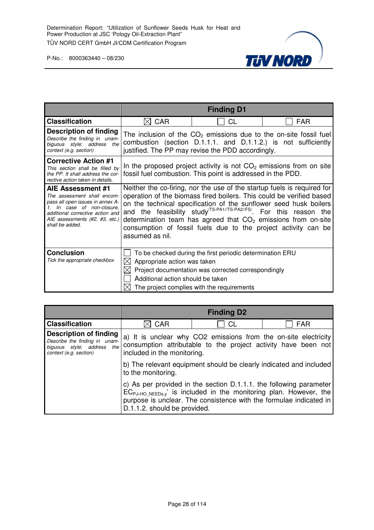

|                                                                                                                                                                                                                |                                                                        | <b>Finding D1</b>                                                                                                                                              |                                                                                                                                                                                                                                                                                                                                                                                                                                              |
|----------------------------------------------------------------------------------------------------------------------------------------------------------------------------------------------------------------|------------------------------------------------------------------------|----------------------------------------------------------------------------------------------------------------------------------------------------------------|----------------------------------------------------------------------------------------------------------------------------------------------------------------------------------------------------------------------------------------------------------------------------------------------------------------------------------------------------------------------------------------------------------------------------------------------|
| <b>Classification</b>                                                                                                                                                                                          | <b>CAR</b><br>M                                                        | CL                                                                                                                                                             | FAR                                                                                                                                                                                                                                                                                                                                                                                                                                          |
| Description of finding<br>Describe the finding in unam-<br>biguous style; address the<br>context (e.g. section)                                                                                                |                                                                        | justified. The PP may revise the PDD accordingly.                                                                                                              | The inclusion of the $CO2$ emissions due to the on-site fossil fuel<br>combustion (section D.1.1.1. and D.1.1.2.) is not sufficiently                                                                                                                                                                                                                                                                                                        |
| <b>Corrective Action #1</b><br>This section shall be filled by<br>the PP. It shall address the cor-<br>rective action taken in details.                                                                        |                                                                        | fossil fuel combustion. This point is addressed in the PDD.                                                                                                    | In the proposed project activity is not $CO2$ emissions from on site                                                                                                                                                                                                                                                                                                                                                                         |
| AIE Assessment #1<br>The assessment shall encom-<br>pass all open issues in annex A-<br>In case of non-closure,<br>1.<br>additional corrective action and<br>AIE assessments (#2, #3, etc.)<br>shall be added. | assumed as nil.                                                        |                                                                                                                                                                | Neither the co-firing, nor the use of the startup fuels is required for<br>operation of the biomass fired boilers. This could be verified based<br>on the technical specification of the sunflower seed husk boilers<br>and the feasibility study <sup>/TS-PA1//TS-PA2//FS/</sup> . For this reason the<br>determination team has agreed that $CO2$ emissions from on-site<br>consumption of fossil fuels due to the project activity can be |
| <b>Conclusion</b><br>Tick the appropriate checkbox                                                                                                                                                             | Appropriate action was taken<br>⋉<br>Additional action should be taken | To be checked during the first periodic determination ERU<br>Project documentation was corrected correspondingly<br>The project complies with the requirements |                                                                                                                                                                                                                                                                                                                                                                                                                                              |

|                                                                                                                 |                              | <b>Finding D2</b>                                                  |                                                                                                                                             |
|-----------------------------------------------------------------------------------------------------------------|------------------------------|--------------------------------------------------------------------|---------------------------------------------------------------------------------------------------------------------------------------------|
| <b>Classification</b>                                                                                           | <b>CAR</b>                   | СL                                                                 | <b>FAR</b>                                                                                                                                  |
| Description of finding<br>Describe the finding in unam-<br>biguous style; address the<br>context (e.g. section) | included in the monitoring.  |                                                                    | a) It is unclear why CO2 emissions from the on-site electricity<br>consumption attributable to the project activity have been not           |
|                                                                                                                 | to the monitoring.           |                                                                    | b) The relevant equipment should be clearly indicated and included                                                                          |
|                                                                                                                 | D.1.1.2. should be provided. | purpose is unclear. The consistence with the formulae indicated in | c) As per provided in the section D.1.1.1. the following parameter<br>$EC_{PJ,HO NEEDs,y}$ is included in the monitoring plan. However, the |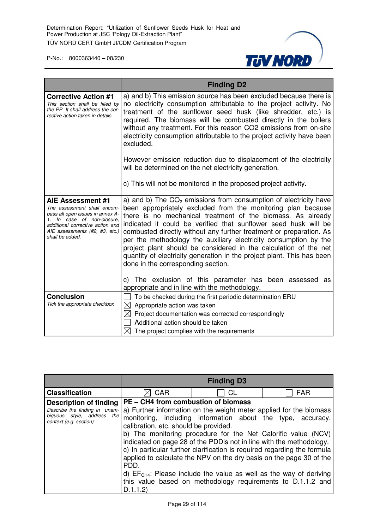

|                                                                                                                                                                                                             | <b>Finding D2</b>                                                                                                                                                                                                                                                                                                                                                                                                                                                                                                                                                                                   |  |
|-------------------------------------------------------------------------------------------------------------------------------------------------------------------------------------------------------------|-----------------------------------------------------------------------------------------------------------------------------------------------------------------------------------------------------------------------------------------------------------------------------------------------------------------------------------------------------------------------------------------------------------------------------------------------------------------------------------------------------------------------------------------------------------------------------------------------------|--|
| <b>Corrective Action #1</b><br>This section shall be filled by<br>the PP. It shall address the cor-<br>rective action taken in details.                                                                     | a) and b) This emission source has been excluded because there is<br>no electricity consumption attributable to the project activity. No<br>treatment of the sunflower seed husk (like shredder, etc.) is<br>required. The biomass will be combusted directly in the boilers<br>without any treatment. For this reason CO2 emissions from on-site<br>electricity consumption attributable to the project activity have been<br>excluded.                                                                                                                                                            |  |
|                                                                                                                                                                                                             | However emission reduction due to displacement of the electricity<br>will be determined on the net electricity generation.                                                                                                                                                                                                                                                                                                                                                                                                                                                                          |  |
|                                                                                                                                                                                                             | c) This will not be monitored in the proposed project activity.                                                                                                                                                                                                                                                                                                                                                                                                                                                                                                                                     |  |
| AIE Assessment #1<br>The assessment shall encom-<br>pass all open issues in annex A-<br>1. In case of non-closure.<br>additional corrective action and<br>AIE assessments (#2, #3, etc.)<br>shall be added. | a) and b) The $CO2$ emissions from consumption of electricity have<br>been appropriately excluded from the monitoring plan because<br>there is no mechanical treatment of the biomass. As already<br>indicated it could be verified that sunflower seed husk will be<br>combusted directly without any further treatment or preparation. As<br>per the methodology the auxiliary electricity consumption by the<br>project plant should be considered in the calculation of the net<br>quantity of electricity generation in the project plant. This has been<br>done in the corresponding section. |  |
|                                                                                                                                                                                                             | c) The exclusion of this parameter has been assessed<br>as<br>appropriate and in line with the methodology.                                                                                                                                                                                                                                                                                                                                                                                                                                                                                         |  |
| <b>Conclusion</b><br>Tick the appropriate checkbox                                                                                                                                                          | To be checked during the first periodic determination ERU<br>$\bowtie$<br>Appropriate action was taken<br>$\bowtie$<br>Project documentation was corrected correspondingly<br>Additional action should be taken<br>$\boxtimes$ The project complies with the requirements                                                                                                                                                                                                                                                                                                                           |  |

|                                                                                                                        |                                                                                                  | <b>Finding D3</b>                                                                                                                     |                                                                                                                                                                                                                                                                                                                                                                                                                             |
|------------------------------------------------------------------------------------------------------------------------|--------------------------------------------------------------------------------------------------|---------------------------------------------------------------------------------------------------------------------------------------|-----------------------------------------------------------------------------------------------------------------------------------------------------------------------------------------------------------------------------------------------------------------------------------------------------------------------------------------------------------------------------------------------------------------------------|
| <b>Classification</b>                                                                                                  | <b>CAR</b>                                                                                       | CL                                                                                                                                    | <b>FAR</b>                                                                                                                                                                                                                                                                                                                                                                                                                  |
| <b>Description of finding</b><br>Describe the finding in unam-<br>biguous style; address the<br>context (e.g. section) | PE - CH4 from combustion of biomass<br>calibration, etc. should be provided.<br>PDD.<br>D.1.1.2) | b) The monitoring procedure for the Net Calorific value (NCV)<br>indicated on page 28 of the PDD is not in line with the methodology. | a) Further information on the weight meter applied for the biomass<br>monitoring, including information about the type, accuracy,<br>c) In particular further clarification is required regarding the formula<br>applied to calculate the NPV on the dry basis on the page 30 of the<br>d) $EFCH4$ : Please include the value as well as the way of deriving<br>this value based on methodology requirements to D.1.1.2 and |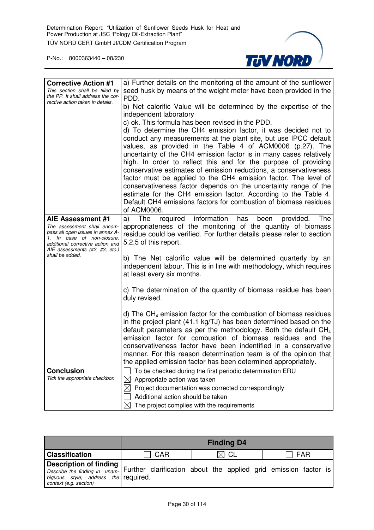

| <b>Corrective Action #1</b><br>This section shall be filled by<br>the PP. It shall address the cor-<br>rective action taken in details.                                                  | a) Further details on the monitoring of the amount of the sunflower<br>seed husk by means of the weight meter have been provided in the<br>PDD.<br>b) Net calorific Value will be determined by the expertise of the<br>independent laboratory<br>c) ok. This formula has been revised in the PDD.<br>d) To determine the CH4 emission factor, it was decided not to<br>conduct any measurements at the plant site, but use IPCC default<br>values, as provided in the Table 4 of ACM0006 (p.27). The<br>uncertainty of the CH4 emission factor is in many cases relatively<br>high. In order to reflect this and for the purpose of providing<br>conservative estimates of emission reductions, a conservativeness<br>factor must be applied to the CH4 emission factor. The level of<br>conservativeness factor depends on the uncertainty range of the<br>estimate for the CH4 emission factor. According to the Table 4.<br>Default CH4 emissions factors for combustion of biomass residues<br>of ACM0006. |
|------------------------------------------------------------------------------------------------------------------------------------------------------------------------------------------|-----------------------------------------------------------------------------------------------------------------------------------------------------------------------------------------------------------------------------------------------------------------------------------------------------------------------------------------------------------------------------------------------------------------------------------------------------------------------------------------------------------------------------------------------------------------------------------------------------------------------------------------------------------------------------------------------------------------------------------------------------------------------------------------------------------------------------------------------------------------------------------------------------------------------------------------------------------------------------------------------------------------|
| AIE Assessment #1<br>The assessment shall encom-<br>pass all open issues in annex A-<br>1. In case of non-closure,<br>additional corrective action and<br>AIE assessments (#2, #3, etc.) | required information has<br>The<br>The<br>a)<br>been<br>provided.<br>appropriateness of the monitoring of the quantity of biomass<br>residue could be verified. For further details please refer to section<br>5.2.5 of this report.                                                                                                                                                                                                                                                                                                                                                                                                                                                                                                                                                                                                                                                                                                                                                                            |
| shall be added.                                                                                                                                                                          | b) The Net calorific value will be determined quarterly by an<br>independent labour. This is in line with methodology, which requires<br>at least every six months.                                                                                                                                                                                                                                                                                                                                                                                                                                                                                                                                                                                                                                                                                                                                                                                                                                             |
|                                                                                                                                                                                          | c) The determination of the quantity of biomass residue has been<br>duly revised.                                                                                                                                                                                                                                                                                                                                                                                                                                                                                                                                                                                                                                                                                                                                                                                                                                                                                                                               |
|                                                                                                                                                                                          | d) The $CH_4$ emission factor for the combustion of biomass residues<br>in the project plant (41.1 kg/TJ) has been determined based on the<br>default parameters as per the methodology. Both the default $CH4$<br>emission factor for combustion of biomass residues and the<br>conservativeness factor have been indentified in a conservative<br>manner. For this reason determination team is of the opinion that<br>the applied emission factor has been determined appropriately.                                                                                                                                                                                                                                                                                                                                                                                                                                                                                                                         |
| <b>Conclusion</b>                                                                                                                                                                        | To be checked during the first periodic determination ERU                                                                                                                                                                                                                                                                                                                                                                                                                                                                                                                                                                                                                                                                                                                                                                                                                                                                                                                                                       |
| Tick the appropriate checkbox                                                                                                                                                            | Appropriate action was taken                                                                                                                                                                                                                                                                                                                                                                                                                                                                                                                                                                                                                                                                                                                                                                                                                                                                                                                                                                                    |
|                                                                                                                                                                                          | Project documentation was corrected correspondingly                                                                                                                                                                                                                                                                                                                                                                                                                                                                                                                                                                                                                                                                                                                                                                                                                                                                                                                                                             |
|                                                                                                                                                                                          | Additional action should be taken                                                                                                                                                                                                                                                                                                                                                                                                                                                                                                                                                                                                                                                                                                                                                                                                                                                                                                                                                                               |
|                                                                                                                                                                                          | The project complies with the requirements                                                                                                                                                                                                                                                                                                                                                                                                                                                                                                                                                                                                                                                                                                                                                                                                                                                                                                                                                                      |

|                                                                                                                                                                                                                                                                                                 |     | <b>Finding D4</b> |            |
|-------------------------------------------------------------------------------------------------------------------------------------------------------------------------------------------------------------------------------------------------------------------------------------------------|-----|-------------------|------------|
| <b>Classification</b>                                                                                                                                                                                                                                                                           | CAR | $\boxtimes$ CL    | <b>FAR</b> |
| Description of finding  <br>$ $ $\frac{1}{2}$ $\frac{1}{2}$ $\frac{1}{2}$ $\frac{1}{2}$ $\frac{1}{2}$ $\frac{1}{2}$ $\frac{1}{2}$ $\frac{1}{2}$ $\frac{1}{2}$ Further clarification about the applied grid emission factor is<br>biguous style; address the required.<br>context (e.g. section) |     |                   |            |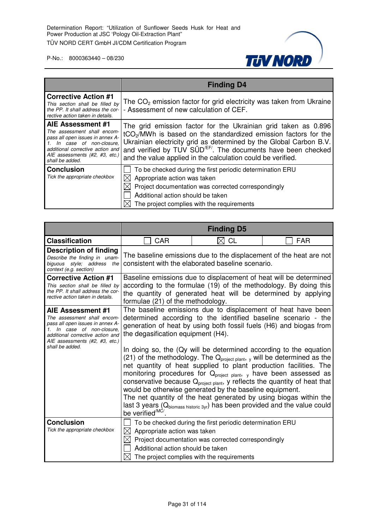

|                                                                                                                                                                                                          | <b>Finding D4</b>                                                                                                                                                                                                                                                                                                                                               |  |
|----------------------------------------------------------------------------------------------------------------------------------------------------------------------------------------------------------|-----------------------------------------------------------------------------------------------------------------------------------------------------------------------------------------------------------------------------------------------------------------------------------------------------------------------------------------------------------------|--|
| <b>Corrective Action #1</b><br>This section shall be filled by<br>the PP. It shall address the cor-<br>rective action taken in details.                                                                  | The $CO2$ emission factor for grid electricity was taken from Ukraine<br>- Assessment of new calculation of CEF.                                                                                                                                                                                                                                                |  |
| AIE Assessment #1<br>The assessment shall encom-<br>pass all open issues in annex A-<br>In case of non-closure,<br>additional corrective action and<br>AIE assessments (#2, #3, etc.)<br>shall be added. | The grid emission factor for the Ukrainian grid taken as 0.896<br>tCO <sub>2</sub> /MWh is based on the standardized emission factors for the<br>Ukrainian electricity grid as determined by the Global Carbon B.V.<br>and verified by TUV SUD <sup>/EF/</sup> . The documents have been checked<br>and the value applied in the calculation could be verified. |  |
| <b>Conclusion</b><br>Tick the appropriate checkbox                                                                                                                                                       | To be checked during the first periodic determination ERU<br>Appropriate action was taken<br>Project documentation was corrected correspondingly<br>Additional action should be taken<br>The project complies with the requirements                                                                                                                             |  |

|                                                                                                                                                                                          | <b>Finding D5</b>                                                                                                                                                                                                                           |                                                                                                                                                                                                                                                                                                                                                                                                                                                                                                                                                                                                               |            |
|------------------------------------------------------------------------------------------------------------------------------------------------------------------------------------------|---------------------------------------------------------------------------------------------------------------------------------------------------------------------------------------------------------------------------------------------|---------------------------------------------------------------------------------------------------------------------------------------------------------------------------------------------------------------------------------------------------------------------------------------------------------------------------------------------------------------------------------------------------------------------------------------------------------------------------------------------------------------------------------------------------------------------------------------------------------------|------------|
| <b>Classification</b>                                                                                                                                                                    | <b>CAR</b>                                                                                                                                                                                                                                  | CL                                                                                                                                                                                                                                                                                                                                                                                                                                                                                                                                                                                                            | <b>FAR</b> |
| <b>Description of finding</b><br>Describe the finding in unam-<br>biguous style; address the<br>context (e.g. section)                                                                   |                                                                                                                                                                                                                                             | The baseline emissions due to the displacement of the heat are not<br>consistent with the elaborated baseline scenario.                                                                                                                                                                                                                                                                                                                                                                                                                                                                                       |            |
| <b>Corrective Action #1</b><br>This section shall be filled by<br>the PP. It shall address the cor-<br>rective action taken in details.                                                  | Baseline emissions due to displacement of heat will be determined<br>according to the formulae (19) of the methodology. By doing this<br>the quantity of generated heat will be determined by applying<br>formulae (21) of the methodology. |                                                                                                                                                                                                                                                                                                                                                                                                                                                                                                                                                                                                               |            |
| AIE Assessment #1<br>The assessment shall encom-<br>pass all open issues in annex A-<br>1. In case of non-closure,<br>additional corrective action and<br>AIE assessments (#2, #3, etc.) | The baseline emissions due to displacement of heat have been<br>determined according to the identified baseline scenario - the<br>generation of heat by using both fossil fuels (H6) and biogas from<br>the degasification equipment (H4).  |                                                                                                                                                                                                                                                                                                                                                                                                                                                                                                                                                                                                               |            |
| shall be added.                                                                                                                                                                          | be verified <sup>/MC/</sup>                                                                                                                                                                                                                 | In doing so, the (Qy will be determined according to the equation<br>(21) of the methodology. The $Qproject plant, y$ will be determined as the<br>net quantity of heat supplied to plant production facilities. The<br>monitoring procedures for Q <sub>project plant</sub> , y have been assessed as<br>conservative because $Qproject plant$ , y reflects the quantity of heat that<br>would be otherwise generated by the baseline equipment.<br>The net quantity of the heat generated by using biogas within the<br>last 3 years ( $Q_{\text{biomass history}}$ ) has been provided and the value could |            |
| <b>Conclusion</b><br>Tick the appropriate checkbox                                                                                                                                       | $\boxtimes$<br>Appropriate action was taken<br>Additional action should be taken<br>$\bowtie$                                                                                                                                               | To be checked during the first periodic determination ERU<br>$\boxtimes$ Project documentation was corrected correspondingly<br>The project complies with the requirements                                                                                                                                                                                                                                                                                                                                                                                                                                    |            |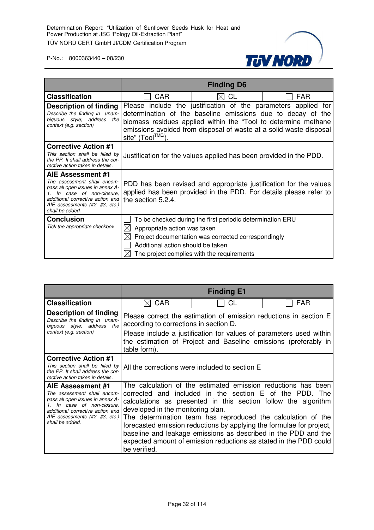

|                                                                                                                                                                                                          |                                                                                                                                                              | <b>Finding D6</b>                                                                                                                                                                                   |                                                                |
|----------------------------------------------------------------------------------------------------------------------------------------------------------------------------------------------------------|--------------------------------------------------------------------------------------------------------------------------------------------------------------|-----------------------------------------------------------------------------------------------------------------------------------------------------------------------------------------------------|----------------------------------------------------------------|
| <b>Classification</b>                                                                                                                                                                                    | <b>CAR</b>                                                                                                                                                   | CL                                                                                                                                                                                                  | <b>FAR</b>                                                     |
| Description of finding<br>Describe the finding in unam-<br>biguous style; address<br>the<br>context (e.g. section)                                                                                       | site" (Tool <sup>TME/</sup> )                                                                                                                                | determination of the baseline emissions due to decay of the<br>biomass residues applied within the "Tool to determine methane<br>emissions avoided from disposal of waste at a solid waste disposal | Please include the justification of the parameters applied for |
| <b>Corrective Action #1</b><br>This section shall be filled by<br>the PP. It shall address the cor-<br>rective action taken in details.                                                                  |                                                                                                                                                              | Justification for the values applied has been provided in the PDD.                                                                                                                                  |                                                                |
| AIE Assessment #1<br>The assessment shall encom-<br>pass all open issues in annex A-<br>In case of non-closure.<br>additional corrective action and<br>AIE assessments (#2, #3, etc.)<br>shall be added. | PDD has been revised and appropriate justification for the values<br>applied has been provided in the PDD. For details please refer to<br>the section 5.2.4. |                                                                                                                                                                                                     |                                                                |
| <b>Conclusion</b><br>Tick the appropriate checkbox                                                                                                                                                       | Appropriate action was taken<br>Additional action should be taken                                                                                            | To be checked during the first periodic determination ERU<br>Project documentation was corrected correspondingly<br>The project complies with the requirements                                      |                                                                |

|                                                                                                                                                                                                          |                                                                                                                                                                                                                                                                                                                                                                                                                                                                                                                                | <b>Finding E1</b> |            |
|----------------------------------------------------------------------------------------------------------------------------------------------------------------------------------------------------------|--------------------------------------------------------------------------------------------------------------------------------------------------------------------------------------------------------------------------------------------------------------------------------------------------------------------------------------------------------------------------------------------------------------------------------------------------------------------------------------------------------------------------------|-------------------|------------|
| <b>Classification</b>                                                                                                                                                                                    | CAR                                                                                                                                                                                                                                                                                                                                                                                                                                                                                                                            | СL                | <b>FAR</b> |
| Description of finding<br>Describe the finding in unam-<br>biguous style; address<br>the<br>context (e.g. section)                                                                                       | Please correct the estimation of emission reductions in section E<br>according to corrections in section D.<br>Please include a justification for values of parameters used within<br>the estimation of Project and Baseline emissions (preferably in<br>table form).                                                                                                                                                                                                                                                          |                   |            |
| <b>Corrective Action #1</b><br>This section shall be filled by<br>the PP. It shall address the cor-<br>rective action taken in details.                                                                  | All the corrections were included to section E                                                                                                                                                                                                                                                                                                                                                                                                                                                                                 |                   |            |
| AIE Assessment #1<br>The assessment shall encom-<br>pass all open issues in annex A-<br>In case of non-closure.<br>additional corrective action and<br>AIE assessments (#2, #3, etc.)<br>shall be added. | The calculation of the estimated emission reductions has been<br>corrected and included in the section E of the PDD. The<br>calculations as presented in this section follow the algorithm<br>developed in the monitoring plan.<br>The determination team has reproduced the calculation of the<br>forecasted emission reductions by applying the formulae for project,<br>baseline and leakage emissions as described in the PDD and the<br>expected amount of emission reductions as stated in the PDD could<br>be verified. |                   |            |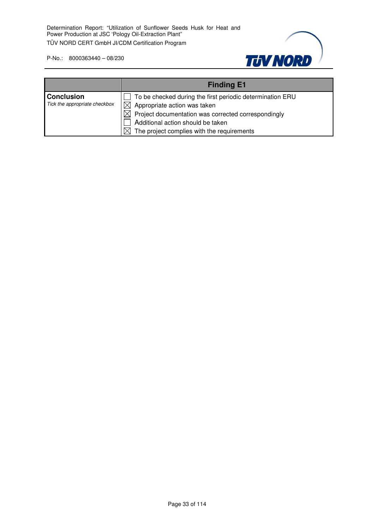

|                                                    | <b>Finding E1</b>                                                                                                                                                                                                                                           |
|----------------------------------------------------|-------------------------------------------------------------------------------------------------------------------------------------------------------------------------------------------------------------------------------------------------------------|
| <b>Conclusion</b><br>Tick the appropriate checkbox | To be checked during the first periodic determination ERU<br>$\boxtimes$ Appropriate action was taken<br>$\boxtimes$ Project documentation was corrected correspondingly<br>Additional action should be taken<br>The project complies with the requirements |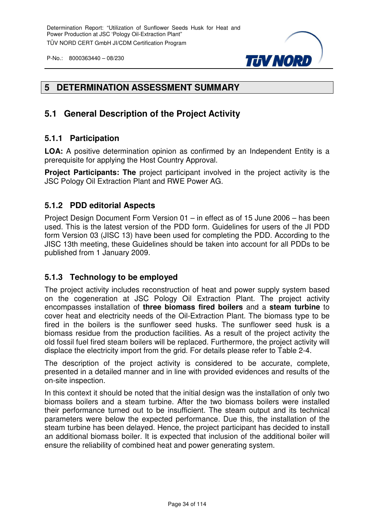

#### **5 DETERMINATION ASSESSMENT SUMMARY**

#### **5.1 General Description of the Project Activity**

#### **5.1.1 Participation**

**LOA:** A positive determination opinion as confirmed by an Independent Entity is a prerequisite for applying the Host Country Approval.

**Project Participants: The project participant involved in the project activity is the** JSC Pology Oil Extraction Plant and RWE Power AG.

#### **5.1.2 PDD editorial Aspects**

Project Design Document Form Version 01 – in effect as of 15 June 2006 – has been used. This is the latest version of the PDD form. Guidelines for users of the JI PDD form Version 03 (JISC 13) have been used for completing the PDD. According to the JISC 13th meeting, these Guidelines should be taken into account for all PDDs to be published from 1 January 2009.

#### **5.1.3 Technology to be employed**

The project activity includes reconstruction of heat and power supply system based on the cogeneration at JSC Pology Oil Extraction Plant. The project activity encompasses installation of **three biomass fired boilers** and a **steam turbine** to cover heat and electricity needs of the Oil-Extraction Plant. The biomass type to be fired in the boilers is the sunflower seed husks. The sunflower seed husk is a biomass residue from the production facilities. As a result of the project activity the old fossil fuel fired steam boilers will be replaced. Furthermore, the project activity will displace the electricity import from the grid. For details please refer to Table 2-4.

The description of the project activity is considered to be accurate, complete, presented in a detailed manner and in line with provided evidences and results of the on-site inspection.

In this context it should be noted that the initial design was the installation of only two biomass boilers and a steam turbine. After the two biomass boilers were installed their performance turned out to be insufficient. The steam output and its technical parameters were below the expected performance. Due this, the installation of the steam turbine has been delayed. Hence, the project participant has decided to install an additional biomass boiler. It is expected that inclusion of the additional boiler will ensure the reliability of combined heat and power generating system.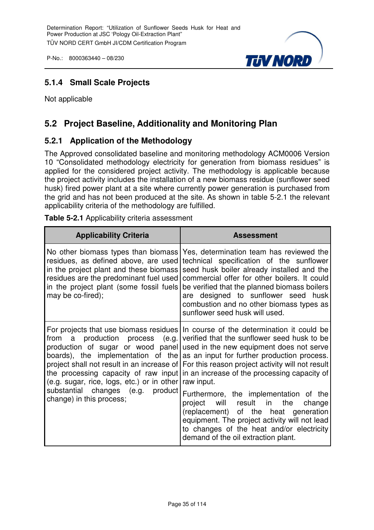

#### **5.1.4 Small Scale Projects**

Not applicable

#### **5.2 Project Baseline, Additionality and Monitoring Plan**

#### **5.2.1 Application of the Methodology**

The Approved consolidated baseline and monitoring methodology ACM0006 Version 10 "Consolidated methodology electricity for generation from biomass residues" is applied for the considered project activity. The methodology is applicable because the project activity includes the installation of a new biomass residue (sunflower seed husk) fired power plant at a site where currently power generation is purchased from the grid and has not been produced at the site. As shown in table 5-2.1 the relevant applicability criteria of the methodology are fulfilled.

| <b>Applicability Criteria</b>                                                                                                                                                                                                   | <b>Assessment</b>                                                                                                                                                                                                                                                                                                                                                                                                                                                                                                                                                                                                                                                                                                                                                                                 |
|---------------------------------------------------------------------------------------------------------------------------------------------------------------------------------------------------------------------------------|---------------------------------------------------------------------------------------------------------------------------------------------------------------------------------------------------------------------------------------------------------------------------------------------------------------------------------------------------------------------------------------------------------------------------------------------------------------------------------------------------------------------------------------------------------------------------------------------------------------------------------------------------------------------------------------------------------------------------------------------------------------------------------------------------|
| No other biomass types than biomass<br>residues, as defined above, are used<br>in the project plant and these biomass<br>residues are the predominant fuel used<br>in the project plant (some fossil fuels<br>may be co-fired); | Yes, determination team has reviewed the<br>technical specification of the sunflower<br>seed husk boiler already installed and the<br>commercial offer for other boilers. It could<br>be verified that the planned biomass boilers<br>are designed to sunflower seed husk<br>combustion and no other biomass types as<br>sunflower seed husk will used.                                                                                                                                                                                                                                                                                                                                                                                                                                           |
| (e.g. sugar, rice, logs, etc.) or in other<br>substantial changes (e.g. product<br>change) in this process;                                                                                                                     | For projects that use biomass residues In course of the determination it could be<br>from a production process (e.g. verified that the sunflower seed husk to be<br>production of sugar or wood panel used in the new equipment does not serve<br>boards), the implementation of the as an input for further production process.<br>project shall not result in an increase of For this reason project activity will not result<br>the processing capacity of raw input in an increase of the processing capacity of<br>raw input.<br>Furthermore, the implementation of the<br>project will result in the<br>change<br>(replacement) of the heat generation<br>equipment. The project activity will not lead<br>to changes of the heat and/or electricity<br>demand of the oil extraction plant. |

**Table 5-2.1** Applicability criteria assessment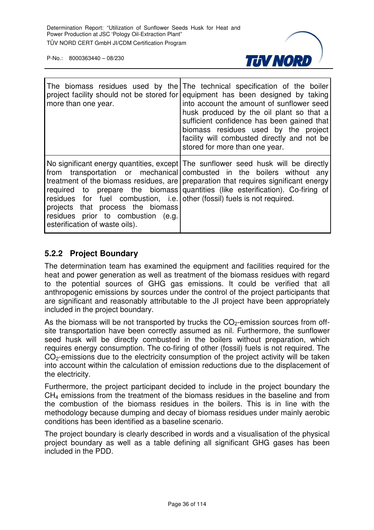

| more than one year.                                                                                                                                                                                  | The biomass residues used by the The technical specification of the boiler<br>project facility should not be stored for equipment has been designed by taking<br>into account the amount of sunflower seed<br>husk produced by the oil plant so that a<br>sufficient confidence has been gained that<br>biomass residues used by the project<br>facility will combusted directly and not be<br>stored for more than one year. |
|------------------------------------------------------------------------------------------------------------------------------------------------------------------------------------------------------|-------------------------------------------------------------------------------------------------------------------------------------------------------------------------------------------------------------------------------------------------------------------------------------------------------------------------------------------------------------------------------------------------------------------------------|
| required to<br>residues for fuel combustion, i.e. other (fossil) fuels is not required.<br>projects that process the biomass<br>residues prior to combustion (e.g.<br>esterification of waste oils). | No significant energy quantities, except The sunflower seed husk will be directly<br>from transportation or mechanical combusted in the boilers without any<br>treatment of the biomass residues, are preparation that requires significant energy<br>prepare the biomass quantities (like esterification). Co-firing of                                                                                                      |

#### **5.2.2 Project Boundary**

The determination team has examined the equipment and facilities required for the heat and power generation as well as treatment of the biomass residues with regard to the potential sources of GHG gas emissions. It could be verified that all anthropogenic emissions by sources under the control of the project participants that are significant and reasonably attributable to the JI project have been appropriately included in the project boundary.

As the biomass will be not transported by trucks the  $CO<sub>2</sub>$ -emission sources from offsite transportation have been correctly assumed as nil. Furthermore, the sunflower seed husk will be directly combusted in the boilers without preparation, which requires energy consumption. The co-firing of other (fossil) fuels is not required. The CO<sub>2</sub>-emissions due to the electricity consumption of the project activity will be taken into account within the calculation of emission reductions due to the displacement of the electricity.

Furthermore, the project participant decided to include in the project boundary the CH4 emissions from the treatment of the biomass residues in the baseline and from the combustion of the biomass residues in the boilers. This is in line with the methodology because dumping and decay of biomass residues under mainly aerobic conditions has been identified as a baseline scenario.

The project boundary is clearly described in words and a visualisation of the physical project boundary as well as a table defining all significant GHG gases has been included in the PDD.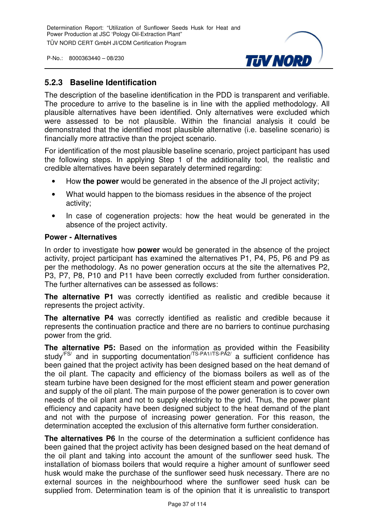

## **5.2.3 Baseline Identification**

The description of the baseline identification in the PDD is transparent and verifiable. The procedure to arrive to the baseline is in line with the applied methodology. All plausible alternatives have been identified. Only alternatives were excluded which were assessed to be not plausible. Within the financial analysis it could be demonstrated that the identified most plausible alternative (i.e. baseline scenario) is financially more attractive than the project scenario.

For identification of the most plausible baseline scenario, project participant has used the following steps. In applying Step 1 of the additionality tool, the realistic and credible alternatives have been separately determined regarding:

- How **the power** would be generated in the absence of the JI project activity;
- What would happen to the biomass residues in the absence of the project activity;
- In case of cogeneration projects: how the heat would be generated in the absence of the project activity.

#### **Power - Alternatives**

In order to investigate how **power** would be generated in the absence of the project activity, project participant has examined the alternatives P1, P4, P5, P6 and P9 as per the methodology. As no power generation occurs at the site the alternatives P2, P3, P7, P8, P10 and P11 have been correctly excluded from further consideration. The further alternatives can be assessed as follows:

**The alternative P1** was correctly identified as realistic and credible because it represents the project activity.

**The alternative P4** was correctly identified as realistic and credible because it represents the continuation practice and there are no barriers to continue purchasing power from the grid.

**The alternative P5:** Based on the information as provided within the Feasibility study<sup>/FS/</sup> and in supporting documentation<sup>/TS-PA1//TS-PA2/</sup> a sufficient confidence has been gained that the project activity has been designed based on the heat demand of the oil plant. The capacity and efficiency of the biomass boilers as well as of the steam turbine have been designed for the most efficient steam and power generation and supply of the oil plant. The main purpose of the power generation is to cover own needs of the oil plant and not to supply electricity to the grid. Thus, the power plant efficiency and capacity have been designed subject to the heat demand of the plant and not with the purpose of increasing power generation. For this reason, the determination accepted the exclusion of this alternative form further consideration.

**The alternatives P6** In the course of the determination a sufficient confidence has been gained that the project activity has been designed based on the heat demand of the oil plant and taking into account the amount of the sunflower seed husk. The installation of biomass boilers that would require a higher amount of sunflower seed husk would make the purchase of the sunflower seed husk necessary. There are no external sources in the neighbourhood where the sunflower seed husk can be supplied from. Determination team is of the opinion that it is unrealistic to transport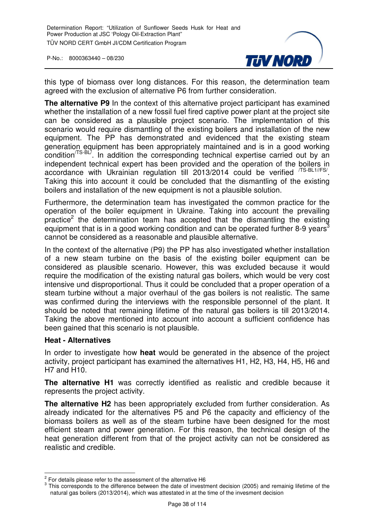

this type of biomass over long distances. For this reason, the determination team agreed with the exclusion of alternative P6 from further consideration.

**The alternative P9** In the context of this alternative project participant has examined whether the installation of a new fossil fuel fired captive power plant at the project site can be considered as a plausible project scenario. The implementation of this scenario would require dismantling of the existing boilers and installation of the new equipment. The PP has demonstrated and evidenced that the existing steam generation equipment has been appropriately maintained and is in a good working condition/TS-BL/. In addition the corresponding technical expertise carried out by an independent technical expert has been provided and the operation of the boilers in accordance with Ukrainian regulation till 2013/2014 could be verified  $^{75-BL1//FS/}$ . Taking this into account it could be concluded that the dismantling of the existing boilers and installation of the new equipment is not a plausible solution.

Furthermore, the determination team has investigated the common practice for the operation of the boiler equipment in Ukraine. Taking into account the prevailing practice<sup>2</sup> the determination team has accepted that the dismantling the existing equipment that is in a good working condition and can be operated further 8-9 years<sup>3</sup> cannot be considered as a reasonable and plausible alternative.

In the context of the alternative (P9) the PP has also investigated whether installation of a new steam turbine on the basis of the existing boiler equipment can be considered as plausible scenario. However, this was excluded because it would require the modification of the existing natural gas boilers, which would be very cost intensive und disproportional. Thus it could be concluded that a proper operation of a steam turbine without a major overhaul of the gas boilers is not realistic. The same was confirmed during the interviews with the responsible personnel of the plant. It should be noted that remaining lifetime of the natural gas boilers is till 2013/2014. Taking the above mentioned into account into account a sufficient confidence has been gained that this scenario is not plausible.

#### **Heat - Alternatives**

In order to investigate how **heat** would be generated in the absence of the project activity, project participant has examined the alternatives H1, H2, H3, H4, H5, H6 and H7 and H10.

**The alternative H1** was correctly identified as realistic and credible because it represents the project activity.

**The alternative H2** has been appropriately excluded from further consideration. As already indicated for the alternatives P5 and P6 the capacity and efficiency of the biomass boilers as well as of the steam turbine have been designed for the most efficient steam and power generation. For this reason, the technical design of the heat generation different from that of the project activity can not be considered as realistic and credible.

 $\frac{2}{3}$  For details please refer to the assessment of the alternative H6  $\frac{3}{3}$ . This corresponds to the difference between the deta of investment

This corresponds to the difference between the date of investment decision (2005) and remainig lifetime of the natural gas boilers (2013/2014), which was attestated in at the time of the invesment decision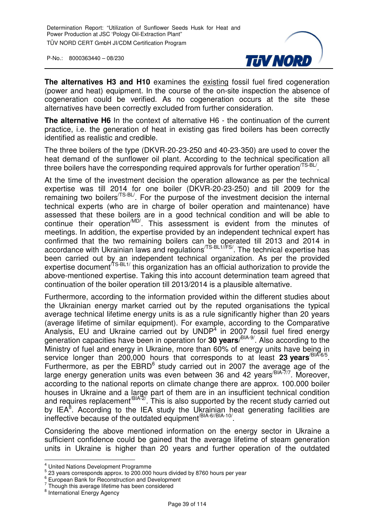

**The alternatives H3 and H10** examines the existing fossil fuel fired cogeneration (power and heat) equipment. In the course of the on-site inspection the absence of cogeneration could be verified. As no cogeneration occurs at the site these alternatives have been correctly excluded from further consideration.

**The alternative H6** In the context of alternative H6 - the continuation of the current practice, i.e. the generation of heat in existing gas fired boilers has been correctly identified as realistic and credible.

The three boilers of the type (DKVR-20-23-250 and 40-23-350) are used to cover the heat demand of the sunflower oil plant. According to the technical specification all three boilers have the corresponding required approvals for further operation  $T\text{S-BL}$ .

At the time of the investment decision the operation allowance as per the technical expertise was till 2014 for one boiler (DKVR-20-23-250) and till 2009 for the remaining two boilers<sup>/TS-BL/</sup>. For the purpose of the investment decision the internal technical experts (who are in charge of boiler operation and maintenance) have assessed that these boilers are in a good technical condition and will be able to continue their operation<sup>/MD/</sup>. This assessment is evident from the minutes of meetings. In addition, the expertise provided by an independent technical expert has confirmed that the two remaining boilers can be operated till 2013 and 2014 in accordance with Ukrainian laws and regulations<sup>/TS-BL1//FS/</sup>. The technical expertise has been carried out by an independent technical organization. As per the provided expertise document<sup>/TS-BL1/</sup> this organization has an official authorization to provide the above-mentioned expertise. Taking this into account determination team agreed that continuation of the boiler operation till 2013/2014 is a plausible alternative.

Furthermore, according to the information provided within the different studies about the Ukrainian energy market carried out by the reputed organisations the typical average technical lifetime energy units is as a rule significantly higher than 20 years (average lifetime of similar equipment). For example, according to the Comparative Analysis, EU and Ukraine carried out by UNDP<sup>4</sup> in 2007 fossil fuel fired energy generation capacities have been in operation for **30 years**/ BIA-9/. Also according to the Ministry of fuel and energy in Ukraine, more than 60% of energy units have being in service longer than 200,000 hours that corresponds to at least 23 years<sup>/BIA-6/5</sup>. Furthermore, as per the  $EBRD<sup>6</sup>$  study carried out in 2007 the average age of the large energy generation units was even between 36 and 42 years<sup>/BIA-7/7</sup>. Moreover, according to the national reports on climate change there are approx. 100.000 boiler houses in Ukraine and a large part of them are in an insufficient technical condition and requires replacement<sup>/BIA-2</sup>. This is also supported by the recent study carried out by IEA ${}^{8}$ . According to the IEA study the Ukrainian heat generating facilities are ineffective because of the outdated equipment<sup>/BIA-6//BIA-10/</sup>.

Considering the above mentioned information on the energy sector in Ukraine a sufficient confidence could be gained that the average lifetime of steam generation units in Ukraine is higher than 20 years and further operation of the outdated

 4 United Nations Development Programme

 $5$  23 years corresponds approx. to 200.000 hours divided by 8760 hours per year

<sup>6</sup> European Bank for Reconstruction and Development

 $7$  Though this average lifetime has been considered

<sup>&</sup>lt;sup>8</sup> International Energy Agency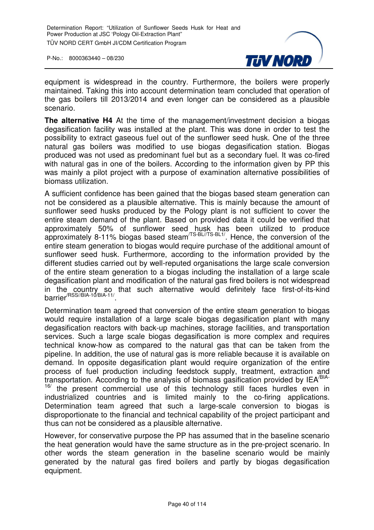

equipment is widespread in the country. Furthermore, the boilers were properly maintained. Taking this into account determination team concluded that operation of the gas boilers till 2013/2014 and even longer can be considered as a plausible scenario.

**The alternative H4** At the time of the management/investment decision a biogas degasification facility was installed at the plant. This was done in order to test the possibility to extract gaseous fuel out of the sunflower seed husk. One of the three natural gas boilers was modified to use biogas degasification station. Biogas produced was not used as predominant fuel but as a secondary fuel. It was co-fired with natural gas in one of the boilers. According to the information given by PP this was mainly a pilot project with a purpose of examination alternative possibilities of biomass utilization.

A sufficient confidence has been gained that the biogas based steam generation can not be considered as a plausible alternative. This is mainly because the amount of sunflower seed husks produced by the Pology plant is not sufficient to cover the entire steam demand of the plant. Based on provided data it could be verified that approximately 50% of sunflower seed husk has been utilized to produce approximately 8-11% biogas based steam<sup>/TS-BL//TS-BL1/</sup>. Hence, the conversion of the entire steam generation to biogas would require purchase of the additional amount of sunflower seed husk. Furthermore, according to the information provided by the different studies carried out by well-reputed organisations the large scale conversion of the entire steam generation to a biogas including the installation of a large scale degasification plant and modification of the natural gas fired boilers is not widespread in the country so that such alternative would definitely face first-of-its-kind barrier/RSS//BIA-10/BIA-11/ .

Determination team agreed that conversion of the entire steam generation to biogas would require installation of a large scale biogas degasification plant with many degasification reactors with back-up machines, storage facilities, and transportation services. Such a large scale biogas degasification is more complex and requires technical know-how as compared to the natural gas that can be taken from the pipeline. In addition, the use of natural gas is more reliable because it is available on demand. In opposite degasification plant would require organization of the entire process of fuel production including feedstock supply, treatment, extraction and transportation. According to the analysis of biomass gasification provided by IEA/BIA- $16$  the present commercial use of this technology still faces hurdles even in industrialized countries and is limited mainly to the co-firing applications. Determination team agreed that such a large-scale conversion to biogas is disproportionate to the financial and technical capability of the project participant and thus can not be considered as a plausible alternative.

However, for conservative purpose the PP has assumed that in the baseline scenario the heat generation would have the same structure as in the pre-project scenario. In other words the steam generation in the baseline scenario would be mainly generated by the natural gas fired boilers and partly by biogas degasification equipment.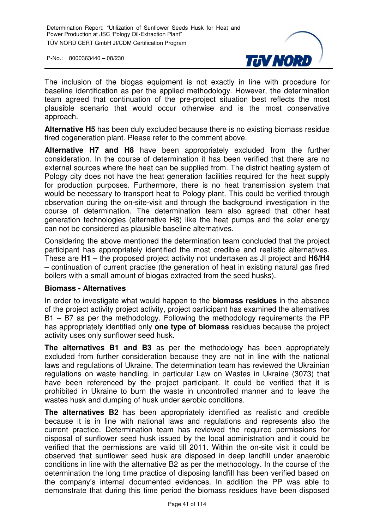

The inclusion of the biogas equipment is not exactly in line with procedure for baseline identification as per the applied methodology. However, the determination team agreed that continuation of the pre-project situation best reflects the most plausible scenario that would occur otherwise and is the most conservative approach.

**Alternative H5** has been duly excluded because there is no existing biomass residue fired cogeneration plant. Please refer to the comment above.

**Alternative H7 and H8** have been appropriately excluded from the further consideration. In the course of determination it has been verified that there are no external sources where the heat can be supplied from. The district heating system of Pology city does not have the heat generation facilities required for the heat supply for production purposes. Furthermore, there is no heat transmission system that would be necessary to transport heat to Pology plant. This could be verified through observation during the on-site-visit and through the background investigation in the course of determination. The determination team also agreed that other heat generation technologies (alternative H8) like the heat pumps and the solar energy can not be considered as plausible baseline alternatives.

Considering the above mentioned the determination team concluded that the project participant has appropriately identified the most credible and realistic alternatives. These are **H1** – the proposed project activity not undertaken as JI project and **H6/H4** – continuation of current practise (the generation of heat in existing natural gas fired boilers with a small amount of biogas extracted from the seed husks).

#### **Biomass - Alternatives**

In order to investigate what would happen to the **biomass residues** in the absence of the project activity project activity, project participant has examined the alternatives B1 – B7 as per the methodology. Following the methodology requirements the PP has appropriately identified only **one type of biomass** residues because the project activity uses only sunflower seed husk.

**The alternatives B1 and B3** as per the methodology has been appropriately excluded from further consideration because they are not in line with the national laws and regulations of Ukraine. The determination team has reviewed the Ukrainian regulations on waste handling, in particular Law on Wastes in Ukraine (3073) that have been referenced by the project participant. It could be verified that it is prohibited in Ukraine to burn the waste in uncontrolled manner and to leave the wastes husk and dumping of husk under aerobic conditions.

**The alternatives B2** has been appropriately identified as realistic and credible because it is in line with national laws and regulations and represents also the current practice. Determination team has reviewed the required permissions for disposal of sunflower seed husk issued by the local administration and it could be verified that the permissions are valid till 2011. Within the on-site visit it could be observed that sunflower seed husk are disposed in deep landfill under anaerobic conditions in line with the alternative B2 as per the methodology. In the course of the determination the long time practice of disposing landfill has been verified based on the company's internal documented evidences. In addition the PP was able to demonstrate that during this time period the biomass residues have been disposed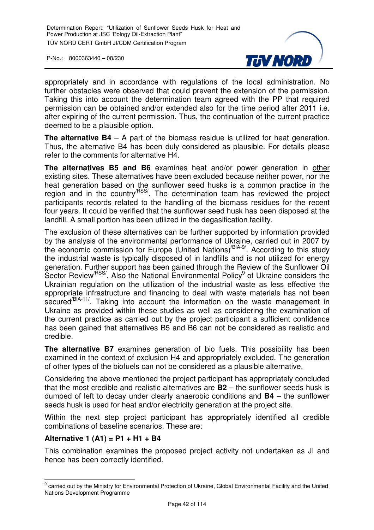

appropriately and in accordance with regulations of the local administration. No further obstacles were observed that could prevent the extension of the permission. Taking this into account the determination team agreed with the PP that required permission can be obtained and/or extended also for the time period after 2011 i.e. after expiring of the current permission. Thus, the continuation of the current practice deemed to be a plausible option.

**The alternative B4** – A part of the biomass residue is utilized for heat generation. Thus, the alternative B4 has been duly considered as plausible. For details please refer to the comments for alternative H4.

**The alternatives B5 and B6** examines heat and/or power generation in other existing sites. These alternatives have been excluded because neither power, nor the heat generation based on the sunflower seed husks is a common practice in the region and in the country<sup>/RSS/</sup>. The determination team has reviewed the project participants records related to the handling of the biomass residues for the recent four years. It could be verified that the sunflower seed husk has been disposed at the landfill. A small portion has been utilized in the degasification facility.

The exclusion of these alternatives can be further supported by information provided by the analysis of the environmental performance of Ukraine, carried out in 2007 by the economic commission for Europe (United Nations)<sup>/BIA-9/</sup>. According to this study the industrial waste is typically disposed of in landfills and is not utilized for energy generation. Further support has been gained through the Review of the Sunflower Oil Sector Review<sup>/RSS/</sup>. Also the National Environmental Policy<sup>9</sup> of Ukraine considers the Ukrainian regulation on the utilization of the industrial waste as less effective the appropriate infrastructure and financing to deal with waste materials has not been secured<sup>/BIA-11</sup>. Taking into account the information on the waste management in Ukraine as provided within these studies as well as considering the examination of the current practice as carried out by the project participant a sufficient confidence has been gained that alternatives B5 and B6 can not be considered as realistic and credible.

**The alternative B7** examines generation of bio fuels. This possibility has been examined in the context of exclusion H4 and appropriately excluded. The generation of other types of the biofuels can not be considered as a plausible alternative.

Considering the above mentioned the project participant has appropriately concluded that the most credible and realistic alternatives are **B2** – the sunflower seeds husk is dumped of left to decay under clearly anaerobic conditions and **B4** – the sunflower seeds husk is used for heat and/or electricity generation at the project site.

Within the next step project participant has appropriately identified all credible combinations of baseline scenarios. These are:

#### **Alternative 1 (A1) = P1 + H1 + B4**

This combination examines the proposed project activity not undertaken as JI and hence has been correctly identified.

<sup>&</sup>lt;u>edd</u><br><sup>9</sup> carried out by the Ministry for Environmental Protection of Ukraine, Global Environmental Facility and the United Nations Development Programme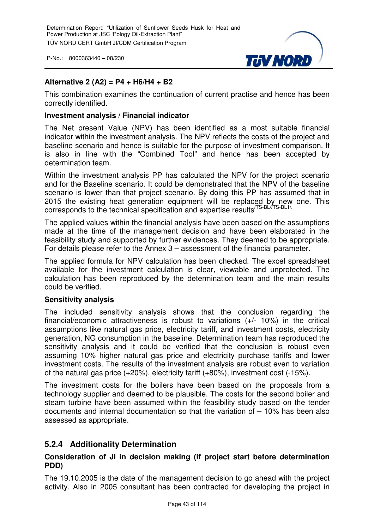

#### **Alternative 2 (A2) = P4 + H6/H4 + B2**

This combination examines the continuation of current practise and hence has been correctly identified.

#### **Investment analysis / Financial indicator**

The Net present Value (NPV) has been identified as a most suitable financial indicator within the investment analysis. The NPV reflects the costs of the project and baseline scenario and hence is suitable for the purpose of investment comparison. It is also in line with the "Combined Tool" and hence has been accepted by determination team.

Within the investment analysis PP has calculated the NPV for the project scenario and for the Baseline scenario. It could be demonstrated that the NPV of the baseline scenario is lower than that project scenario. By doing this PP has assumed that in 2015 the existing heat generation equipment will be replaced by new one. This corresponds to the technical specification and expertise results<sup>/TS-BL/TS-BL1/.</sup>

The applied values within the financial analysis have been based on the assumptions made at the time of the management decision and have been elaborated in the feasibility study and supported by further evidences. They deemed to be appropriate. For details please refer to the Annex 3 – assessment of the financial parameter.

The applied formula for NPV calculation has been checked. The excel spreadsheet available for the investment calculation is clear, viewable and unprotected. The calculation has been reproduced by the determination team and the main results could be verified.

#### **Sensitivity analysis**

The included sensitivity analysis shows that the conclusion regarding the financial/economic attractiveness is robust to variations (+/- 10%) in the critical assumptions like natural gas price, electricity tariff, and investment costs, electricity generation, NG consumption in the baseline. Determination team has reproduced the sensitivity analysis and it could be verified that the conclusion is robust even assuming 10% higher natural gas price and electricity purchase tariffs and lower investment costs. The results of the investment analysis are robust even to variation of the natural gas price (+20%), electricity tariff (+80%), investment cost (-15%).

The investment costs for the boilers have been based on the proposals from a technology supplier and deemed to be plausible. The costs for the second boiler and steam turbine have been assumed within the feasibility study based on the tender documents and internal documentation so that the variation of – 10% has been also assessed as appropriate.

#### **5.2.4 Additionality Determination**

#### **Consideration of JI in decision making (if project start before determination PDD)**

The 19.10.2005 is the date of the management decision to go ahead with the project activity. Also in 2005 consultant has been contracted for developing the project in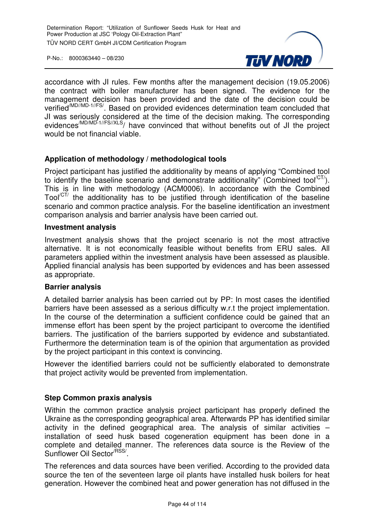

accordance with JI rules. Few months after the management decision (19.05.2006) the contract with boiler manufacturer has been signed. The evidence for the management decision has been provided and the date of the decision could be verified<sup>(MD//MD-1//FS/</sup>. Based on provided evidences determination team concluded that JI was seriously considered at the time of the decision making. The corresponding evidences<sup>/MD/MD-1//FS//XLS</sup>/ have convinced that without benefits out of JI the project would be not financial viable.

#### **Application of methodology / methodological tools**

Project participant has justified the additionality by means of applying "Combined tool to identify the baseline scenario and demonstrate additionality" (Combined tool $C(T)$ ). This is in line with methodology (ACM0006). In accordance with the Combined  $Tool<sup>CT</sup>$  the additionality has to be justified through identification of the baseline scenario and common practice analysis. For the baseline identification an investment comparison analysis and barrier analysis have been carried out.

#### **Investment analysis**

Investment analysis shows that the project scenario is not the most attractive alternative. It is not economically feasible without benefits from ERU sales. All parameters applied within the investment analysis have been assessed as plausible. Applied financial analysis has been supported by evidences and has been assessed as appropriate.

#### **Barrier analysis**

A detailed barrier analysis has been carried out by PP: In most cases the identified barriers have been assessed as a serious difficulty w.r.t the project implementation. In the course of the determination a sufficient confidence could be gained that an immense effort has been spent by the project participant to overcome the identified barriers. The justification of the barriers supported by evidence and substantiated. Furthermore the determination team is of the opinion that argumentation as provided by the project participant in this context is convincing.

However the identified barriers could not be sufficiently elaborated to demonstrate that project activity would be prevented from implementation.

#### **Step Common praxis analysis**

Within the common practice analysis project participant has properly defined the Ukraine as the corresponding geographical area. Afterwards PP has identified similar activity in the defined geographical area. The analysis of similar activities – installation of seed husk based cogeneration equipment has been done in a complete and detailed manner. The references data source is the Review of the Sunflower Oil Sector<sup>/RSS/</sup>.

The references and data sources have been verified. According to the provided data source the ten of the seventeen large oil plants have installed husk boilers for heat generation. However the combined heat and power generation has not diffused in the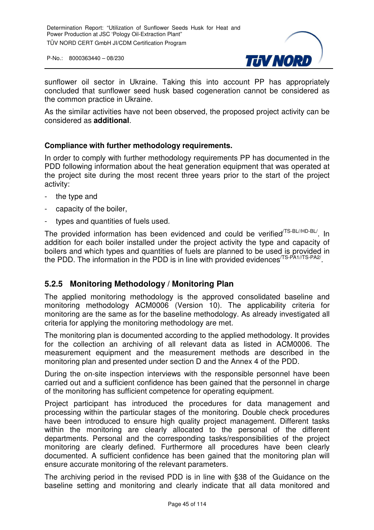

sunflower oil sector in Ukraine. Taking this into account PP has appropriately concluded that sunflower seed husk based cogeneration cannot be considered as the common practice in Ukraine.

As the similar activities have not been observed, the proposed project activity can be considered as **additional**.

#### **Compliance with further methodology requirements.**

In order to comply with further methodology requirements PP has documented in the PDD following information about the heat generation equipment that was operated at the project site during the most recent three years prior to the start of the project activity:

- the type and
- capacity of the boiler,
- types and quantities of fuels used.

The provided information has been evidenced and could be verified<sup>/TS-BL//HD-BL/</sup>. In addition for each boiler installed under the project activity the type and capacity of boilers and which types and quantities of fuels are planned to be used is provided in the PDD. The information in the PDD is in line with provided evidences<sup>/TS-PA1//TS-PA2/</sup>.

## **5.2.5 Monitoring Methodology / Monitoring Plan**

The applied monitoring methodology is the approved consolidated baseline and monitoring methodology ACM0006 (Version 10). The applicability criteria for monitoring are the same as for the baseline methodology. As already investigated all criteria for applying the monitoring methodology are met.

The monitoring plan is documented according to the applied methodology. It provides for the collection an archiving of all relevant data as listed in ACM0006. The measurement equipment and the measurement methods are described in the monitoring plan and presented under section D and the Annex 4 of the PDD.

During the on-site inspection interviews with the responsible personnel have been carried out and a sufficient confidence has been gained that the personnel in charge of the monitoring has sufficient competence for operating equipment.

Project participant has introduced the procedures for data management and processing within the particular stages of the monitoring. Double check procedures have been introduced to ensure high quality project management. Different tasks within the monitoring are clearly allocated to the personal of the different departments. Personal and the corresponding tasks/responsibilities of the project monitoring are clearly defined. Furthermore all procedures have been clearly documented. A sufficient confidence has been gained that the monitoring plan will ensure accurate monitoring of the relevant parameters.

The archiving period in the revised PDD is in line with §38 of the Guidance on the baseline setting and monitoring and clearly indicate that all data monitored and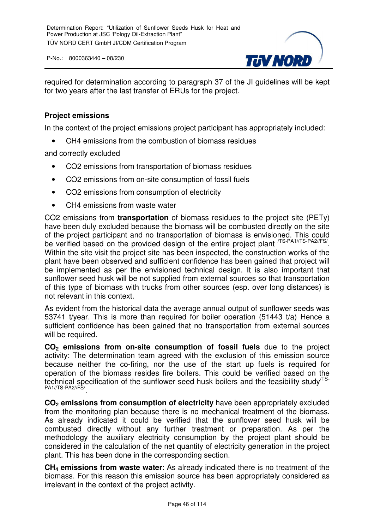

required for determination according to paragraph 37 of the JI guidelines will be kept for two years after the last transfer of ERUs for the project.

#### **Project emissions**

In the context of the project emissions project participant has appropriately included:

• CH4 emissions from the combustion of biomass residues

and correctly excluded

- CO2 emissions from transportation of biomass residues
- CO2 emissions from on-site consumption of fossil fuels
- CO2 emissions from consumption of electricity
- CH4 emissions from waste water

CO2 emissions from **transportation** of biomass residues to the project site (PETy) have been duly excluded because the biomass will be combusted directly on the site of the project participant and no transportation of biomass is envisioned. This could be verified based on the provided design of the entire project plant <sup>TS-PA1//TS-PA2//FS/</sup>. Within the site visit the project site has been inspected, the construction works of the plant have been observed and sufficient confidence has been gained that project will be implemented as per the envisioned technical design. It is also important that sunflower seed husk will be not supplied from external sources so that transportation of this type of biomass with trucks from other sources (esp. over long distances) is not relevant in this context.

As evident from the historical data the average annual output of sunflower seeds was 53741 t/year. This is more than required for boiler operation (51443 t/a) Hence a sufficient confidence has been gained that no transportation from external sources will be required.

**CO2 emissions from on-site consumption of fossil fuels** due to the project activity: The determination team agreed with the exclusion of this emission source because neither the co-firing, nor the use of the start up fuels is required for operation of the biomass resides fire boilers. This could be verified based on the technical specification of the sunflower seed husk boilers and the feasibility study<sup>TS-</sup> PA1//TS-PA2//FS/ .

**CO2 emissions from consumption of electricity** have been appropriately excluded from the monitoring plan because there is no mechanical treatment of the biomass. As already indicated it could be verified that the sunflower seed husk will be combusted directly without any further treatment or preparation. As per the methodology the auxiliary electricity consumption by the project plant should be considered in the calculation of the net quantity of electricity generation in the project plant. This has been done in the corresponding section.

**CH4 emissions from waste water**: As already indicated there is no treatment of the biomass. For this reason this emission source has been appropriately considered as irrelevant in the context of the project activity.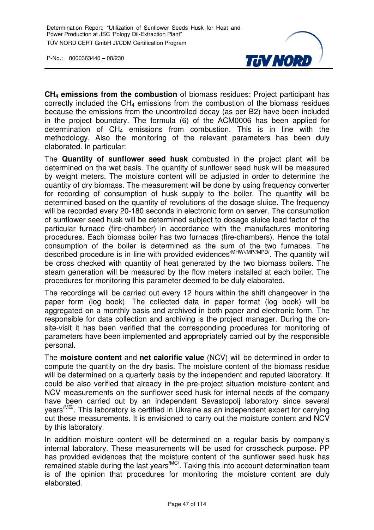

**CH4 emissions from the combustion** of biomass residues: Project participant has correctly included the  $CH<sub>4</sub>$  emissions from the combustion of the biomass residues because the emissions from the uncontrolled decay (as per B2) have been included in the project boundary. The formula (6) of the ACM0006 has been applied for determination of  $CH_4$  emissions from combustion. This is in line with the methodology. Also the monitoring of the relevant parameters has been duly elaborated. In particular:

The **Quantity of sunflower seed husk** combusted in the project plant will be determined on the wet basis. The quantity of sunflower seed husk will be measured by weight meters. The moisture content will be adjusted in order to determine the quantity of dry biomass. The measurement will be done by using frequency converter for recording of consumption of husk supply to the boiler. The quantity will be determined based on the quantity of revolutions of the dosage sluice. The frequency will be recorded every 20-180 seconds in electronic form on server. The consumption of sunflower seed husk will be determined subject to dosage sluice load factor of the particular furnace (fire-chamber) in accordance with the manufactures monitoring procedures. Each biomass boiler has two furnaces (fire-chambers). Hence the total consumption of the boiler is determined as the sum of the two furnaces. The described procedure is in line with provided evidences<sup>/MHW//MP//MPD/</sup>. The quantity will be cross checked with quantity of heat generated by the two biomass boilers. The steam generation will be measured by the flow meters installed at each boiler. The procedures for monitoring this parameter deemed to be duly elaborated.

The recordings will be carried out every 12 hours within the shift changeover in the paper form (log book). The collected data in paper format (log book) will be aggregated on a monthly basis and archived in both paper and electronic form. The responsible for data collection and archiving is the project manager. During the onsite-visit it has been verified that the corresponding procedures for monitoring of parameters have been implemented and appropriately carried out by the responsible personal.

The **moisture content** and **net calorific value** (NCV) will be determined in order to compute the quantity on the dry basis. The moisture content of the biomass residue will be determined on a quarterly basis by the independent and reputed laboratory. It could be also verified that already in the pre-project situation moisture content and NCV measurements on the sunflower seed husk for internal needs of the company have been carried out by an independent Sevastopolj laboratory since several years<sup>/MC/</sup>. This laboratory is certified in Ukraine as an independent expert for carrying out these measurements. It is envisioned to carry out the moisture content and NCV by this laboratory.

In addition moisture content will be determined on a regular basis by company's internal laboratory. These measurements will be used for crosscheck purpose. PP has provided evidences that the moisture content of the sunflower seed husk has remained stable during the last years<sup>/MC/</sup>. Taking this into account determination team is of the opinion that procedures for monitoring the moisture content are duly elaborated.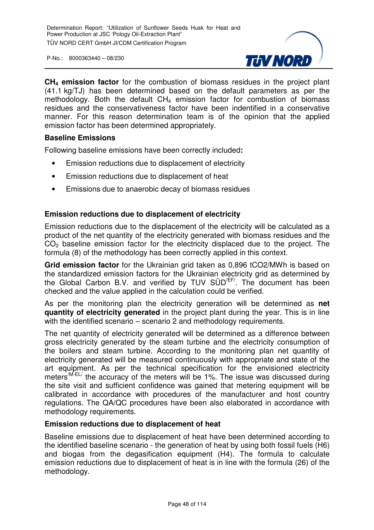

**CH4 emission factor** for the combustion of biomass residues in the project plant (41.1 kg/TJ) has been determined based on the default parameters as per the methodology. Both the default  $CH_4$  emission factor for combustion of biomass residues and the conservativeness factor have been indentified in a conservative manner. For this reason determination team is of the opinion that the applied emission factor has been determined appropriately.

#### **Baseline Emissions**

Following baseline emissions have been correctly included**:** 

- Emission reductions due to displacement of electricity
- Emission reductions due to displacement of heat
- Emissions due to anaerobic decay of biomass residues

#### **Emission reductions due to displacement of electricity**

Emission reductions due to the displacement of the electricity will be calculated as a product of the net quantity of the electricity generated with biomass residues and the CO<sub>2</sub> baseline emission factor for the electricity displaced due to the project. The formula (8) of the methodology has been correctly applied in this context.

**Grid emission factor** for the Ukrainian grid taken as 0,896 tCO2/MWh is based on the standardized emission factors for the Ukrainian electricity grid as determined by the Global Carbon B.V. and verified by TUV SÜD<sup>/EF/</sup>. The document has been checked and the value applied in the calculation could be verified.

As per the monitoring plan the electricity generation will be determined as **net quantity of electricity generated** in the project plant during the year. This is in line with the identified scenario – scenario 2 and methodology requirements.

The net quantity of electricity generated will be determined as a difference between gross electricity generated by the steam turbine and the electricity consumption of the boilers and steam turbine. According to the monitoring plan net quantity of electricity generated will be measured continuously with appropriate and state of the art equipment. As per the technical specification for the envisioned electricity meters<sup>/M-EL/</sup> the accuracy of the meters will be 1%. The issue was discussed during the site visit and sufficient confidence was gained that metering equipment will be calibrated in accordance with procedures of the manufacturer and host country regulations. The QA/QC procedures have been also elaborated in accordance with methodology requirements.

#### **Emission reductions due to displacement of heat**

Baseline emissions due to displacement of heat have been determined according to the identified baseline scenario - the generation of heat by using both fossil fuels (H6) and biogas from the degasification equipment (H4). The formula to calculate emission reductions due to displacement of heat is in line with the formula (26) of the methodology.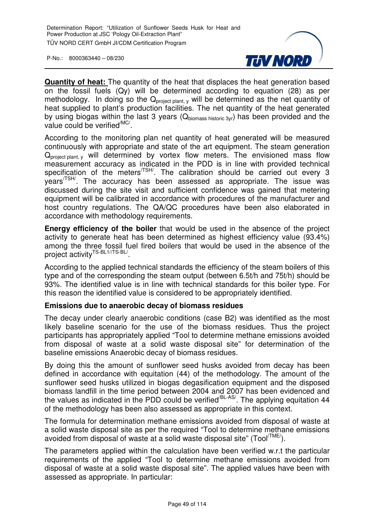

**Quantity of heat:** The quantity of the heat that displaces the heat generation based on the fossil fuels (Qy) will be determined according to equation (28) as per methodology. In doing so the  $Q<sub>project</sub> plant, y$  will be determined as the net quantity of heat supplied to plant's production facilities. The net quantity of the heat generated by using biogas within the last 3 years ( $Q_{\text{biomass history}}$ ) has been provided and the value could be verified<sup>/MC/</sup>.

According to the monitoring plan net quantity of heat generated will be measured continuously with appropriate and state of the art equipment. The steam generation  $Q<sub>project plant, y</sub>$  will determined by vortex flow meters. The envisioned mass flow measurement accuracy as indicated in the PDD is in line with provided technical specification of the meters<sup>/TSH</sup>. The calibration should be carried out every 3 years<sup>/TSH/</sup>. The accuracy has been assessed as appropriate. The issue was discussed during the site visit and sufficient confidence was gained that metering equipment will be calibrated in accordance with procedures of the manufacturer and host country regulations. The QA/QC procedures have been also elaborated in accordance with methodology requirements.

**Energy efficiency of the boiler** that would be used in the absence of the project activity to generate heat has been determined as highest efficiency value (93.4%) among the three fossil fuel fired boilers that would be used in the absence of the project activity<sup>TS-BL1//TS-BL/</sup>.

According to the applied technical standards the efficiency of the steam boilers of this type and of the corresponding the steam output (between 6.5t/h and 75t/h) should be 93%. The identified value is in line with technical standards for this boiler type. For this reason the identified value is considered to be appropriately identified.

#### **Emissions due to anaerobic decay of biomass residues**

The decay under clearly anaerobic conditions (case B2) was identified as the most likely baseline scenario for the use of the biomass residues. Thus the project participants has appropriately applied "Tool to determine methane emissions avoided from disposal of waste at a solid waste disposal site" for determination of the baseline emissions Anaerobic decay of biomass residues.

By doing this the amount of sunflower seed husks avoided from decay has been defined in accordance with equitation (44) of the methodology. The amount of the sunflower seed husks utilized in biogas degasification equipment and the disposed biomass landfill in the time period between 2004 and 2007 has been evidenced and the values as indicated in the PDD could be verified<sup>/BL-AS/</sup>. The applying equitation 44 of the methodology has been also assessed as appropriate in this context.

The formula for determination methane emissions avoided from disposal of waste at a solid waste disposal site as per the required "Tool to determine methane emissions avoided from disposal of waste at a solid waste disposal site" (Tool/TME/).

The parameters applied within the calculation have been verified w.r.t the particular requirements of the applied "Tool to determine methane emissions avoided from disposal of waste at a solid waste disposal site". The applied values have been with assessed as appropriate. In particular: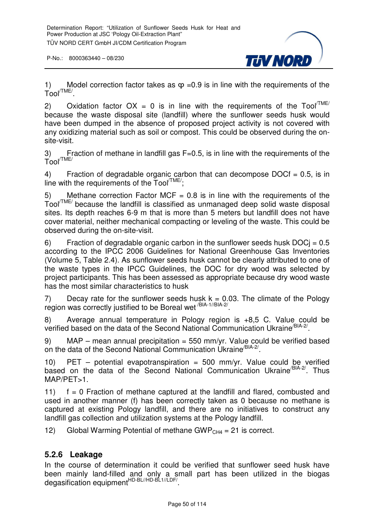

1) Model correction factor takes as  $\varphi$  =0.9 is in line with the requirements of the  $\mathsf{Tool}^{\prime\mathsf{TME}/}.$ 

2) Oxidation factor  $OX = 0$  is in line with the requirements of the Tool<sup> $TIME/$ </sup> because the waste disposal site (landfill) where the sunflower seeds husk would have been dumped in the absence of proposed project activity is not covered with any oxidizing material such as soil or compost. This could be observed during the onsite-visit.

3) Fraction of methane in landfill gas F=0.5, is in line with the requirements of the Tool/TME/

4) Fraction of degradable organic carbon that can decompose  $DOCf = 0.5$ , is in line with the requirements of the  $\text{Tool}^{\text{TME}'}$ :

5) Methane correction Factor MCF =  $0.8$  is in line with the requirements of the Tool/TME/ because the landfill is classified as unmanaged deep solid waste disposal sites. Its depth reaches 6-9 m that is more than 5 meters but landfill does not have cover material, neither mechanical compacting or leveling of the waste. This could be observed during the on-site-visit.

6) Fraction of degradable organic carbon in the sunflower seeds husk  $DOCj = 0.5$ according to the IPCC 2006 Guidelines for National Greenhouse Gas Inventories (Volume 5, Table 2.4). As sunflower seeds husk cannot be clearly attributed to one of the waste types in the IPCC Guidelines, the DOC for dry wood was selected by project participants. This has been assessed as appropriate because dry wood waste has the most similar characteristics to husk

7) Decay rate for the sunflower seeds husk  $k = 0.03$ . The climate of the Pology region was correctly justified to be Boreal wet <sup>/BIA-1//BIA-2/</sup>.

8) Average annual temperature in Pology region is +8,5 C. Value could be verified based on the data of the Second National Communication Ukraine<sup>/BIA-2/</sup>.

9) MAP – mean annual precipitation =  $550$  mm/yr. Value could be verified based on the data of the Second National Communication Ukraine<sup>/BIA-2/</sup>.

10) PET – potential evapotranspiration = 500 mm/yr. Value could be verified based on the data of the Second National Communication Ukraine<sup>/BIA-2/</sup>. Thus MAP/PET>1.

11)  $f = 0$  Fraction of methane captured at the landfill and flared, combusted and used in another manner (f) has been correctly taken as 0 because no methane is captured at existing Pology landfill, and there are no initiatives to construct any landfill gas collection and utilization systems at the Pology landfill.

12) Global Warming Potential of methane GWP<sub>CH4</sub> = 21 is correct.

## **5.2.6 Leakage**

In the course of determination it could be verified that sunflower seed husk have been mainly land-filled and only a small part has been utilized in the biogas degasification equipment<sup>HD-BL//HD-BL1//LDF/</sup>.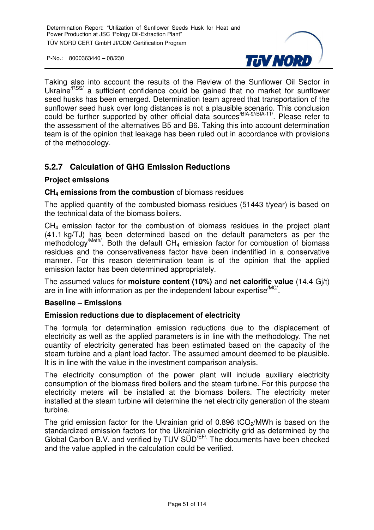

Taking also into account the results of the Review of the Sunflower Oil Sector in Ukraine<sup>/RSS/</sup> a sufficient confidence could be gained that no market for sunflower seed husks has been emerged. Determination team agreed that transportation of the sunflower seed husk over long distances is not a plausible scenario. This conclusion could be further supported by other official data sources<sup>/BIA-9//BIA-11/</sup>. Please refer to the assessment of the alternatives B5 and B6. Taking this into account determination team is of the opinion that leakage has been ruled out in accordance with provisions of the methodology.

## **5.2.7 Calculation of GHG Emission Reductions**

#### **Project emissions**

#### **CH4 emissions from the combustion** of biomass residues

The applied quantity of the combusted biomass residues (51443 t/year) is based on the technical data of the biomass boilers.

CH4 emission factor for the combustion of biomass residues in the project plant (41.1 kg/TJ) has been determined based on the default parameters as per the methodology<sup>/Meth</sup><sup>/</sup>. Both the default  $CH_4$  emission factor for combustion of biomass residues and the conservativeness factor have been indentified in a conservative manner. For this reason determination team is of the opinion that the applied emission factor has been determined appropriately.

The assumed values for **moisture content (10%)** and **net calorific value** (14.4 Gj/t) are in line with information as per the independent labour expertise<sup>/MC/</sup>.

#### **Baseline – Emissions**

#### **Emission reductions due to displacement of electricity**

The formula for determination emission reductions due to the displacement of electricity as well as the applied parameters is in line with the methodology. The net quantity of electricity generated has been estimated based on the capacity of the steam turbine and a plant load factor. The assumed amount deemed to be plausible. It is in line with the value in the investment comparison analysis.

The electricity consumption of the power plant will include auxiliary electricity consumption of the biomass fired boilers and the steam turbine. For this purpose the electricity meters will be installed at the biomass boilers. The electricity meter installed at the steam turbine will determine the net electricity generation of the steam turbine.

The grid emission factor for the Ukrainian grid of  $0.896$  tCO<sub>2</sub>/MWh is based on the standardized emission factors for the Ukrainian electricity grid as determined by the Global Carbon B.V. and verified by TUV SÜD<sup>/EF/.</sup> The documents have been checked and the value applied in the calculation could be verified.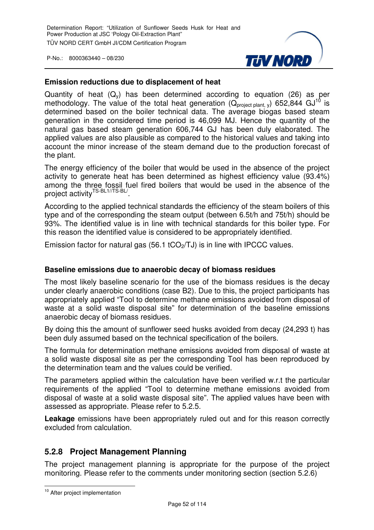

#### **Emission reductions due to displacement of heat**

Quantity of heat  $(Q_v)$  has been determined according to equation (26) as per methodology. The value of the total heat generation ( $Q_{project\ plant. v}$ ) 652,844 GJ<sup>10</sup> is determined based on the boiler technical data. The average biogas based steam generation in the considered time period is 46,099 MJ. Hence the quantity of the natural gas based steam generation 606,744 GJ has been duly elaborated. The applied values are also plausible as compared to the historical values and taking into account the minor increase of the steam demand due to the production forecast of the plant.

The energy efficiency of the boiler that would be used in the absence of the project activity to generate heat has been determined as highest efficiency value (93.4%) among the three fossil fuel fired boilers that would be used in the absence of the project activity<sup>TS-BL1//TS-BL/</sup>.

According to the applied technical standards the efficiency of the steam boilers of this type and of the corresponding the steam output (between 6.5t/h and 75t/h) should be 93%. The identified value is in line with technical standards for this boiler type. For this reason the identified value is considered to be appropriately identified.

Emission factor for natural gas (56.1 tCO $_2$ /TJ) is in line with IPCCC values.

#### **Baseline emissions due to anaerobic decay of biomass residues**

The most likely baseline scenario for the use of the biomass residues is the decay under clearly anaerobic conditions (case B2). Due to this, the project participants has appropriately applied "Tool to determine methane emissions avoided from disposal of waste at a solid waste disposal site" for determination of the baseline emissions anaerobic decay of biomass residues.

By doing this the amount of sunflower seed husks avoided from decay (24,293 t) has been duly assumed based on the technical specification of the boilers.

The formula for determination methane emissions avoided from disposal of waste at a solid waste disposal site as per the corresponding Tool has been reproduced by the determination team and the values could be verified.

The parameters applied within the calculation have been verified w.r.t the particular requirements of the applied "Tool to determine methane emissions avoided from disposal of waste at a solid waste disposal site". The applied values have been with assessed as appropriate. Please refer to 5.2.5.

**Leakage** emissions have been appropriately ruled out and for this reason correctly excluded from calculation.

## **5.2.8 Project Management Planning**

The project management planning is appropriate for the purpose of the project monitoring. Please refer to the comments under monitoring section (section 5.2.6)

 $\overline{a}$ <sup>10</sup> After project implementation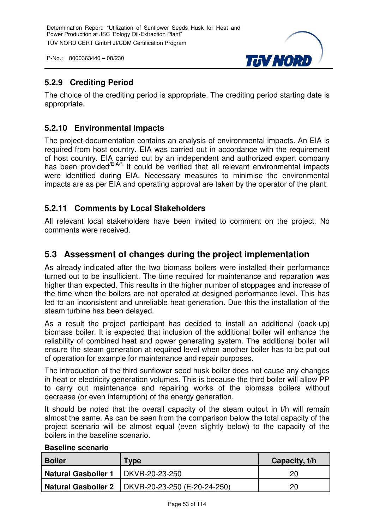

## **5.2.9 Crediting Period**

The choice of the crediting period is appropriate. The crediting period starting date is appropriate.

## **5.2.10 Environmental Impacts**

The project documentation contains an analysis of environmental impacts. An EIA is required from host country. EIA was carried out in accordance with the requirement of host country. EIA carried out by an independent and authorized expert company has been provided<sup>/EIA/\*</sup>. It could be verified that all relevant environmental impacts were identified during EIA. Necessary measures to minimise the environmental impacts are as per EIA and operating approval are taken by the operator of the plant.

## **5.2.11 Comments by Local Stakeholders**

All relevant local stakeholders have been invited to comment on the project. No comments were received.

## **5.3 Assessment of changes during the project implementation**

As already indicated after the two biomass boilers were installed their performance turned out to be insufficient. The time required for maintenance and reparation was higher than expected. This results in the higher number of stoppages and increase of the time when the boilers are not operated at designed performance level. This has led to an inconsistent and unreliable heat generation. Due this the installation of the steam turbine has been delayed.

As a result the project participant has decided to install an additional (back-up) biomass boiler. It is expected that inclusion of the additional boiler will enhance the reliability of combined heat and power generating system. The additional boiler will ensure the steam generation at required level when another boiler has to be put out of operation for example for maintenance and repair purposes.

The introduction of the third sunflower seed husk boiler does not cause any changes in heat or electricity generation volumes. This is because the third boiler will allow PP to carry out maintenance and repairing works of the biomass boilers without decrease (or even interruption) of the energy generation.

It should be noted that the overall capacity of the steam output in t/h will remain almost the same. As can be seen from the comparison below the total capacity of the project scenario will be almost equal (even slightly below) to the capacity of the boilers in the baseline scenario.

| <b>Boiler</b>                        | Type                                                      | Capacity, t/h |
|--------------------------------------|-----------------------------------------------------------|---------------|
| Natural Gasboiler 1   DKVR-20-23-250 |                                                           | 20            |
|                                      | <b>Natural Gasboiler 2</b>   DKVR-20-23-250 (E-20-24-250) | 20            |

#### **Baseline scenario**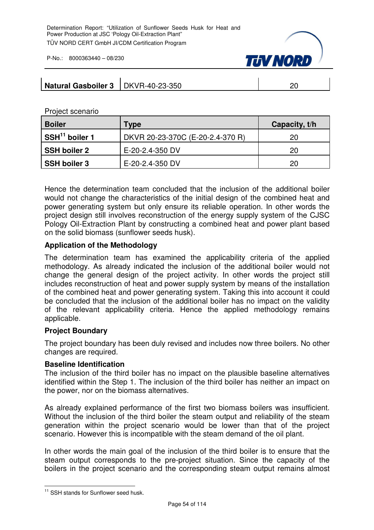

| Natural Gasboiler 3   DKVR-40-23-350 |  |  |
|--------------------------------------|--|--|
|--------------------------------------|--|--|

Project scenario

| <b>Boiler</b>              | Type                             | Capacity, t/h |
|----------------------------|----------------------------------|---------------|
| SSH <sup>11</sup> boiler 1 | DKVR 20-23-370C (E-20-2.4-370 R) | 20            |
| <b>SSH boiler 2</b>        | E-20-2.4-350 DV                  | 20            |
| <b>SSH boiler 3</b>        | E-20-2.4-350 DV                  | 20            |

Hence the determination team concluded that the inclusion of the additional boiler would not change the characteristics of the initial design of the combined heat and power generating system but only ensure its reliable operation. In other words the project design still involves reconstruction of the energy supply system of the CJSC Pology Oil-Extraction Plant by constructing a combined heat and power plant based on the solid biomass (sunflower seeds husk).

#### **Application of the Methodology**

The determination team has examined the applicability criteria of the applied methodology. As already indicated the inclusion of the additional boiler would not change the general design of the project activity. In other words the project still includes reconstruction of heat and power supply system by means of the installation of the combined heat and power generating system. Taking this into account it could be concluded that the inclusion of the additional boiler has no impact on the validity of the relevant applicability criteria. Hence the applied methodology remains applicable.

#### **Project Boundary**

The project boundary has been duly revised and includes now three boilers. No other changes are required.

#### **Baseline Identification**

The inclusion of the third boiler has no impact on the plausible baseline alternatives identified within the Step 1. The inclusion of the third boiler has neither an impact on the power, nor on the biomass alternatives.

As already explained performance of the first two biomass boilers was insufficient. Without the inclusion of the third boiler the steam output and reliability of the steam generation within the project scenario would be lower than that of the project scenario. However this is incompatible with the steam demand of the oil plant.

In other words the main goal of the inclusion of the third boiler is to ensure that the steam output corresponds to the pre-project situation. Since the capacity of the boilers in the project scenario and the corresponding steam output remains almost

 $\overline{a}$ <sup>11</sup> SSH stands for Sunflower seed husk.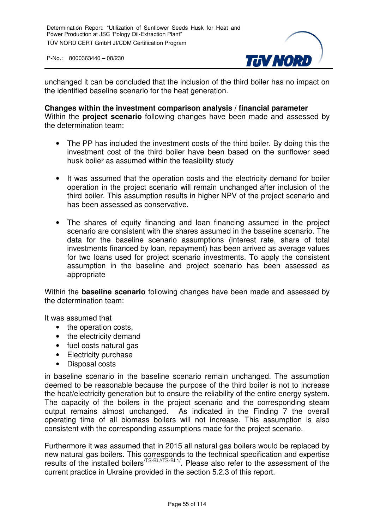

unchanged it can be concluded that the inclusion of the third boiler has no impact on the identified baseline scenario for the heat generation.

#### **Changes within the investment comparison analysis / financial parameter** Within the **project scenario** following changes have been made and assessed by

the determination team:

- The PP has included the investment costs of the third boiler. By doing this the investment cost of the third boiler have been based on the sunflower seed husk boiler as assumed within the feasibility study
- It was assumed that the operation costs and the electricity demand for boiler operation in the project scenario will remain unchanged after inclusion of the third boiler. This assumption results in higher NPV of the project scenario and has been assessed as conservative.
- The shares of equity financing and loan financing assumed in the project scenario are consistent with the shares assumed in the baseline scenario. The data for the baseline scenario assumptions (interest rate, share of total investments financed by loan, repayment) has been arrived as average values for two loans used for project scenario investments. To apply the consistent assumption in the baseline and project scenario has been assessed as appropriate

Within the **baseline scenario** following changes have been made and assessed by the determination team:

It was assumed that

- the operation costs,
- the electricity demand
- fuel costs natural gas
- Electricity purchase
- Disposal costs

in baseline scenario in the baseline scenario remain unchanged. The assumption deemed to be reasonable because the purpose of the third boiler is not to increase the heat/electricity generation but to ensure the reliability of the entire energy system. The capacity of the boilers in the project scenario and the corresponding steam output remains almost unchanged. As indicated in the Finding 7 the overall operating time of all biomass boilers will not increase. This assumption is also consistent with the corresponding assumptions made for the project scenario.

Furthermore it was assumed that in 2015 all natural gas boilers would be replaced by new natural gas boilers. This corresponds to the technical specification and expertise results of the installed boilers<sup>/TS-BL//TS-BL1/</sup>. Please also refer to the assessment of the current practice in Ukraine provided in the section 5.2.3 of this report.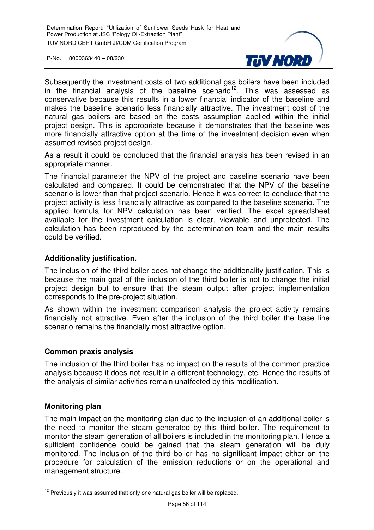

Subsequently the investment costs of two additional gas boilers have been included in the financial analysis of the baseline scenario<sup>12</sup>. This was assessed as conservative because this results in a lower financial indicator of the baseline and makes the baseline scenario less financially attractive. The investment cost of the natural gas boilers are based on the costs assumption applied within the initial project design. This is appropriate because it demonstrates that the baseline was more financially attractive option at the time of the investment decision even when assumed revised project design.

As a result it could be concluded that the financial analysis has been revised in an appropriate manner.

The financial parameter the NPV of the project and baseline scenario have been calculated and compared. It could be demonstrated that the NPV of the baseline scenario is lower than that project scenario. Hence it was correct to conclude that the project activity is less financially attractive as compared to the baseline scenario. The applied formula for NPV calculation has been verified. The excel spreadsheet available for the investment calculation is clear, viewable and unprotected. The calculation has been reproduced by the determination team and the main results could be verified.

#### **Additionality justification.**

The inclusion of the third boiler does not change the additionality justification. This is because the main goal of the inclusion of the third boiler is not to change the initial project design but to ensure that the steam output after project implementation corresponds to the pre-project situation.

As shown within the investment comparison analysis the project activity remains financially not attractive. Even after the inclusion of the third boiler the base line scenario remains the financially most attractive option.

#### **Common praxis analysis**

The inclusion of the third boiler has no impact on the results of the common practice analysis because it does not result in a different technology, etc. Hence the results of the analysis of similar activities remain unaffected by this modification.

#### **Monitoring plan**

The main impact on the monitoring plan due to the inclusion of an additional boiler is the need to monitor the steam generated by this third boiler. The requirement to monitor the steam generation of all boilers is included in the monitoring plan. Hence a sufficient confidence could be gained that the steam generation will be duly monitored. The inclusion of the third boiler has no significant impact either on the procedure for calculation of the emission reductions or on the operational and management structure.

 $\overline{a}$  $12$  Previously it was assumed that only one natural gas boiler will be replaced.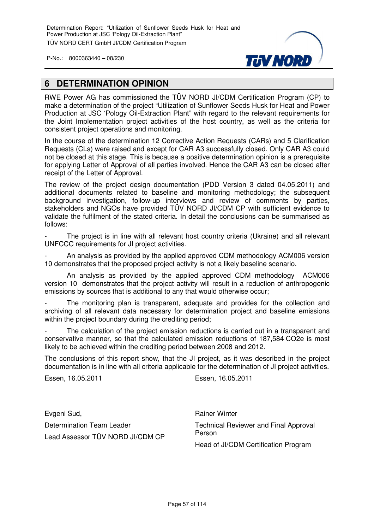

## **6 DETERMINATION OPINION**

RWE Power AG has commissioned the TÜV NORD JI/CDM Certification Program (CP) to make a determination of the project "Utilization of Sunflower Seeds Husk for Heat and Power Production at JSC 'Pology Oil-Extraction Plant" with regard to the relevant requirements for the Joint Implementation project activities of the host country, as well as the criteria for consistent project operations and monitoring.

In the course of the determination 12 Corrective Action Requests (CARs) and 5 Clarification Requests (CLs) were raised and except for CAR A3 successfully closed. Only CAR A3 could not be closed at this stage. This is because a positive determination opinion is a prerequisite for applying Letter of Approval of all parties involved. Hence the CAR A3 can be closed after receipt of the Letter of Approval.

The review of the project design documentation (PDD Version 3 dated 04.05.2011) and additional documents related to baseline and monitoring methodology; the subsequent background investigation, follow-up interviews and review of comments by parties, stakeholders and NGOs have provided TÜV NORD JI/CDM CP with sufficient evidence to validate the fulfilment of the stated criteria. In detail the conclusions can be summarised as follows:

The project is in line with all relevant host country criteria (Ukraine) and all relevant UNFCCC requirements for JI project activities.

- An analysis as provided by the applied approved CDM methodology ACM006 version 10 demonstrates that the proposed project activity is not a likely baseline scenario.

 An analysis as provided by the applied approved CDM methodology ACM006 version 10 demonstrates that the project activity will result in a reduction of anthropogenic emissions by sources that is additional to any that would otherwise occur;

The monitoring plan is transparent, adequate and provides for the collection and archiving of all relevant data necessary for determination project and baseline emissions within the project boundary during the crediting period;

The calculation of the project emission reductions is carried out in a transparent and conservative manner, so that the calculated emission reductions of 187,584 CO2e is most likely to be achieved within the crediting period between 2008 and 2012.

The conclusions of this report show, that the JI project, as it was described in the project documentation is in line with all criteria applicable for the determination of JI project activities.

Essen, 16.05.2011 Essen, 16.05.2011

Evgeni Sud, Determination Team Leader Lead Assessor TÜV NORD JI/CDM CP Rainer Winter Technical Reviewer and Final Approval Person Head of JI/CDM Certification Program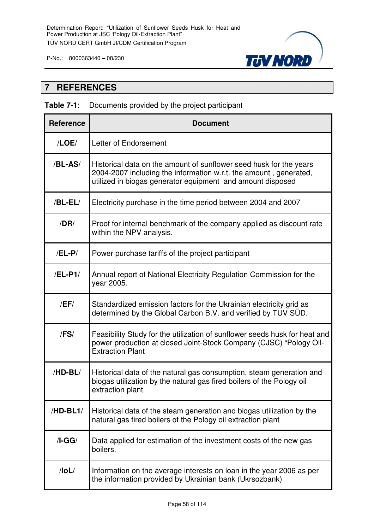

## **7 REFERENCES**

### **Table 7-1**: Documents provided by the project participant

| <b>Reference</b> | <b>Document</b>                                                                                                                                                                                       |
|------------------|-------------------------------------------------------------------------------------------------------------------------------------------------------------------------------------------------------|
| /LOE/            | Letter of Endorsement                                                                                                                                                                                 |
| /BL-AS/          | Historical data on the amount of sunflower seed husk for the years<br>2004-2007 including the information w.r.t. the amount, generated,<br>utilized in biogas generator equipment and amount disposed |
| $/BL-EL/$        | Electricity purchase in the time period between 2004 and 2007                                                                                                                                         |
| /DR/             | Proof for internal benchmark of the company applied as discount rate<br>within the NPV analysis.                                                                                                      |
| $/EL-P/$         | Power purchase tariffs of the project participant                                                                                                                                                     |
| /EL-P1/          | Annual report of National Electricity Regulation Commission for the<br>year 2005.                                                                                                                     |
| /EF/             | Standardized emission factors for the Ukrainian electricity grid as<br>determined by the Global Carbon B.V. and verified by TUV SUD.                                                                  |
| /FS/             | Feasibility Study for the utilization of sunflower seeds husk for heat and<br>power production at closed Joint-Stock Company (CJSC) "Pology Oil-<br><b>Extraction Plant</b>                           |
| /HD-BL/          | Historical data of the natural gas consumption, steam generation and<br>biogas utilization by the natural gas fired boilers of the Pology oil<br>extraction plant                                     |
| /HD-BL1/         | Historical data of the steam generation and biogas utilization by the<br>natural gas fired boilers of the Pology oil extraction plant                                                                 |
| $/I-GG/$         | Data applied for estimation of the investment costs of the new gas<br>boilers.                                                                                                                        |
| $/$ loL $/$      | Information on the average interests on loan in the year 2006 as per<br>the information provided by Ukrainian bank (Ukrsozbank)                                                                       |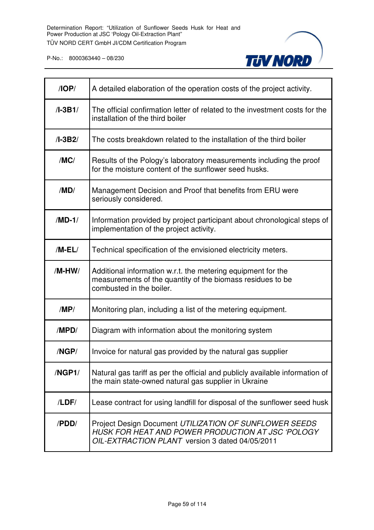

| $\sqrt{OP}$ | A detailed elaboration of the operation costs of the project activity.                                                                                         |
|-------------|----------------------------------------------------------------------------------------------------------------------------------------------------------------|
| $/I-3B1/$   | The official confirmation letter of related to the investment costs for the<br>installation of the third boiler                                                |
| $/I-3B2/$   | The costs breakdown related to the installation of the third boiler                                                                                            |
| /MC/        | Results of the Pology's laboratory measurements including the proof<br>for the moisture content of the sunflower seed husks.                                   |
| /MD/        | Management Decision and Proof that benefits from ERU were<br>seriously considered.                                                                             |
| $/MD-1/$    | Information provided by project participant about chronological steps of<br>implementation of the project activity.                                            |
| $/M-EL/$    | Technical specification of the envisioned electricity meters.                                                                                                  |
| /M-HW/      | Additional information w.r.t. the metering equipment for the<br>measurements of the quantity of the biomass residues to be<br>combusted in the boiler.         |
| /MP/        | Monitoring plan, including a list of the metering equipment.                                                                                                   |
| /MPD/       | Diagram with information about the monitoring system                                                                                                           |
| /NGP/       | Invoice for natural gas provided by the natural gas supplier                                                                                                   |
| /NGP1/      | Natural gas tariff as per the official and publicly available information of<br>the main state-owned natural gas supplier in Ukraine                           |
| /LDF/       | Lease contract for using landfill for disposal of the sunflower seed husk                                                                                      |
| /PDD/       | Project Design Document UTILIZATION OF SUNFLOWER SEEDS<br>HUSK FOR HEAT AND POWER PRODUCTION AT JSC 'POLOGY<br>OIL-EXTRACTION PLANT version 3 dated 04/05/2011 |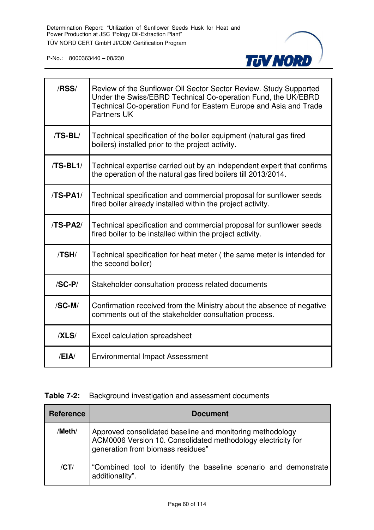

| /RSS/      | Review of the Sunflower Oil Sector Sector Review. Study Supported<br>Under the Swiss/EBRD Technical Co-operation Fund, the UK/EBRD<br>Technical Co-operation Fund for Eastern Europe and Asia and Trade<br><b>Partners UK</b> |
|------------|-------------------------------------------------------------------------------------------------------------------------------------------------------------------------------------------------------------------------------|
| $/TS-BL/$  | Technical specification of the boiler equipment (natural gas fired<br>boilers) installed prior to the project activity.                                                                                                       |
| $/TS-BL1/$ | Technical expertise carried out by an independent expert that confirms<br>the operation of the natural gas fired boilers till 2013/2014.                                                                                      |
| $/TS-PA1/$ | Technical specification and commercial proposal for sunflower seeds<br>fired boiler already installed within the project activity.                                                                                            |
| /TS-PA2/   | Technical specification and commercial proposal for sunflower seeds<br>fired boiler to be installed within the project activity.                                                                                              |
| /TSH/      | Technical specification for heat meter (the same meter is intended for<br>the second boiler)                                                                                                                                  |
| $/SC-P/$   | Stakeholder consultation process related documents                                                                                                                                                                            |
| /SC-M/     | Confirmation received from the Ministry about the absence of negative<br>comments out of the stakeholder consultation process.                                                                                                |
| /XLS/      | Excel calculation spreadsheet                                                                                                                                                                                                 |
| /EIA/      | <b>Environmental Impact Assessment</b>                                                                                                                                                                                        |

#### **Table 7-2:** Background investigation and assessment documents

| <b>Reference</b> | <b>Document</b>                                                                                                                                                |
|------------------|----------------------------------------------------------------------------------------------------------------------------------------------------------------|
| /Meth/           | Approved consolidated baseline and monitoring methodology<br>ACM0006 Version 10. Consolidated methodology electricity for<br>generation from biomass residues" |
| /CT/             | "Combined tool to identify the baseline scenario and demonstrate<br>additionality".                                                                            |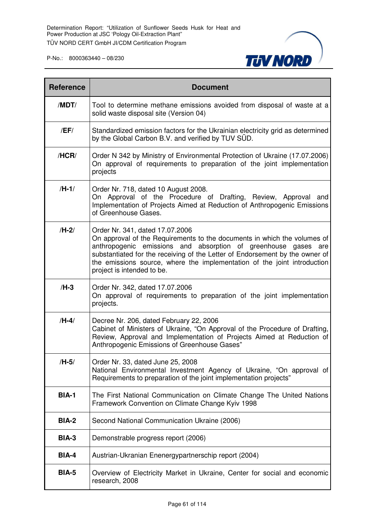

| <b>Reference</b> | <b>Document</b>                                                                                                                                                                                                                                                                                                                                                         |
|------------------|-------------------------------------------------------------------------------------------------------------------------------------------------------------------------------------------------------------------------------------------------------------------------------------------------------------------------------------------------------------------------|
| /MDT/            | Tool to determine methane emissions avoided from disposal of waste at a<br>solid waste disposal site (Version 04)                                                                                                                                                                                                                                                       |
| /EF/             | Standardized emission factors for the Ukrainian electricity grid as determined<br>by the Global Carbon B.V. and verified by TUV SÜD.                                                                                                                                                                                                                                    |
| /HCR/            | Order N 342 by Ministry of Environmental Protection of Ukraine (17.07.2006)<br>On approval of requirements to preparation of the joint implementation<br>projects                                                                                                                                                                                                       |
| $/H-1/$          | Order Nr. 718, dated 10 August 2008.<br>On Approval of the Procedure of Drafting, Review, Approval and<br>Implementation of Projects Aimed at Reduction of Anthropogenic Emissions<br>of Greenhouse Gases.                                                                                                                                                              |
| $/H-2/$          | Order Nr. 341, dated 17.07.2006<br>On approval of the Requirements to the documents in which the volumes of<br>anthropogenic emissions and absorption of greenhouse gases are<br>substantiated for the receiving of the Letter of Endorsement by the owner of<br>the emissions source, where the implementation of the joint introduction<br>project is intended to be. |
| $/H-3$           | Order Nr. 342, dated 17.07.2006<br>On approval of requirements to preparation of the joint implementation<br>projects.                                                                                                                                                                                                                                                  |
| $/H-4/$          | Decree Nr. 206, dated February 22, 2006<br>Cabinet of Ministers of Ukraine, "On Approval of the Procedure of Drafting,<br>Review, Approval and Implementation of Projects Aimed at Reduction of<br>Anthropogenic Emissions of Greenhouse Gases"                                                                                                                         |
| /H-5/            | Order Nr. 33, dated June 25, 2008<br>National Environmental Investment Agency of Ukraine, "On approval of<br>Requirements to preparation of the joint implementation projects"                                                                                                                                                                                          |
| <b>BIA-1</b>     | The First National Communication on Climate Change The United Nations<br>Framework Convention on Climate Change Kyiv 1998                                                                                                                                                                                                                                               |
| <b>BIA-2</b>     | Second National Communication Ukraine (2006)                                                                                                                                                                                                                                                                                                                            |
| <b>BIA-3</b>     | Demonstrable progress report (2006)                                                                                                                                                                                                                                                                                                                                     |
| <b>BIA-4</b>     | Austrian-Ukranian Enenergypartnerschip report (2004)                                                                                                                                                                                                                                                                                                                    |
| <b>BIA-5</b>     | Overview of Electricity Market in Ukraine, Center for social and economic<br>research, 2008                                                                                                                                                                                                                                                                             |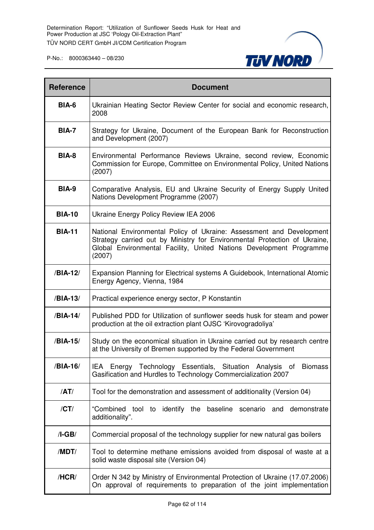

| <b>Reference</b> | <b>Document</b>                                                                                                                                                                                                                    |  |
|------------------|------------------------------------------------------------------------------------------------------------------------------------------------------------------------------------------------------------------------------------|--|
| BIA-6            | Ukrainian Heating Sector Review Center for social and economic research,<br>2008                                                                                                                                                   |  |
| <b>BIA-7</b>     | Strategy for Ukraine, Document of the European Bank for Reconstruction<br>and Development (2007)                                                                                                                                   |  |
| <b>BIA-8</b>     | Environmental Performance Reviews Ukraine, second review, Economic<br>Commission for Europe, Committee on Environmental Policy, United Nations<br>(2007)                                                                           |  |
| <b>BIA-9</b>     | Comparative Analysis, EU and Ukraine Security of Energy Supply United<br>Nations Development Programme (2007)                                                                                                                      |  |
| <b>BIA-10</b>    | Ukraine Energy Policy Review IEA 2006                                                                                                                                                                                              |  |
| <b>BIA-11</b>    | National Environmental Policy of Ukraine: Assessment and Development<br>Strategy carried out by Ministry for Environmental Protection of Ukraine,<br>Global Environmental Facility, United Nations Development Programme<br>(2007) |  |
| /BIA-12/         | Expansion Planning for Electrical systems A Guidebook, International Atomic<br>Energy Agency, Vienna, 1984                                                                                                                         |  |
| /BIA-13/         | Practical experience energy sector, P Konstantin                                                                                                                                                                                   |  |
| /BIA-14/         | Published PDD for Utilization of sunflower seeds husk for steam and power<br>production at the oil extraction plant OJSC 'Kirovogradoliya'                                                                                         |  |
| /BIA-15/         | Study on the economical situation in Ukraine carried out by research centre<br>at the University of Bremen supported by the Federal Government                                                                                     |  |
| /BIA-16/         | IEA Energy Technology Essentials, Situation Analysis of<br><b>Biomass</b><br>Gasification and Hurdles to Technology Commercialization 2007                                                                                         |  |
| /AT/             | Tool for the demonstration and assessment of additionality (Version 04)                                                                                                                                                            |  |
| /CT/             | "Combined tool to identify the baseline scenario and demonstrate<br>additionality".                                                                                                                                                |  |
| $/I-GB/$         | Commercial proposal of the technology supplier for new natural gas boilers                                                                                                                                                         |  |
| /MDT/            | Tool to determine methane emissions avoided from disposal of waste at a<br>solid waste disposal site (Version 04)                                                                                                                  |  |
| /HCR/            | Order N 342 by Ministry of Environmental Protection of Ukraine (17.07.2006)<br>On approval of requirements to preparation of the joint implementation                                                                              |  |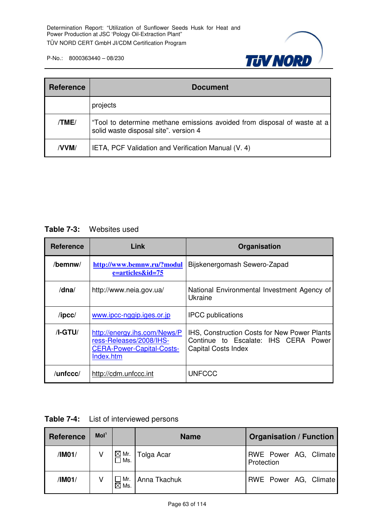

| <b>Reference</b> | <b>Document</b>                                                                                                   |
|------------------|-------------------------------------------------------------------------------------------------------------------|
|                  | projects                                                                                                          |
| TME/             | "Tool to determine methane emissions avoided from disposal of waste at a<br>solid waste disposal site". version 4 |
| /VVM/            | IETA, PCF Validation and Verification Manual (V. 4)                                                               |

#### **Table 7-3:** Websites used

| <b>Reference</b> | Link                                                                                                     | Organisation                                                                                                       |
|------------------|----------------------------------------------------------------------------------------------------------|--------------------------------------------------------------------------------------------------------------------|
| /bemnw/          | http://www.bemnw.ru/?modul<br>e=articles&id=75                                                           | Bijskenergomash Sewero-Zapad                                                                                       |
| /dna/            | http://www.neia.gov.ua/                                                                                  | National Environmental Investment Agency of<br>Ukraine                                                             |
| $\sqrt{I}$       | www.ipcc-nggip.iges.or.jp                                                                                | <b>IPCC</b> publications                                                                                           |
| $/I-GTU/$        | http://energy.ihs.com/News/P<br>ress-Releases/2008/IHS-<br><b>CERA-Power-Capital-Costs-</b><br>Index.htm | IHS, Construction Costs for New Power Plants<br>Continue to Escalate: IHS CERA Power<br><b>Capital Costs Index</b> |
| /unfccc/         | http://cdm.unfccc.int                                                                                    | <b>UNFCCC</b>                                                                                                      |

| <b>Table 7-4:</b> | List of interviewed persons |
|-------------------|-----------------------------|
|-------------------|-----------------------------|

| <b>Reference</b> | Mol <sup>1</sup> |                          | <b>Name</b>  | <b>Organisation / Function</b>      |  |  |  |
|------------------|------------------|--------------------------|--------------|-------------------------------------|--|--|--|
| /IM01/           |                  | $\boxtimes$ Mr.<br>l Ms. | Tolga Acar   | RWE Power AG, Climate<br>Protection |  |  |  |
| /IM01/           |                  | Mr.<br>$\boxtimes$ Ms.   | Anna Tkachuk | RWE Power AG, Climate               |  |  |  |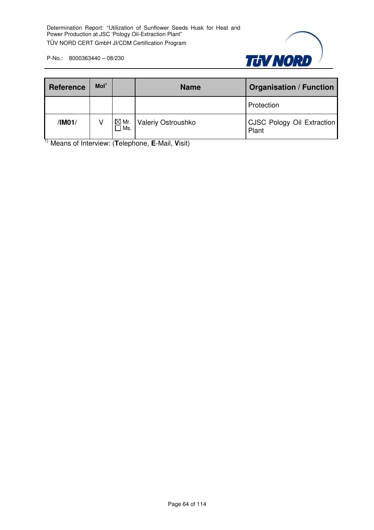

| <b>Reference</b> | Mol <sup>1</sup> |                         | <b>Name</b>        | <b>Organisation / Function</b>      |
|------------------|------------------|-------------------------|--------------------|-------------------------------------|
|                  |                  |                         |                    | Protection                          |
| /IM01/           |                  | $\boxtimes$ Mr.<br>]Ms. | Valeriy Ostroushko | CJSC Pology Oil Extraction<br>Plant |

1) Means of Interview: (**T**elephone, **E**-Mail, **V**isit)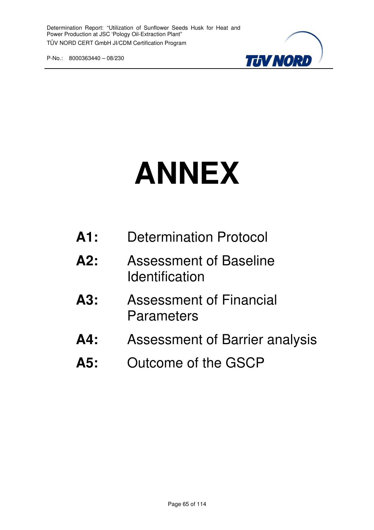

# **ANNEX**

| A1: | <b>Determination Protocol</b> |  |
|-----|-------------------------------|--|
|     |                               |  |

- **A2:** Assessment of Baseline **Identification**
- **A3:** Assessment of Financial **Parameters**
- **A4:** Assessment of Barrier analysis
- **A5:** Outcome of the GSCP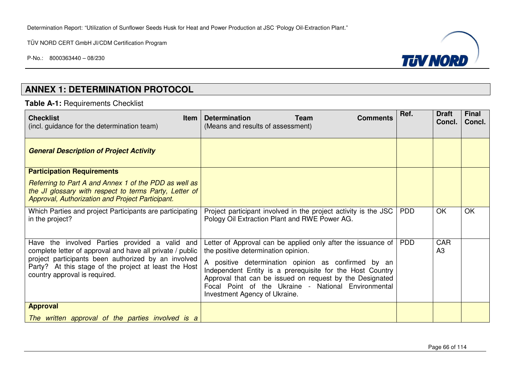P-No.: 8000363440 – 08/230



## **ANNEX 1: DETERMINATION PROTOCOL**

#### **Table A-1:** Requirements Checklist

| <b>Checklist</b><br><b>Item</b><br>(incl. guidance for the determination team)                                                                                                                                                                               | <b>Team</b><br><b>Determination</b><br><b>Comments</b><br>(Means and results of assessment)                                                                                                                                                                                                                                                                                 | Ref.       | <b>Draft</b><br>Concl. | <b>Final</b><br>Concl. |
|--------------------------------------------------------------------------------------------------------------------------------------------------------------------------------------------------------------------------------------------------------------|-----------------------------------------------------------------------------------------------------------------------------------------------------------------------------------------------------------------------------------------------------------------------------------------------------------------------------------------------------------------------------|------------|------------------------|------------------------|
| <b>General Description of Project Activity</b>                                                                                                                                                                                                               |                                                                                                                                                                                                                                                                                                                                                                             |            |                        |                        |
| <b>Participation Requirements</b>                                                                                                                                                                                                                            |                                                                                                                                                                                                                                                                                                                                                                             |            |                        |                        |
| Referring to Part A and Annex 1 of the PDD as well as<br>the JI glossary with respect to terms Party, Letter of<br>Approval, Authorization and Project Participant.                                                                                          |                                                                                                                                                                                                                                                                                                                                                                             |            |                        |                        |
| Which Parties and project Participants are participating<br>in the project?                                                                                                                                                                                  | Project participant involved in the project activity is the JSC<br>Pology Oil Extraction Plant and RWE Power AG.                                                                                                                                                                                                                                                            | <b>PDD</b> | OK                     | OK                     |
| Have the involved Parties provided a valid and<br>complete letter of approval and have all private / public<br>project participants been authorized by an involved<br>Party? At this stage of the project at least the Host<br>country approval is required. | Letter of Approval can be applied only after the issuance of<br>the positive determination opinion.<br>A positive determination opinion as confirmed by an<br>Independent Entity is a prerequisite for the Host Country<br>Approval that can be issued on request by the Designated<br>Focal Point of the Ukraine - National Environmental<br>Investment Agency of Ukraine. | <b>PDD</b> | <b>CAR</b><br>A3       |                        |
| <b>Approval</b>                                                                                                                                                                                                                                              |                                                                                                                                                                                                                                                                                                                                                                             |            |                        |                        |
| The written approval of the parties involved is a                                                                                                                                                                                                            |                                                                                                                                                                                                                                                                                                                                                                             |            |                        |                        |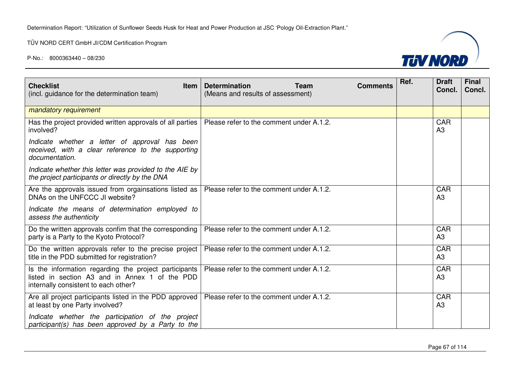Determination Report: "Utilization of Sunflower Seeds Husk for Heat and Power Production at JSC 'Pology Oil-Extraction Plant."

TÜV NORD CERT GmbH JI/CDM Certification Program



| <b>Checklist</b><br><b>Item</b><br>(incl. guidance for the determination team)                                                                  | <b>Determination</b><br><b>Team</b><br>(Means and results of assessment) | <b>Comments</b> | Ref. | <b>Draft</b><br>Concl.       | <b>Final</b><br>Concl. |
|-------------------------------------------------------------------------------------------------------------------------------------------------|--------------------------------------------------------------------------|-----------------|------|------------------------------|------------------------|
| mandatory requirement                                                                                                                           |                                                                          |                 |      |                              |                        |
| Has the project provided written approvals of all parties<br>involved?                                                                          | Please refer to the comment under A.1.2.                                 |                 |      | <b>CAR</b><br>A <sub>3</sub> |                        |
| Indicate whether a letter of approval has been<br>received, with a clear reference to the supporting<br>documentation.                          |                                                                          |                 |      |                              |                        |
| Indicate whether this letter was provided to the AIE by<br>the project participants or directly by the DNA                                      |                                                                          |                 |      |                              |                        |
| Are the approvals issued from orgainsations listed as<br>DNAs on the UNFCCC JI website?                                                         | Please refer to the comment under A.1.2.                                 |                 |      | <b>CAR</b><br>A3             |                        |
| Indicate the means of determination employed to<br>assess the authenticity                                                                      |                                                                          |                 |      |                              |                        |
| Do the written approvals confim that the corresponding<br>party is a Party to the Kyoto Protocol?                                               | Please refer to the comment under A.1.2.                                 |                 |      | <b>CAR</b><br>A3             |                        |
| Do the written approvals refer to the precise project<br>title in the PDD submitted for registration?                                           | Please refer to the comment under A.1.2.                                 |                 |      | <b>CAR</b><br>A3             |                        |
| Is the information regarding the project participants<br>listed in section A3 and in Annex 1 of the PDD<br>internally consistent to each other? | Please refer to the comment under A.1.2.                                 |                 |      | <b>CAR</b><br>A3             |                        |
| Are all project participants listed in the PDD approved<br>at least by one Party involved?                                                      | Please refer to the comment under A.1.2.                                 |                 |      | <b>CAR</b><br>A3             |                        |
| Indicate whether the participation of the project<br>participant(s) has been approved by a Party to the                                         |                                                                          |                 |      |                              |                        |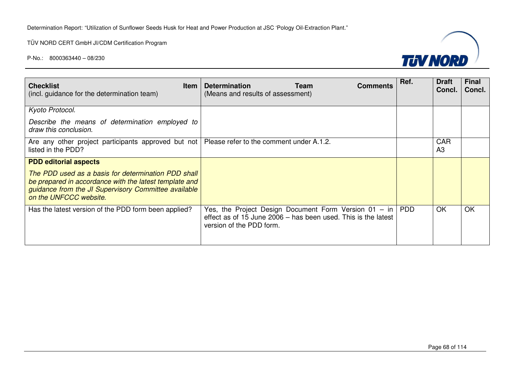Determination Report: "Utilization of Sunflower Seeds Husk for Heat and Power Production at JSC 'Pology Oil-Extraction Plant."

TÜV NORD CERT GmbH JI/CDM Certification Program



| <b>Checklist</b><br><b>Item</b><br>(incl. guidance for the determination team)                                                                                                                  | <b>Determination</b><br><b>Team</b><br><b>Comments</b><br>(Means and results of assessment)                                                                | Ref. | <b>Draft</b><br>Concl. | <b>Final</b><br>Concl. |
|-------------------------------------------------------------------------------------------------------------------------------------------------------------------------------------------------|------------------------------------------------------------------------------------------------------------------------------------------------------------|------|------------------------|------------------------|
|                                                                                                                                                                                                 |                                                                                                                                                            |      |                        |                        |
| Kyoto Protocol.                                                                                                                                                                                 |                                                                                                                                                            |      |                        |                        |
| Describe the means of determination employed to<br>draw this conclusion.                                                                                                                        |                                                                                                                                                            |      |                        |                        |
| Are any other project participants approved but not   Please refer to the comment under A.1.2.<br>listed in the PDD?                                                                            |                                                                                                                                                            |      | CAR<br>A3              |                        |
| <b>PDD editorial aspects</b>                                                                                                                                                                    |                                                                                                                                                            |      |                        |                        |
| The PDD used as a basis for determination PDD shall<br>be prepared in accordance with the latest template and<br>guidance from the JI Supervisory Committee available<br>on the UNFCCC website. |                                                                                                                                                            |      |                        |                        |
| Has the latest version of the PDD form been applied?                                                                                                                                            | Yes, the Project Design Document Form Version $01 - in   PDD$<br>effect as of 15 June 2006 – has been used. This is the latest<br>version of the PDD form. |      | <b>OK</b>              | <b>OK</b>              |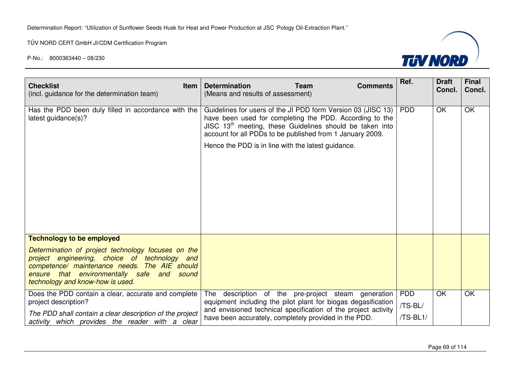

| <b>Checklist</b><br><b>Item</b><br>(incl. guidance for the determination team)                                                                                                                                                                                                | <b>Determination</b><br><b>Team</b><br><b>Comments</b><br>(Means and results of assessment)                                                                                                                                                                                                              | Ref.                              | <b>Draft</b><br>Concl. | <b>Final</b><br>Concl. |
|-------------------------------------------------------------------------------------------------------------------------------------------------------------------------------------------------------------------------------------------------------------------------------|----------------------------------------------------------------------------------------------------------------------------------------------------------------------------------------------------------------------------------------------------------------------------------------------------------|-----------------------------------|------------------------|------------------------|
| Has the PDD been duly filled in accordance with the<br>latest guidance(s)?                                                                                                                                                                                                    | Guidelines for users of the JI PDD form Version 03 (JISC 13)<br>have been used for completing the PDD. According to the<br>JISC $13th$ meeting, these Guidelines should be taken into<br>account for all PDDs to be published from 1 January 2009.<br>Hence the PDD is in line with the latest guidance. | <b>PDD</b>                        | OK                     | <b>OK</b>              |
| <b>Technology to be employed</b><br>Determination of project technology focuses on the<br>project engineering, choice of technology and<br>competence/ maintenance needs. The AIE should<br>ensure that environmentally safe and<br>sound<br>technology and know-how is used. |                                                                                                                                                                                                                                                                                                          |                                   |                        |                        |
| Does the PDD contain a clear, accurate and complete<br>project description?<br>The PDD shall contain a clear description of the project<br>activity which provides the reader with a clear                                                                                    | description of the pre-project steam generation<br>The<br>equipment including the pilot plant for biogas degasification<br>and envisioned technical specification of the project activity<br>have been accurately, completely provided in the PDD.                                                       | <b>PDD</b><br>/TS-BL/<br>/TS-BL1/ | OK                     | <b>OK</b>              |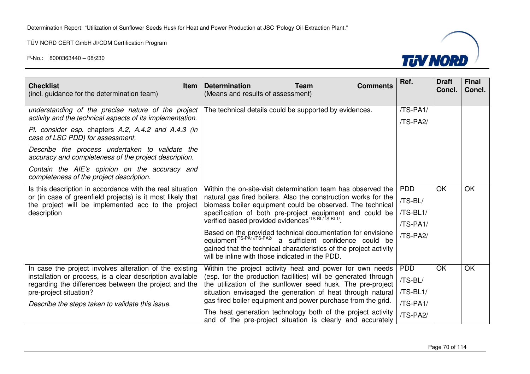

| <b>Checklist</b><br><b>Item</b><br>(incl. guidance for the determination team)                                     | <b>Determination</b><br><b>Team</b><br>(Means and results of assessment)                                                                                                                                                                                      | <b>Comments</b> | Ref.       | <b>Draft</b><br>Concl. | <b>Final</b><br>Concl. |
|--------------------------------------------------------------------------------------------------------------------|---------------------------------------------------------------------------------------------------------------------------------------------------------------------------------------------------------------------------------------------------------------|-----------------|------------|------------------------|------------------------|
| understanding of the precise nature of the project<br>activity and the technical aspects of its implementation.    | The technical details could be supported by evidences.                                                                                                                                                                                                        |                 | /TS-PA1/   |                        |                        |
| Pl. consider esp. chapters A.2, A.4.2 and A.4.3 (in<br>case of LSC PDD) for assessment.                            |                                                                                                                                                                                                                                                               |                 | /TS-PA2/   |                        |                        |
| Describe the process undertaken to validate the<br>accuracy and completeness of the project description.           |                                                                                                                                                                                                                                                               |                 |            |                        |                        |
| Contain the AIE's opinion on the accuracy and<br>completeness of the project description.                          |                                                                                                                                                                                                                                                               |                 |            |                        |                        |
| Is this description in accordance with the real situation                                                          | Within the on-site-visit determination team has observed the                                                                                                                                                                                                  |                 | <b>PDD</b> | <b>OK</b>              | OK                     |
| or (in case of greenfield projects) is it most likely that<br>the project will be implemented acc to the project   | natural gas fired boilers. Also the construction works for the<br>biomass boiler equipment could be observed. The technical<br>specification of both pre-project equipment and could be verified based provided evidences <sup>/TS-BL1/</sup> .               |                 | /TS-BL/    |                        |                        |
| description                                                                                                        |                                                                                                                                                                                                                                                               |                 | /TS-BL1/   |                        |                        |
|                                                                                                                    |                                                                                                                                                                                                                                                               |                 | /TS-PA1/   |                        |                        |
|                                                                                                                    | Based on the provided technical documentation for envisione<br>equipment <sup>/TS-PA1//TS-PA2/</sup> a sufficient confidence could be<br>gained that the technical characteristics of the project activity<br>will be inline with those indicated in the PDD. |                 | /TS-PA2/   |                        |                        |
| In case the project involves alteration of the existing                                                            | Within the project activity heat and power for own needs                                                                                                                                                                                                      |                 | <b>PDD</b> | <b>OK</b>              | <b>OK</b>              |
| installation or process, is a clear description available<br>regarding the differences between the project and the | (esp. for the production facilities) will be generated through<br>the utilization of the sunflower seed husk. The pre-project                                                                                                                                 |                 | /TS-BL/    |                        |                        |
| pre-project situation?                                                                                             | situation envisaged the generation of heat through natural                                                                                                                                                                                                    |                 | /TS-BL1/   |                        |                        |
| Describe the steps taken to validate this issue.                                                                   | gas fired boiler equipment and power purchase from the grid.                                                                                                                                                                                                  |                 | /TS-PA1/   |                        |                        |
|                                                                                                                    | The heat generation technology both of the project activity<br>and of the pre-project situation is clearly and accurately                                                                                                                                     |                 | /TS-PA2/   |                        |                        |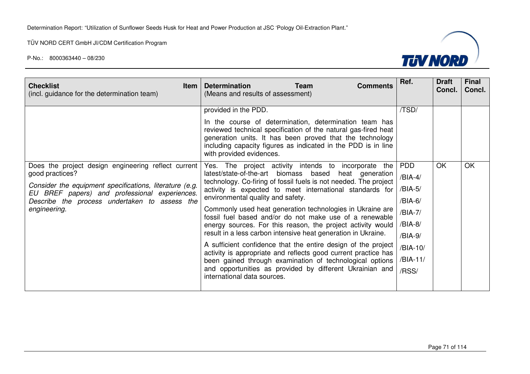

| <b>Checklist</b><br><b>Item</b><br>(incl. guidance for the determination team)                                                                                                                                                                      | <b>Determination</b><br><b>Team</b><br><b>Comments</b><br>(Means and results of assessment)                                                                                                                                                                                                                                                                                                                                                                                                                                                                                                                                                                                                                                                                                                                                                                      | Ref.                                                                                  | <b>Draft</b><br>Concl. | <b>Final</b><br>Concl. |
|-----------------------------------------------------------------------------------------------------------------------------------------------------------------------------------------------------------------------------------------------------|------------------------------------------------------------------------------------------------------------------------------------------------------------------------------------------------------------------------------------------------------------------------------------------------------------------------------------------------------------------------------------------------------------------------------------------------------------------------------------------------------------------------------------------------------------------------------------------------------------------------------------------------------------------------------------------------------------------------------------------------------------------------------------------------------------------------------------------------------------------|---------------------------------------------------------------------------------------|------------------------|------------------------|
| Does the project design engineering reflect current<br>good practices?<br>Consider the equipment specifications, literature (e.g.<br>EU BREF papers) and professional experiences.<br>Describe the process undertaken to assess the<br>engineering. | provided in the PDD.<br>In the course of determination, determination team has<br>reviewed technical specification of the natural gas-fired heat<br>generation units. It has been proved that the technology<br>including capacity figures as indicated in the PDD is in line<br>with provided evidences.<br>Yes. The project activity intends to<br>incorporate<br>the<br>latest/state-of-the-art biomass based<br>heat generation<br>technology. Co-firing of fossil fuels is not needed. The project<br>activity is expected to meet international standards for<br>environmental quality and safety.<br>Commonly used heat generation technologies in Ukraine are<br>fossil fuel based and/or do not make use of a renewable<br>energy sources. For this reason, the project activity would<br>result in a less carbon intensive heat generation in Ukraine. | /TSD/<br><b>PDD</b><br>/BIA-4/<br>/BIA-5/<br>/BIA-6/<br>/BIA-7/<br>/BIA-8/<br>/BIA-9/ | OK                     | <b>OK</b>              |
|                                                                                                                                                                                                                                                     | A sufficient confidence that the entire design of the project<br>activity is appropriate and reflects good current practice has<br>been gained through examination of technological options<br>and opportunities as provided by different Ukrainian and<br>international data sources.                                                                                                                                                                                                                                                                                                                                                                                                                                                                                                                                                                           | /BIA-10/<br>/BIA-11/<br>/RSS/                                                         |                        |                        |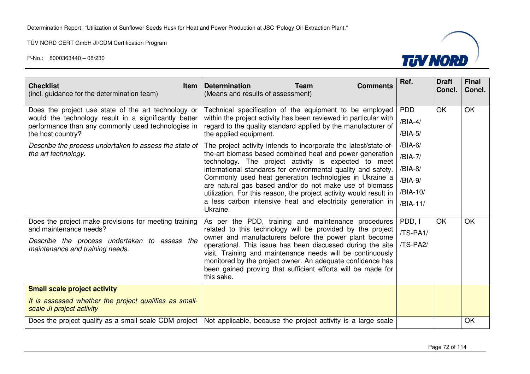

| <b>Determination</b><br><b>Team</b><br><b>Comments</b><br>(Means and results of assessment)                                                                                                                                                                                                                                                                                                                                                        | Ref.                                                                                                                                                                                 | <b>Draft</b><br>Concl. | <b>Final</b><br>Concl. |
|----------------------------------------------------------------------------------------------------------------------------------------------------------------------------------------------------------------------------------------------------------------------------------------------------------------------------------------------------------------------------------------------------------------------------------------------------|--------------------------------------------------------------------------------------------------------------------------------------------------------------------------------------|------------------------|------------------------|
| within the project activity has been reviewed in particular with<br>regard to the quality standard applied by the manufacturer of<br>the applied equipment.<br>The project activity intends to incorporate the latest/state-of-                                                                                                                                                                                                                    | /BIA-4/<br>/BIA-5/<br>/BIA-6/                                                                                                                                                        |                        | OK                     |
| technology. The project activity is expected to meet<br>international standards for environmental quality and safety.<br>Commonly used heat generation technologies in Ukraine a<br>are natural gas based and/or do not make use of biomass<br>utilization. For this reason, the project activity would result in<br>a less carbon intensive heat and electricity generation in<br>Ukraine.                                                        | /BIA-7/<br>/BIA-8/<br>/BIA-9/<br>/BIA-10/<br>/BIA-11/                                                                                                                                |                        |                        |
| As per the PDD, training and maintenance procedures<br>related to this technology will be provided by the project<br>owner and manufacturers before the power plant become<br>operational. This issue has been discussed during the site<br>visit. Training and maintenance needs will be continuously<br>monitored by the project owner. An adequate confidence has<br>been gained proving that sufficient efforts will be made for<br>this sake. | PDD, I<br>/TS-PA1/<br>/TS-PA2/                                                                                                                                                       | OK                     | OK                     |
|                                                                                                                                                                                                                                                                                                                                                                                                                                                    |                                                                                                                                                                                      |                        | OK                     |
|                                                                                                                                                                                                                                                                                                                                                                                                                                                    | Technical specification of the equipment to be employed<br>the-art biomass based combined heat and power generation<br>Not applicable, because the project activity is a large scale | <b>PDD</b>             | OK                     |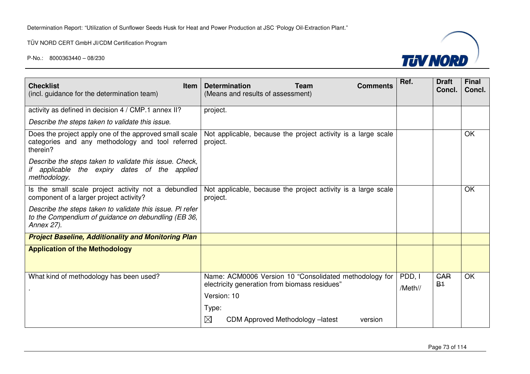TÜV NORD CERT GmbH JI/CDM Certification Program



| <b>Checklist</b><br><b>Item</b><br>(incl. guidance for the determination team)                                                 | <b>Determination</b><br><b>Team</b><br>(Means and results of assessment)                                               | <b>Comments</b> | Ref.              | <b>Draft</b><br>Concl. | <b>Final</b><br>Concl. |
|--------------------------------------------------------------------------------------------------------------------------------|------------------------------------------------------------------------------------------------------------------------|-----------------|-------------------|------------------------|------------------------|
| activity as defined in decision 4 / CMP.1 annex II?                                                                            | project.                                                                                                               |                 |                   |                        |                        |
| Describe the steps taken to validate this issue.                                                                               |                                                                                                                        |                 |                   |                        |                        |
| Does the project apply one of the approved small scale<br>categories and any methodology and tool referred<br>therein?         | Not applicable, because the project activity is a large scale<br>project.                                              |                 |                   |                        | OK                     |
| Describe the steps taken to validate this issue. Check,<br>if applicable the expiry dates of the applied<br>methodology.       |                                                                                                                        |                 |                   |                        |                        |
| Is the small scale project activity not a debundled<br>component of a larger project activity?                                 | Not applicable, because the project activity is a large scale<br>project.                                              |                 |                   |                        | OK                     |
| Describe the steps taken to validate this issue. PI refer<br>to the Compendium of guidance on debundling (EB 36,<br>Annex 27). |                                                                                                                        |                 |                   |                        |                        |
| <b>Project Baseline, Additionality and Monitoring Plan</b>                                                                     |                                                                                                                        |                 |                   |                        |                        |
| <b>Application of the Methodology</b>                                                                                          |                                                                                                                        |                 |                   |                        |                        |
| What kind of methodology has been used?                                                                                        | Name: ACM0006 Version 10 "Consolidated methodology for<br>electricity generation from biomass residues"<br>Version: 10 |                 | PDD, I<br>/Meth// | <b>GAR</b><br>$B+$     | <b>OK</b>              |
|                                                                                                                                | Type:                                                                                                                  |                 |                   |                        |                        |
|                                                                                                                                | $\boxtimes$<br>CDM Approved Methodology - latest                                                                       | version         |                   |                        |                        |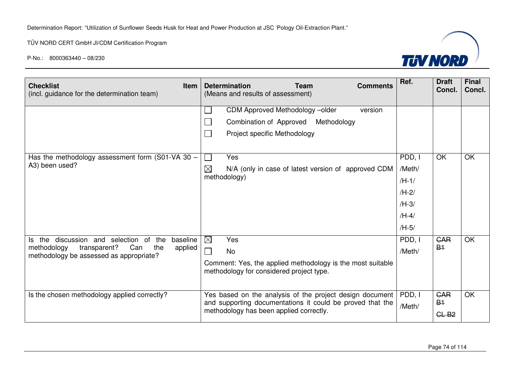

| <b>Checklist</b><br><b>Item</b><br>(incl. guidance for the determination team)                                                                              | <b>Determination</b><br><b>Team</b><br><b>Comments</b><br>(Means and results of assessment)                                                                      | Ref.                                                                    | <b>Draft</b><br>Concl. | <b>Final</b><br>Concl. |
|-------------------------------------------------------------------------------------------------------------------------------------------------------------|------------------------------------------------------------------------------------------------------------------------------------------------------------------|-------------------------------------------------------------------------|------------------------|------------------------|
|                                                                                                                                                             | CDM Approved Methodology -- older<br>version<br>Combination of Approved<br>Methodology<br>Project specific Methodology                                           |                                                                         |                        |                        |
| Has the methodology assessment form (S01-VA 30 $-$<br>A3) been used?                                                                                        | Yes<br>$\boxtimes$<br>N/A (only in case of latest version of approved CDM<br>methodology)                                                                        | PDD, I<br>/Meth/<br>$/H-1/$<br>$/H-2/$<br>$/H-3/$<br>$/H-4/$<br>$/H-5/$ | OK                     | <b>OK</b>              |
| discussion and selection of<br>baseline<br>Is the<br>the<br>transparent?<br>methodology<br>Can<br>the<br>applied<br>methodology be assessed as appropriate? | $\boxtimes$<br>Yes<br><b>No</b><br>Comment: Yes, the applied methodology is the most suitable<br>methodology for considered project type.                        | PDD, I<br>/Meth/                                                        | <b>CAR</b><br>$B+$     | <b>OK</b>              |
| Is the chosen methodology applied correctly?                                                                                                                | Yes based on the analysis of the project design document<br>and supporting documentations it could be proved that the<br>methodology has been applied correctly. | PDD, I<br>/Meth/                                                        | CAR<br>$B+$<br>$GL-B2$ | $\overline{OK}$        |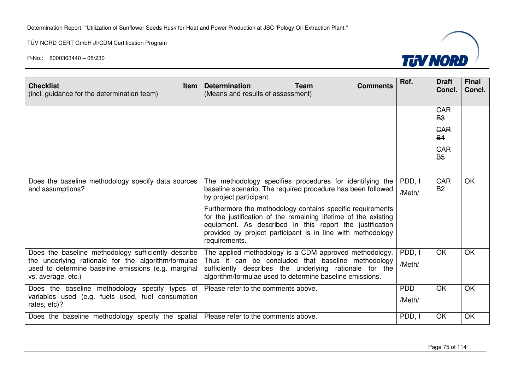TÜV NORD CERT GmbH JI/CDM Certification Program



| <b>Checklist</b><br><b>Item</b><br>(incl. guidance for the determination team)                                                                                                          | <b>Determination</b><br><b>Team</b><br><b>Comments</b><br>(Means and results of assessment)                                                                                                                                                                               | Ref.                 | <b>Draft</b><br>Concl.              | <b>Final</b><br>Concl. |
|-----------------------------------------------------------------------------------------------------------------------------------------------------------------------------------------|---------------------------------------------------------------------------------------------------------------------------------------------------------------------------------------------------------------------------------------------------------------------------|----------------------|-------------------------------------|------------------------|
|                                                                                                                                                                                         |                                                                                                                                                                                                                                                                           |                      | <b>CAR</b><br><b>B3</b>             |                        |
|                                                                                                                                                                                         |                                                                                                                                                                                                                                                                           |                      | <b>GAR</b><br><b>B4</b>             |                        |
|                                                                                                                                                                                         |                                                                                                                                                                                                                                                                           |                      | <b>GAR</b><br><b>B</b> <sub>5</sub> |                        |
| Does the baseline methodology specify data sources<br>and assumptions?                                                                                                                  | The methodology specifies procedures for identifying the<br>baseline scenario. The required procedure has been followed<br>by project participant.                                                                                                                        | PDD, I<br>/Meth/     | <b>GAR</b><br><b>B2</b>             | OK                     |
|                                                                                                                                                                                         | Furthermore the methodology contains specific requirements<br>for the justification of the remaining lifetime of the existing<br>equipment. As described in this report the justification<br>provided by project participant is in line with methodology<br>requirements. |                      |                                     |                        |
| Does the baseline methodology sufficiently describe<br>the underlying rationale for the algorithm/formulae<br>used to determine baseline emissions (e.g. marginal<br>vs. average, etc.) | The applied methodology is a CDM approved methodology.<br>Thus it can be concluded that baseline methodology<br>sufficiently describes the underlying rationale for the<br>algorithm/formulae used to determine baseline emissions.                                       | PDD, I<br>/Meth/     | <b>OK</b>                           | OK.                    |
| Does the baseline methodology specify types of<br>variables used (e.g. fuels used, fuel consumption<br>rates, etc)?                                                                     | Please refer to the comments above.                                                                                                                                                                                                                                       | <b>PDD</b><br>/Meth/ | OK                                  | <b>OK</b>              |
| Does the baseline methodology specify the spatial                                                                                                                                       | Please refer to the comments above.                                                                                                                                                                                                                                       | PDD, I               | OK                                  | OK                     |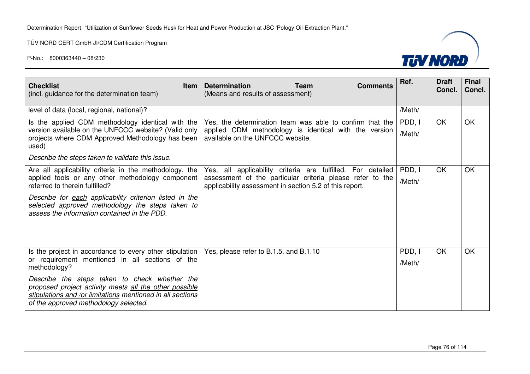

| <b>Checklist</b><br><b>Item</b><br>(incl. guidance for the determination team)                                                                                                                                                                                                                                                               | <b>Determination</b><br><b>Team</b><br><b>Comments</b><br>(Means and results of assessment)                                                                                         | Ref.             | <b>Draft</b><br>Concl. | <b>Final</b><br>Concl. |
|----------------------------------------------------------------------------------------------------------------------------------------------------------------------------------------------------------------------------------------------------------------------------------------------------------------------------------------------|-------------------------------------------------------------------------------------------------------------------------------------------------------------------------------------|------------------|------------------------|------------------------|
| level of data (local, regional, national)?                                                                                                                                                                                                                                                                                                   |                                                                                                                                                                                     | /Meth/           |                        |                        |
| Is the applied CDM methodology identical with the<br>version available on the UNFCCC website? (Valid only<br>projects where CDM Approved Methodology has been<br>used)                                                                                                                                                                       | Yes, the determination team was able to confirm that the<br>applied CDM methodology is identical with the version<br>available on the UNFCCC website.                               | PDD, I<br>/Meth/ | OK                     | <b>OK</b>              |
| Describe the steps taken to validate this issue.                                                                                                                                                                                                                                                                                             |                                                                                                                                                                                     |                  |                        |                        |
| Are all applicability criteria in the methodology, the<br>applied tools or any other methodology component<br>referred to therein fulfilled?<br>Describe for each applicability criterion listed in the<br>selected approved methodology the steps taken to<br>assess the information contained in the PDD.                                  | Yes, all applicability criteria are fulfilled. For detailed<br>assessment of the particular criteria please refer to the<br>applicability assessment in section 5.2 of this report. | PDD, I<br>/Meth/ | OK                     | <b>OK</b>              |
| Is the project in accordance to every other stipulation<br>or requirement mentioned in all sections of the<br>methodology?<br>Describe the steps taken to check whether the<br>proposed project activity meets all the other possible<br>stipulations and /or limitations mentioned in all sections<br>of the approved methodology selected. | Yes, please refer to B.1.5. and B.1.10                                                                                                                                              | PDD, I<br>/Meth/ | OK                     | OK                     |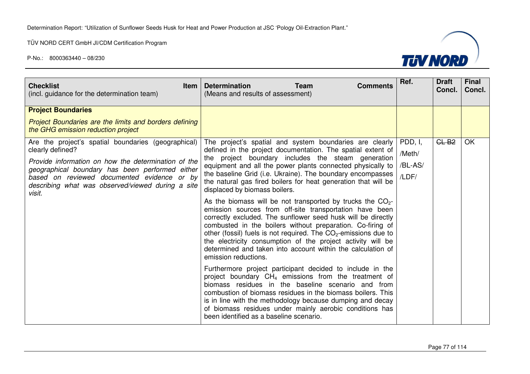

| <b>Checklist</b><br><b>Item</b><br>(incl. guidance for the determination team)                             | <b>Determination</b><br><b>Team</b><br><b>Comments</b><br>(Means and results of assessment)                                                                                                                                                                                                                                                                                                                                                                                      | Ref.    | <b>Draft</b><br>Concl. | <b>Final</b><br>Concl. |
|------------------------------------------------------------------------------------------------------------|----------------------------------------------------------------------------------------------------------------------------------------------------------------------------------------------------------------------------------------------------------------------------------------------------------------------------------------------------------------------------------------------------------------------------------------------------------------------------------|---------|------------------------|------------------------|
| <b>Project Boundaries</b>                                                                                  |                                                                                                                                                                                                                                                                                                                                                                                                                                                                                  |         |                        |                        |
| <b>Project Boundaries are the limits and borders defining</b><br>the GHG emission reduction project        |                                                                                                                                                                                                                                                                                                                                                                                                                                                                                  |         |                        |                        |
| Are the project's spatial boundaries (geographical)                                                        | The project's spatial and system boundaries are clearly                                                                                                                                                                                                                                                                                                                                                                                                                          | PDD, I, | $GL-B2$                | <b>OK</b>              |
| clearly defined?                                                                                           | defined in the project documentation. The spatial extent of<br>the project boundary includes the steam generation                                                                                                                                                                                                                                                                                                                                                                | /Meth/  |                        |                        |
| Provide information on how the determination of the<br>geographical boundary has been performed either     | equipment and all the power plants connected physically to                                                                                                                                                                                                                                                                                                                                                                                                                       | /BL-AS/ |                        |                        |
| based on reviewed documented evidence or by<br>describing what was observed/viewed during a site<br>visit. | the baseline Grid (i.e. Ukraine). The boundary encompasses<br>the natural gas fired boilers for heat generation that will be<br>displaced by biomass boilers.                                                                                                                                                                                                                                                                                                                    | /LDF/   |                        |                        |
|                                                                                                            | As the biomass will be not transported by trucks the $CO2$ -<br>emission sources from off-site transportation have been<br>correctly excluded. The sunflower seed husk will be directly<br>combusted in the boilers without preparation. Co-firing of<br>other (fossil) fuels is not required. The $CO2$ -emissions due to<br>the electricity consumption of the project activity will be<br>determined and taken into account within the calculation of<br>emission reductions. |         |                        |                        |
|                                                                                                            | Furthermore project participant decided to include in the<br>project boundary $CH_4$ emissions from the treatment of<br>biomass residues in the baseline scenario and from<br>combustion of biomass residues in the biomass boilers. This<br>is in line with the methodology because dumping and decay<br>of biomass residues under mainly aerobic conditions has<br>been identified as a baseline scenario.                                                                     |         |                        |                        |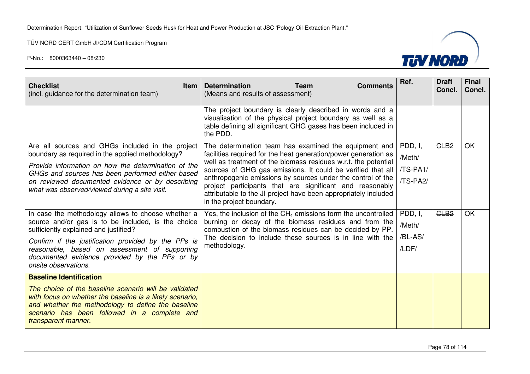

| <b>Checklist</b><br><b>Item</b><br>(incl. guidance for the determination team)                                                                                                                                                                 | <b>Determination</b><br><b>Team</b><br><b>Comments</b><br>(Means and results of assessment)                                                                                                                            | Ref.     | <b>Draft</b><br>Concl. | <b>Final</b><br>Concl. |
|------------------------------------------------------------------------------------------------------------------------------------------------------------------------------------------------------------------------------------------------|------------------------------------------------------------------------------------------------------------------------------------------------------------------------------------------------------------------------|----------|------------------------|------------------------|
|                                                                                                                                                                                                                                                | The project boundary is clearly described in words and a<br>visualisation of the physical project boundary as well as a<br>table defining all significant GHG gases has been included in<br>the PDD.                   |          |                        |                        |
| Are all sources and GHGs included in the project<br>boundary as required in the applied methodology?                                                                                                                                           | The determination team has examined the equipment and<br>facilities required for the heat generation/power generation as                                                                                               | PDD, I,  | CLB <sub>2</sub>       | OK                     |
| Provide information on how the determination of the                                                                                                                                                                                            | well as treatment of the biomass residues w.r.t. the potential                                                                                                                                                         | /Meth/   |                        |                        |
| GHGs and sources has been performed either based                                                                                                                                                                                               | sources of GHG gas emissions. It could be verified that all                                                                                                                                                            | /TS-PA1/ |                        |                        |
| on reviewed documented evidence or by describing<br>what was observed/viewed during a site visit.                                                                                                                                              | anthropogenic emissions by sources under the control of the<br>project participants that are significant and reasonably<br>attributable to the JI project have been appropriately included<br>in the project boundary. | /TS-PA2/ |                        |                        |
| In case the methodology allows to choose whether a                                                                                                                                                                                             | Yes, the inclusion of the $CH_4$ emissions form the uncontrolled                                                                                                                                                       | PDD, I,  | CLB <sub>2</sub>       | <b>OK</b>              |
| source and/or gas is to be included, is the choice<br>sufficiently explained and justified?                                                                                                                                                    | burning or decay of the biomass residues and from the<br>combustion of the biomass residues can be decided by PP.                                                                                                      | /Meth/   |                        |                        |
| Confirm if the justification provided by the PPs is                                                                                                                                                                                            | The decision to include these sources is in line with the                                                                                                                                                              | /BL-AS/  |                        |                        |
| reasonable, based on assessment of supporting<br>documented evidence provided by the PPs or by<br>onsite observations.                                                                                                                         | methodology.                                                                                                                                                                                                           | /LDF/    |                        |                        |
| <b>Baseline Identification</b>                                                                                                                                                                                                                 |                                                                                                                                                                                                                        |          |                        |                        |
| The choice of the baseline scenario will be validated<br>with focus on whether the baseline is a likely scenario,<br>and whether the methodology to define the baseline<br>scenario has been followed in a complete and<br>transparent manner. |                                                                                                                                                                                                                        |          |                        |                        |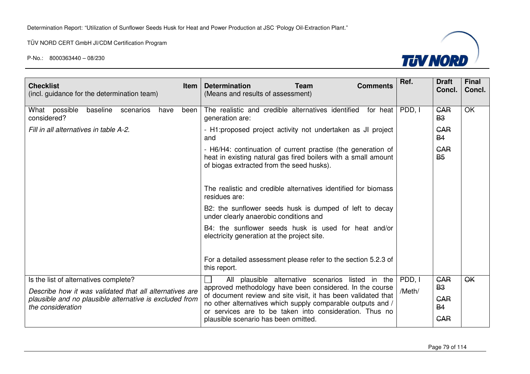

| <b>Checklist</b><br>(incl. guidance for the determination team)                                  | <b>Item</b> | Ref.<br><b>Final</b><br><b>Draft</b><br><b>Determination</b><br><b>Team</b><br><b>Comments</b><br>Concl.<br>Concl.<br>(Means and results of assessment)                                                            |  |
|--------------------------------------------------------------------------------------------------|-------------|--------------------------------------------------------------------------------------------------------------------------------------------------------------------------------------------------------------------|--|
| baseline<br>What possible<br>scenarios<br>have<br>considered?                                    | been        | <b>OK</b><br>PDD, I<br>The realistic and credible alternatives identified<br><b>GAR</b><br>for heat<br><b>B3</b><br>generation are:                                                                                |  |
| Fill in all alternatives in table A-2.                                                           |             | <b>GAR</b><br>- H1: proposed project activity not undertaken as JI project<br><b>B4</b><br>and                                                                                                                     |  |
|                                                                                                  |             | <b>GAR</b><br>- H6/H4: continuation of current practise (the generation of<br><b>B5</b><br>heat in existing natural gas fired boilers with a small amount<br>of biogas extracted from the seed husks).             |  |
|                                                                                                  |             | The realistic and credible alternatives identified for biomass<br>residues are:                                                                                                                                    |  |
|                                                                                                  |             | B2: the sunflower seeds husk is dumped of left to decay<br>under clearly anaerobic conditions and                                                                                                                  |  |
|                                                                                                  |             | B4: the sunflower seeds husk is used for heat and/or<br>electricity generation at the project site.                                                                                                                |  |
|                                                                                                  |             | For a detailed assessment please refer to the section 5.2.3 of<br>this report.                                                                                                                                     |  |
| Is the list of alternatives complete?<br>Describe how it was validated that all alternatives are |             | PDD, I<br>CAR<br>QK<br>All plausible alternative scenarios listed in the<br><b>B3</b><br>approved methodology have been considered. In the course<br>/Meth/                                                        |  |
| plausible and no plausible alternative is excluded from<br>the consideration                     |             | of document review and site visit, it has been validated that<br><b>GAR</b><br>no other alternatives which supply comparable outputs and /<br><b>B4</b><br>or services are to be taken into consideration. Thus no |  |
|                                                                                                  |             | CAR<br>plausible scenario has been omitted.                                                                                                                                                                        |  |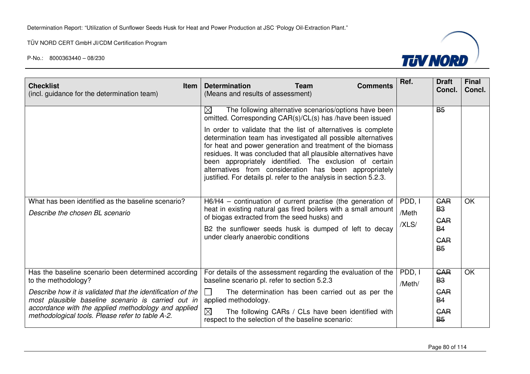

| <b>Checklist</b><br><b>Item</b><br>(incl. guidance for the determination team)                                                                                                                                                                                                                             | <b>Determination</b><br><b>Team</b><br><b>Comments</b><br>(Means and results of assessment)                                                                                                                                                                                                                                                                                                                                                                                                                                                                                                      | Ref.                     | <b>Draft</b><br>Concl.                                                                    | <b>Final</b><br>Concl. |
|------------------------------------------------------------------------------------------------------------------------------------------------------------------------------------------------------------------------------------------------------------------------------------------------------------|--------------------------------------------------------------------------------------------------------------------------------------------------------------------------------------------------------------------------------------------------------------------------------------------------------------------------------------------------------------------------------------------------------------------------------------------------------------------------------------------------------------------------------------------------------------------------------------------------|--------------------------|-------------------------------------------------------------------------------------------|------------------------|
|                                                                                                                                                                                                                                                                                                            | $\boxtimes$<br>The following alternative scenarios/options have been<br>omitted. Corresponding CAR(s)/CL(s) has /have been issued<br>In order to validate that the list of alternatives is complete<br>determination team has investigated all possible alternatives<br>for heat and power generation and treatment of the biomass<br>residues. It was concluded that all plausible alternatives have<br>been appropriately identified. The exclusion of certain<br>alternatives from consideration has been appropriately<br>justified. For details pl. refer to the analysis in section 5.2.3. |                          | <b>B</b> <sub>5</sub>                                                                     |                        |
| What has been identified as the baseline scenario?<br>Describe the chosen BL scenario                                                                                                                                                                                                                      | H6/H4 – continuation of current practise (the generation of<br>heat in existing natural gas fired boilers with a small amount<br>of biogas extracted from the seed husks) and<br>B2 the sunflower seeds husk is dumped of left to decay<br>under clearly anaerobic conditions                                                                                                                                                                                                                                                                                                                    | PDD, I<br>/Meth<br>/XLS/ | <b>GAR</b><br><b>B3</b><br><b>GAR</b><br><b>B4</b><br><b>GAR</b><br><b>B</b> <sub>5</sub> | <b>OK</b>              |
| Has the baseline scenario been determined according<br>to the methodology?<br>Describe how it is validated that the identification of the<br>most plausible baseline scenario is carried out in<br>accordance with the applied methodology and applied<br>methodological tools. Please refer to table A-2. | For details of the assessment regarding the evaluation of the<br>baseline scenario pl. refer to section 5.2.3<br>The determination has been carried out as per the<br>$\mathbf{I}$<br>applied methodology.<br>$\boxtimes$<br>The following CARs / CLs have been identified with<br>respect to the selection of the baseline scenario:                                                                                                                                                                                                                                                            | PDD, I<br>/Meth/         | <b>GAR</b><br><b>B3</b><br><b>GAR</b><br><b>B4</b><br><b>GAR</b><br><b>B</b> <sub>5</sub> | OK                     |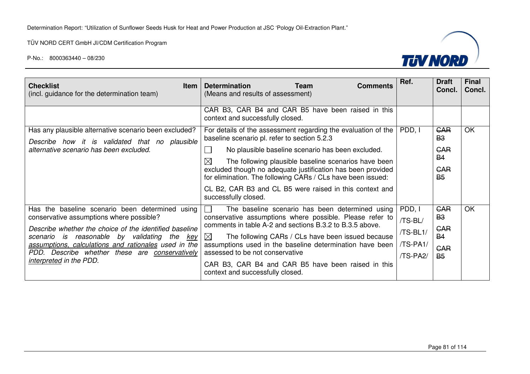

| <b>Checklist</b><br><b>Item</b><br>(incl. guidance for the determination team)                                                                                                                                   | <b>Determination</b><br><b>Team</b><br><b>Comments</b><br>(Means and results of assessment)                                  | Ref.                 | <b>Draft</b><br>Concl.  | <b>Final</b><br>Concl. |
|------------------------------------------------------------------------------------------------------------------------------------------------------------------------------------------------------------------|------------------------------------------------------------------------------------------------------------------------------|----------------------|-------------------------|------------------------|
|                                                                                                                                                                                                                  | CAR B3, CAR B4 and CAR B5 have been raised in this<br>context and successfully closed.                                       |                      |                         |                        |
| Has any plausible alternative scenario been excluded?<br>Describe how it is validated that no plausible                                                                                                          | For details of the assessment regarding the evaluation of the<br>baseline scenario pl. refer to section 5.2.3                | PDD, I               | <b>GAR</b><br><b>B3</b> | OK                     |
| alternative scenario has been excluded.                                                                                                                                                                          | No plausible baseline scenario has been excluded.<br>$\boxtimes$<br>The following plausible baseline scenarios have been     |                      | <b>GAR</b><br><b>B4</b> |                        |
|                                                                                                                                                                                                                  | excluded though no adequate justification has been provided<br>for elimination. The following CARs / CLs have been issued:   |                      | <b>CAR</b><br><b>B5</b> |                        |
|                                                                                                                                                                                                                  | CL B2, CAR B3 and CL B5 were raised in this context and<br>successfully closed.                                              |                      |                         |                        |
| Has the baseline scenario been determined using<br>conservative assumptions where possible?                                                                                                                      | The baseline scenario has been determined using<br>conservative assumptions where possible. Please refer to                  | PDD, I<br>/TS-BL/    | <b>GAR</b><br><b>B3</b> | OK                     |
| Describe whether the choice of the identified baseline<br>scenario is reasonable by validating the key<br>assumptions, calculations and rationales used in the<br>PDD. Describe whether these are conservatively | comments in table A-2 and sections B.3.2 to B.3.5 above.<br>The following CARs / CLs have been issued because<br>$\boxtimes$ | /TS-BL1/             | <b>GAR</b><br><b>B4</b> |                        |
|                                                                                                                                                                                                                  | assumptions used in the baseline determination have been<br>assessed to be not conservative                                  | /TS-PA1/<br>/TS-PA2/ | <b>GAR</b><br><b>B</b>  |                        |
| interpreted in the PDD.                                                                                                                                                                                          | CAR B3, CAR B4 and CAR B5 have been raised in this<br>context and successfully closed.                                       |                      |                         |                        |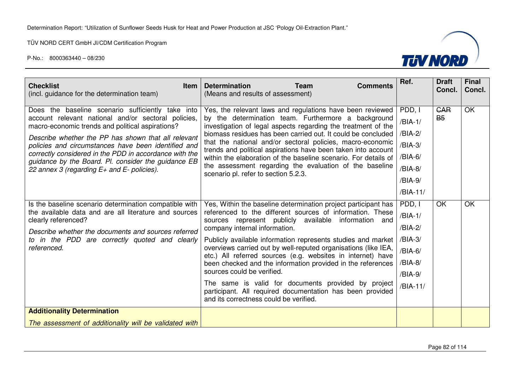

| <b>Checklist</b><br>Item<br>(incl. guidance for the determination team)                                                                                                                                                                                                                                                                                                                                                                       | <b>Determination</b><br><b>Team</b><br><b>Comments</b><br>(Means and results of assessment)                                                                                                                                                                                                                                                                                                                                                                                                                                                                                                                                                                                      | Ref.                                                                                     | <b>Draft</b><br>Concl.  | <b>Final</b><br>Concl. |
|-----------------------------------------------------------------------------------------------------------------------------------------------------------------------------------------------------------------------------------------------------------------------------------------------------------------------------------------------------------------------------------------------------------------------------------------------|----------------------------------------------------------------------------------------------------------------------------------------------------------------------------------------------------------------------------------------------------------------------------------------------------------------------------------------------------------------------------------------------------------------------------------------------------------------------------------------------------------------------------------------------------------------------------------------------------------------------------------------------------------------------------------|------------------------------------------------------------------------------------------|-------------------------|------------------------|
| Does the baseline scenario sufficiently take into<br>account relevant national and/or sectoral policies,<br>macro-economic trends and political aspirations?<br>Describe whether the PP has shown that all relevant<br>policies and circumstances have been identified and<br>correctly considered in the PDD in accordance with the<br>guidance by the Board. Pl. consider the guidance EB<br>22 annex 3 (regarding $E+$ and $E-$ policies). | Yes, the relevant laws and regulations have been reviewed<br>by the determination team. Furthermore a background<br>investigation of legal aspects regarding the treatment of the<br>biomass residues has been carried out. It could be concluded<br>that the national and/or sectoral policies, macro-economic<br>trends and political aspirations have been taken into account<br>within the elaboration of the baseline scenario. For details of<br>the assessment regarding the evaluation of the baseline<br>scenario pl. refer to section 5.2.3.                                                                                                                           | PDD, I<br>$/BIA-1/$<br>/BIA-2/<br>/BIA-3/<br>/BIA-6/<br>$/BIA-8/$<br>/BIA-9/<br>/BIA-11/ | <b>GAR</b><br><b>B5</b> | OK                     |
| Is the baseline scenario determination compatible with<br>the available data and are all literature and sources<br>clearly referenced?<br>Describe whether the documents and sources referred<br>to in the PDD are correctly quoted and clearly<br>referenced.                                                                                                                                                                                | Yes, Within the baseline determination project participant has<br>referenced to the different sources of information. These<br>sources represent publicly available information and<br>company internal information.<br>Publicly available information represents studies and market<br>overviews carried out by well-reputed organisations (like IEA,<br>etc.) All referred sources (e.g. websites in internet) have<br>been checked and the information provided in the references<br>sources could be verified.<br>The same is valid for documents provided by project<br>participant. All required documentation has been provided<br>and its correctness could be verified. | PDD, I<br>$/BIA-1/$<br>/BIA-2/<br>$/BIA-3/$<br>/BIA-6/<br>/BIA-8/<br>/BIA-9/<br>/BIA-11/ | OK                      | OK                     |
| <b>Additionality Determination</b>                                                                                                                                                                                                                                                                                                                                                                                                            |                                                                                                                                                                                                                                                                                                                                                                                                                                                                                                                                                                                                                                                                                  |                                                                                          |                         |                        |
| The assessment of additionality will be validated with                                                                                                                                                                                                                                                                                                                                                                                        |                                                                                                                                                                                                                                                                                                                                                                                                                                                                                                                                                                                                                                                                                  |                                                                                          |                         |                        |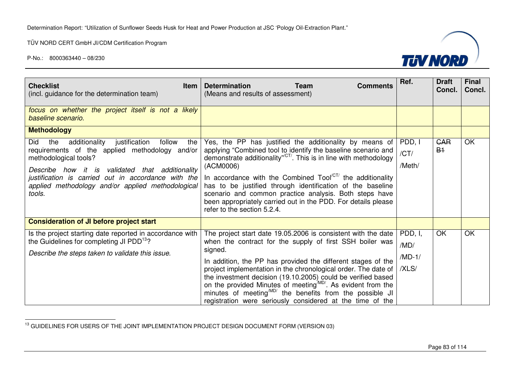

| <b>Checklist</b><br><b>Item</b><br>(incl. guidance for the determination team)                                                                                                                                                                                                                                       | <b>Determination</b><br><b>Team</b><br><b>Comments</b><br>(Means and results of assessment)                                                                                                                                                                                                                                                                                                                                                                                                                                                           | Ref.                                 | <b>Draft</b><br>Concl. | <b>Final</b><br>Concl. |
|----------------------------------------------------------------------------------------------------------------------------------------------------------------------------------------------------------------------------------------------------------------------------------------------------------------------|-------------------------------------------------------------------------------------------------------------------------------------------------------------------------------------------------------------------------------------------------------------------------------------------------------------------------------------------------------------------------------------------------------------------------------------------------------------------------------------------------------------------------------------------------------|--------------------------------------|------------------------|------------------------|
| focus on whether the project itself is not a likely<br>baseline scenario.                                                                                                                                                                                                                                            |                                                                                                                                                                                                                                                                                                                                                                                                                                                                                                                                                       |                                      |                        |                        |
| <b>Methodology</b>                                                                                                                                                                                                                                                                                                   |                                                                                                                                                                                                                                                                                                                                                                                                                                                                                                                                                       |                                      |                        |                        |
| Did<br>the<br>additionality<br>justification<br>follow<br>the<br>requirements of the applied methodology and/or<br>methodological tools?<br>Describe how it is<br>validated that additionality<br>justification is carried out in accordance with the<br>applied methodology and/or applied methodological<br>tools. | Yes, the PP has justified the additionality by means of<br>applying "Combined tool to identify the baseline scenario and<br>demonstrate additionality" <sup>CT</sup> . This is in line with methodology<br>(ACM0006)<br>In accordance with the Combined $Tool^{[CT]}$ the additionality<br>has to be justified through identification of the baseline<br>scenario and common practice analysis. Both steps have<br>been appropriately carried out in the PDD. For details please<br>refer to the section 5.2.4.                                       | PDD, I<br>/CT/<br>/Meth/             | <b>GAR</b><br>$B+$     | OK                     |
| <b>Consideration of JI before project start</b>                                                                                                                                                                                                                                                                      |                                                                                                                                                                                                                                                                                                                                                                                                                                                                                                                                                       |                                      |                        |                        |
| Is the project starting date reported in accordance with<br>the Guidelines for completing JI PDD <sup>13</sup> ?<br>Describe the steps taken to validate this issue.                                                                                                                                                 | The project start date 19.05.2006 is consistent with the date<br>when the contract for the supply of first SSH boiler was<br>signed.<br>In addition, the PP has provided the different stages of the<br>project implementation in the chronological order. The date of<br>the investment decision (19.10.2005) could be verified based<br>on the provided Minutes of meeting <sup>MD/</sup> . As evident from the<br>minutes of meeting <sup>MD/</sup> the benefits from the possible JI<br>registration were seriously considered at the time of the | PDD, I,<br>/MD/<br>$/MD-1/$<br>/XLS/ | OK                     | <b>OK</b>              |

<sup>13</sup> GUIDELINES FOR USERS OF THE JOINT IMPLEMENTATION PROJECT DESIGN DOCUMENT FORM (VERSION 03)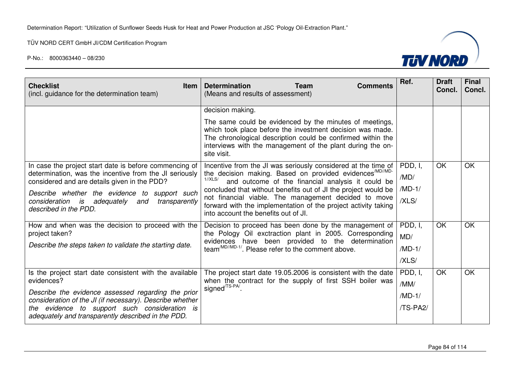

| <b>Checklist</b><br><b>Item</b><br>(incl. guidance for the determination team)                                   | <b>Determination</b><br><b>Team</b><br><b>Comments</b><br>(Means and results of assessment)                                                                                                                                                                      | Ref.     | <b>Draft</b><br>Concl. | <b>Final</b><br>Concl. |
|------------------------------------------------------------------------------------------------------------------|------------------------------------------------------------------------------------------------------------------------------------------------------------------------------------------------------------------------------------------------------------------|----------|------------------------|------------------------|
|                                                                                                                  | decision making.                                                                                                                                                                                                                                                 |          |                        |                        |
|                                                                                                                  | The same could be evidenced by the minutes of meetings,<br>which took place before the investment decision was made.<br>The chronological description could be confirmed within the<br>interviews with the management of the plant during the on-<br>site visit. |          |                        |                        |
| In case the project start date is before commencing of<br>determination, was the incentive from the JI seriously | Incentive from the JI was seriously considered at the time of<br>the decision making. Based on provided evidences <sup>/MD//MD-</sup>                                                                                                                            | PDD, I,  | <b>OK</b>              | OK                     |
| considered and are details given in the PDD?                                                                     | $1/\overline{X}$ LS/<br>and outcome of the financial analysis it could be                                                                                                                                                                                        | /MD/     |                        |                        |
| Describe whether the evidence to support such                                                                    | concluded that without benefits out of JI the project would be<br>not financial viable. The management decided to move                                                                                                                                           | $MD-1/$  |                        |                        |
| adequately and<br>consideration<br>is<br>transparently<br>described in the PDD.                                  | forward with the implementation of the project activity taking<br>into account the benefits out of JI.                                                                                                                                                           | /XLS/    |                        |                        |
| How and when was the decision to proceed with the                                                                | Decision to proceed has been done by the management of                                                                                                                                                                                                           | PDD, I,  | <b>OK</b>              | OK                     |
| project taken?                                                                                                   | the Pology Oil exctraction plant in 2005. Corresponding<br>evidences have been provided to the determination                                                                                                                                                     | MD/      |                        |                        |
| Describe the steps taken to validate the starting date.                                                          | team <sup>/MD//MD-1/</sup> . Please refer to the comment above.                                                                                                                                                                                                  | $MD-1/$  |                        |                        |
|                                                                                                                  |                                                                                                                                                                                                                                                                  | /XLS/    |                        |                        |
| Is the project start date consistent with the available                                                          | The project start date 19.05.2006 is consistent with the date                                                                                                                                                                                                    | PDD, I,  | <b>OK</b>              | OK                     |
| evidences?                                                                                                       | when the contract for the supply of first SSH boiler was<br>signed <sup>/TS-PA/</sup>                                                                                                                                                                            | /MM/     |                        |                        |
| Describe the evidence assessed regarding the prior<br>consideration of the JI (if necessary). Describe whether   |                                                                                                                                                                                                                                                                  | $MD-1/$  |                        |                        |
| the evidence to support such consideration is<br>adequately and transparently described in the PDD.              |                                                                                                                                                                                                                                                                  | /TS-PA2/ |                        |                        |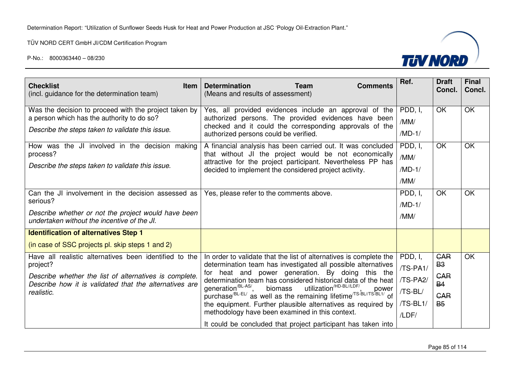

| <b>Checklist</b><br><b>Item</b><br>(incl. guidance for the determination team)                                                                                                                       | <b>Determination</b><br><b>Team</b><br><b>Comments</b><br>(Means and results of assessment)                                                                                                                                                                                                                                                                                                                                                                                                                                                                                                                                                                                                                            | Ref.                                                            | <b>Draft</b><br>Concl.                                                        | <b>Final</b><br>Concl. |
|------------------------------------------------------------------------------------------------------------------------------------------------------------------------------------------------------|------------------------------------------------------------------------------------------------------------------------------------------------------------------------------------------------------------------------------------------------------------------------------------------------------------------------------------------------------------------------------------------------------------------------------------------------------------------------------------------------------------------------------------------------------------------------------------------------------------------------------------------------------------------------------------------------------------------------|-----------------------------------------------------------------|-------------------------------------------------------------------------------|------------------------|
| Was the decision to proceed with the project taken by<br>a person which has the authority to do so?<br>Describe the steps taken to validate this issue.                                              | Yes, all provided evidences include an approval of the<br>authorized persons. The provided evidences have been<br>checked and it could the corresponding approvals of the<br>authorized persons could be verified.                                                                                                                                                                                                                                                                                                                                                                                                                                                                                                     | PDD, I,<br>/MM/<br>$MD-1/$                                      | OK                                                                            | <b>OK</b>              |
| How was the JI involved in the decision making<br>process?<br>Describe the steps taken to validate this issue.                                                                                       | A financial analysis has been carried out. It was concluded<br>that without JI the project would be not economically<br>attractive for the project participant. Nevertheless PP has<br>decided to implement the considered project activity.                                                                                                                                                                                                                                                                                                                                                                                                                                                                           | PDD, I,<br>/MM/<br>$/MD-1/$<br>/MM/                             | <b>OK</b>                                                                     | OK                     |
| Can the JI involvement in the decision assessed as<br>serious?<br>Describe whether or not the project would have been<br>undertaken without the incentive of the JI.                                 | Yes, please refer to the comments above.                                                                                                                                                                                                                                                                                                                                                                                                                                                                                                                                                                                                                                                                               | PDD, I,<br>$MD-1/$<br>/MM/                                      | <b>OK</b>                                                                     | OK                     |
| <b>Identification of alternatives Step 1</b><br>(in case of SSC projects pl. skip steps 1 and 2)                                                                                                     |                                                                                                                                                                                                                                                                                                                                                                                                                                                                                                                                                                                                                                                                                                                        |                                                                 |                                                                               |                        |
| Have all realistic alternatives been identified to the<br>project?<br>Describe whether the list of alternatives is complete.<br>Describe how it is validated that the alternatives are<br>realistic. | In order to validate that the list of alternatives is complete the<br>determination team has investigated all possible alternatives<br>for heat and power generation. By doing this the<br>determination team has considered historical data of the heat<br>utilization <sup>/HD-BL//LDF/</sup> .<br>generation <sup>/BL-AS/</sup> ,<br>biomass<br>generation <sup>------</sup> , biomass utilization <sup>'nu-bu/LDF</sup> ', power<br>purchase <sup>/BL-EL'</sup> as well as the remaining lifetime <sup>/TS-BL/TS-BL1/</sup> of<br>the equipment. Further plausible alternatives as required by<br>methodology have been examined in this context.<br>It could be concluded that project participant has taken into | PDD, I,<br>/TS-PA1/<br>/TS-PA2/<br>/TS-BL/<br>/TS-BL1/<br>/LDF/ | <b>GAR</b><br><b>B3</b><br><b>GAR</b><br><b>B4</b><br><b>GAR</b><br><b>B5</b> | <b>OK</b>              |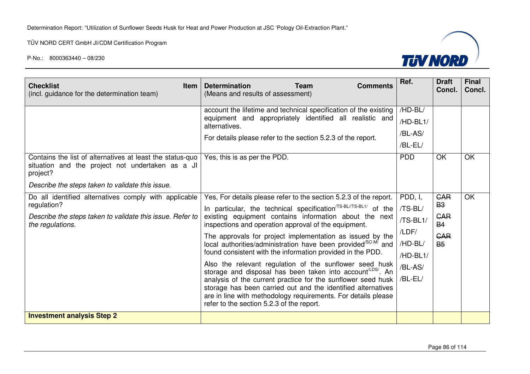

| <b>Checklist</b><br><b>Item</b><br>(incl. guidance for the determination team)                                                                                                | <b>Determination</b><br><b>Team</b><br><b>Comments</b><br>(Means and results of assessment)                                                                                                                                                                                                                                                                                                                                                                                                                                                                                                                                                                                                                                                                                                                                                                 | Ref.                                                                                 | <b>Draft</b><br>Concl.                                                 | <b>Final</b><br>Concl. |
|-------------------------------------------------------------------------------------------------------------------------------------------------------------------------------|-------------------------------------------------------------------------------------------------------------------------------------------------------------------------------------------------------------------------------------------------------------------------------------------------------------------------------------------------------------------------------------------------------------------------------------------------------------------------------------------------------------------------------------------------------------------------------------------------------------------------------------------------------------------------------------------------------------------------------------------------------------------------------------------------------------------------------------------------------------|--------------------------------------------------------------------------------------|------------------------------------------------------------------------|------------------------|
| Contains the list of alternatives at least the status-quo<br>situation and the project not undertaken as a JI<br>project?<br>Describe the steps taken to validate this issue. | account the lifetime and technical specification of the existing<br>equipment and appropriately identified all realistic and<br>alternatives.<br>For details please refer to the section 5.2.3 of the report.<br>Yes, this is as per the PDD.                                                                                                                                                                                                                                                                                                                                                                                                                                                                                                                                                                                                               | /HD-BL/<br>/HD-BL1/<br>/BL-AS/<br>/BL-EL/<br><b>PDD</b>                              | <b>OK</b>                                                              | <b>OK</b>              |
| Do all identified alternatives comply with applicable<br>regulation?<br>Describe the steps taken to validate this issue. Refer to<br>the regulations.                         | Yes, For details please refer to the section 5.2.3 of the report.<br>In particular, the technical specification <sup>TS-BL/TS-BL1/</sup> of the<br>existing equipment contains information about the next<br>inspections and operation approval of the equipment.<br>The approvals for project implementation as issued by the<br>local authorities/administration have been provided <sup>/SC-M</sup> and<br>found consistent with the information provided in the PDD.<br>Also the relevant regulation of the sunflower seed husk<br>storage and disposal has been taken into account <sup>(LDS/</sup> . An<br>analysis of the current practice for the sunflower seed husk<br>storage has been carried out and the identified alternatives<br>are in line with methodology requirements. For details please<br>refer to the section 5.2.3 of the report. | PDD, I,<br>/TS-BL/<br>/TS-BL1/<br>/LDF/<br>/HD-BL/<br>/HD-BL1/<br>/BL-AS/<br>/BL-EL/ | <b>GAR</b><br><b>B3</b><br>CAR<br><b>B4</b><br><b>GAR</b><br><b>B5</b> | OK                     |
| <b>Investment analysis Step 2</b>                                                                                                                                             |                                                                                                                                                                                                                                                                                                                                                                                                                                                                                                                                                                                                                                                                                                                                                                                                                                                             |                                                                                      |                                                                        |                        |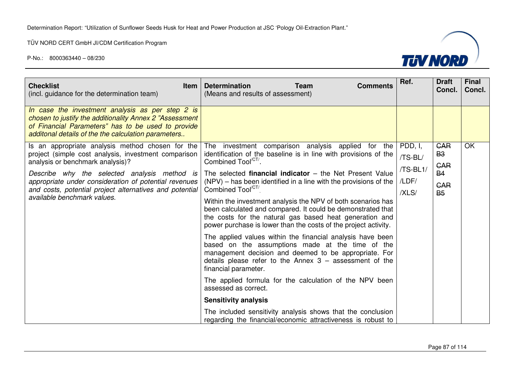

| <b>Checklist</b><br><b>Item</b><br>(incl. guidance for the determination team)                                                                                                                                           | <b>Determination</b><br><b>Team</b><br><b>Comments</b><br>(Means and results of assessment)                                                                                                                                                                  | Ref.     | <b>Draft</b><br>Concl.  | <b>Final</b><br>Concl. |
|--------------------------------------------------------------------------------------------------------------------------------------------------------------------------------------------------------------------------|--------------------------------------------------------------------------------------------------------------------------------------------------------------------------------------------------------------------------------------------------------------|----------|-------------------------|------------------------|
| In case the investment analysis as per step 2 is<br>chosen to justify the additionality Annex 2 "Assessment<br>of Financial Parameters" has to be used to provide<br>additonal details of the the calculation parameters |                                                                                                                                                                                                                                                              |          |                         |                        |
| Is an appropriate analysis method chosen for the                                                                                                                                                                         | The investment comparison analysis applied for the                                                                                                                                                                                                           | PDD, I,  | <b>GAR</b>              | OK                     |
| project (simple cost analysis, investment comparison<br>analysis or benchmark analysis)?                                                                                                                                 | identification of the baseline is in line with provisions of the<br>Combined Tool <sup>/CT/</sup> .                                                                                                                                                          | /TS-BL/  | <b>B3</b>               |                        |
| Describe why the selected analysis method is                                                                                                                                                                             | The selected <b>financial indicator</b> $-$ the Net Present Value                                                                                                                                                                                            | /TS-BL1/ | <b>CAR</b><br><b>B4</b> |                        |
| appropriate under consideration of potential revenues<br>and costs, potential project alternatives and potential<br>available benchmark values.                                                                          | (NPV) – has been identified in a line with the provisions of the                                                                                                                                                                                             | /LDF/    | <b>GAR</b>              |                        |
|                                                                                                                                                                                                                          | Combined Tool <sup>/C1/</sup>                                                                                                                                                                                                                                | /XLS/    | <b>B5</b>               |                        |
|                                                                                                                                                                                                                          | Within the investment analysis the NPV of both scenarios has<br>been calculated and compared. It could be demonstrated that<br>the costs for the natural gas based heat generation and<br>power purchase is lower than the costs of the project activity.    |          |                         |                        |
|                                                                                                                                                                                                                          | The applied values within the financial analysis have been<br>based on the assumptions made at the time of the<br>management decision and deemed to be appropriate. For<br>details please refer to the Annex $3 -$ assessment of the<br>financial parameter. |          |                         |                        |
|                                                                                                                                                                                                                          | The applied formula for the calculation of the NPV been<br>assessed as correct.                                                                                                                                                                              |          |                         |                        |
|                                                                                                                                                                                                                          | <b>Sensitivity analysis</b>                                                                                                                                                                                                                                  |          |                         |                        |
|                                                                                                                                                                                                                          | The included sensitivity analysis shows that the conclusion<br>regarding the financial/economic attractiveness is robust to                                                                                                                                  |          |                         |                        |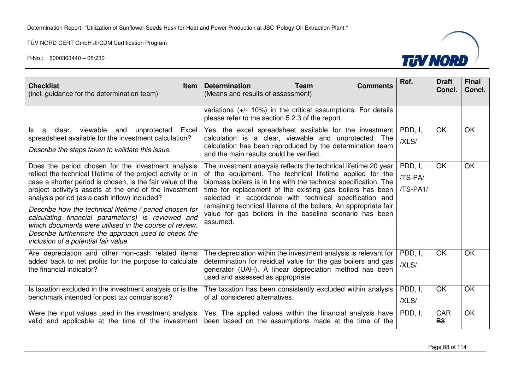

| <b>Checklist</b><br><b>Item</b><br>(incl. guidance for the determination team)                                                                                                                                                                                                                                                                                                                                                                                                                                                                                      | <b>Determination</b><br><b>Team</b><br><b>Comments</b><br>(Means and results of assessment)                                                                                                                                                                                                                                                                                                                                                                        | Ref.                           | <b>Draft</b><br>Concl.  | <b>Final</b><br>Concl. |
|---------------------------------------------------------------------------------------------------------------------------------------------------------------------------------------------------------------------------------------------------------------------------------------------------------------------------------------------------------------------------------------------------------------------------------------------------------------------------------------------------------------------------------------------------------------------|--------------------------------------------------------------------------------------------------------------------------------------------------------------------------------------------------------------------------------------------------------------------------------------------------------------------------------------------------------------------------------------------------------------------------------------------------------------------|--------------------------------|-------------------------|------------------------|
|                                                                                                                                                                                                                                                                                                                                                                                                                                                                                                                                                                     | variations $(+/- 10%)$ in the critical assumptions. For details<br>please refer to the section 5.2.3 of the report.                                                                                                                                                                                                                                                                                                                                                |                                |                         |                        |
| viewable and<br>unprotected<br>clear,<br>Excel<br>ls.<br>a<br>spreadsheet available for the investment calculation?<br>Describe the steps taken to validate this issue.                                                                                                                                                                                                                                                                                                                                                                                             | Yes, the excel spreadsheet available for the investment<br>calculation is a clear, viewable and unprotected. The<br>calculation has been reproduced by the determination team<br>and the main results could be verified.                                                                                                                                                                                                                                           | PDD, I,<br>/XLS/               | OK                      | <b>OK</b>              |
| Does the period chosen for the investment analysis<br>reflect the technical lifetime of the project activity or in<br>case a shorter period is chosen, is the fair value of the<br>project activity's assets at the end of the investment<br>analysis period (as a cash inflow) included?<br>Describe how the technical lifetime / period chosen for<br>calculating financial parameter(s) is reviewed and<br>which documents were utilised in the course of review.<br>Describe furthermore the approach used to check the<br>inclusion of a potential fair value. | The investment analysis reflects the technical lifetime 20 year<br>of the equipment. The technical lifetime applied for the<br>biomass boilers is in line with the technical specification. The<br>time for replacement of the existing gas boilers has been<br>selected in accordance with technical specification and<br>remaining technical lifetime of the boilers. An appropriate fair<br>value for gas boilers in the baseline scenario has been<br>assumed. | PDD, I,<br>/TS-PA/<br>/TS-PA1/ | <b>OK</b>               | OK                     |
| Are depreciation and other non-cash related items<br>added back to net profits for the purpose to calculate<br>the financial indicator?                                                                                                                                                                                                                                                                                                                                                                                                                             | The depreciation within the investment analysis is relevant for<br>determination for residual value for the gas boilers and gas<br>generator (UAH). A linear depreciation method has been<br>used and assessed as appropriate.                                                                                                                                                                                                                                     | PDD, I,<br>/XLS/               | OK                      | OK                     |
| Is taxation excluded in the investment analysis or is the<br>benchmark intended for post tax comparisons?                                                                                                                                                                                                                                                                                                                                                                                                                                                           | The taxation has been consistently excluded within analysis<br>of all considered alternatives.                                                                                                                                                                                                                                                                                                                                                                     | PDD, I,<br>/XLS/               | OK                      | <b>OK</b>              |
| Were the input values used in the investment analysis<br>valid and applicable at the time of the investment                                                                                                                                                                                                                                                                                                                                                                                                                                                         | Yes, The applied values within the financial analysis have<br>been based on the assumptions made at the time of the                                                                                                                                                                                                                                                                                                                                                | PDD, I,                        | <b>GAR</b><br><b>B3</b> | OK                     |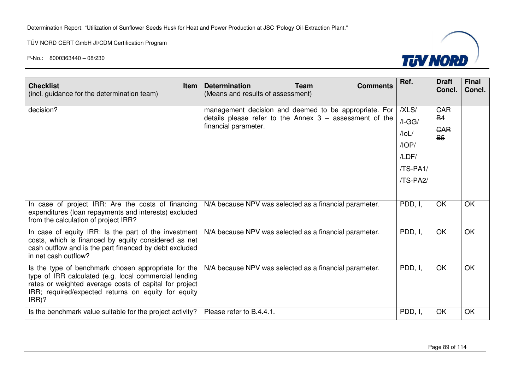

| <b>Checklist</b><br><b>Item</b><br>(incl. guidance for the determination team)                                                                                                                                                            | <b>Determination</b><br>(Means and results of assessment)                                                                                  | <b>Team</b> | <b>Comments</b> | Ref.                                                                         | <b>Draft</b><br>Concl.                             | <b>Final</b><br>Concl. |
|-------------------------------------------------------------------------------------------------------------------------------------------------------------------------------------------------------------------------------------------|--------------------------------------------------------------------------------------------------------------------------------------------|-------------|-----------------|------------------------------------------------------------------------------|----------------------------------------------------|------------------------|
| decision?                                                                                                                                                                                                                                 | management decision and deemed to be appropriate. For<br>details please refer to the Annex $3 -$ assessment of the<br>financial parameter. |             |                 | /XLS/<br>$/I-GG/$<br>$/$ loL $/$<br>/IOP/<br>/LDF/<br>$(TS-PA1/$<br>/TS-PA2/ | <b>GAR</b><br><b>B4</b><br><b>GAR</b><br><b>B5</b> |                        |
| In case of project IRR: Are the costs of financing<br>expenditures (loan repayments and interests) excluded<br>from the calculation of project IRR?                                                                                       | N/A because NPV was selected as a financial parameter.                                                                                     |             |                 | PDD, I,                                                                      | <b>OK</b>                                          | <b>OK</b>              |
| In case of equity IRR: Is the part of the investment<br>costs, which is financed by equity considered as net<br>cash outflow and is the part financed by debt excluded<br>in net cash outflow?                                            | N/A because NPV was selected as a financial parameter.                                                                                     |             |                 | PDD, I,                                                                      | OK                                                 | <b>OK</b>              |
| Is the type of benchmark chosen appropriate for the<br>type of IRR calculated (e.g. local commercial lending<br>rates or weighted average costs of capital for project<br>IRR; required/expected returns on equity for equity<br>$IRR$ )? | N/A because NPV was selected as a financial parameter.                                                                                     |             |                 | PDD, I,                                                                      | OK                                                 | <b>OK</b>              |
| Is the benchmark value suitable for the project activity?                                                                                                                                                                                 | Please refer to B.4.4.1.                                                                                                                   |             |                 | PDD, I,                                                                      | OK                                                 | OK                     |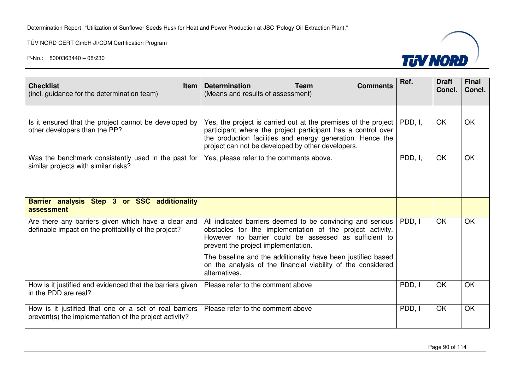

| <b>Checklist</b><br><b>Item</b><br>(incl. guidance for the determination team)                                   | <b>Determination</b><br><b>Team</b><br><b>Comments</b><br>(Means and results of assessment)                                                                                                                                                       | Ref.    | <b>Draft</b><br>Concl. | <b>Final</b><br>Concl.   |
|------------------------------------------------------------------------------------------------------------------|---------------------------------------------------------------------------------------------------------------------------------------------------------------------------------------------------------------------------------------------------|---------|------------------------|--------------------------|
|                                                                                                                  |                                                                                                                                                                                                                                                   |         |                        |                          |
| Is it ensured that the project cannot be developed by<br>other developers than the PP?                           | Yes, the project is carried out at the premises of the project<br>participant where the project participant has a control over<br>the production facilities and energy generation. Hence the<br>project can not be developed by other developers. | PDD, I. | <b>OK</b>              | <b>OK</b>                |
| Was the benchmark consistently used in the past for<br>similar projects with similar risks?                      | Yes, please refer to the comments above.                                                                                                                                                                                                          | PDD, I, | OK                     | OK                       |
| Barrier analysis Step 3 or SSC additionality<br>assessment                                                       |                                                                                                                                                                                                                                                   |         |                        |                          |
| Are there any barriers given which have a clear and<br>definable impact on the profitability of the project?     | All indicated barriers deemed to be convincing and serious<br>obstacles for the implementation of the project activity.<br>However no barrier could be assessed as sufficient to<br>prevent the project implementation.                           | PDD, I  | <b>OK</b>              | <b>OK</b>                |
|                                                                                                                  | The baseline and the additionality have been justified based<br>on the analysis of the financial viability of the considered<br>alternatives.                                                                                                     |         |                        |                          |
| How is it justified and evidenced that the barriers given<br>in the PDD are real?                                | Please refer to the comment above                                                                                                                                                                                                                 | PDD, I  | <b>OK</b>              | $\overline{\mathsf{OK}}$ |
| How is it justified that one or a set of real barriers<br>prevent(s) the implementation of the project activity? | Please refer to the comment above                                                                                                                                                                                                                 | PDD, I  | <b>OK</b>              | OK                       |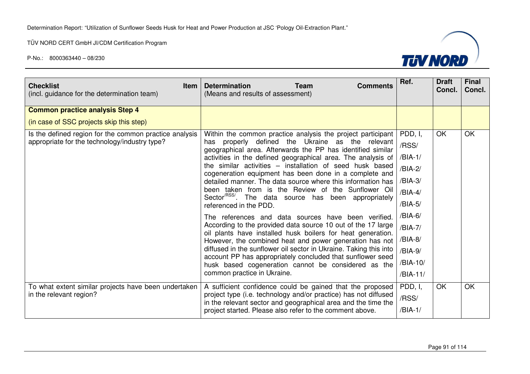

| <b>Checklist</b><br><b>Item</b><br>(incl. guidance for the determination team) | <b>Determination</b><br><b>Team</b><br><b>Comments</b><br>(Means and results of assessment)                                                                                                                    | Ref.      | <b>Draft</b><br>Concl. | <b>Final</b><br>Concl. |
|--------------------------------------------------------------------------------|----------------------------------------------------------------------------------------------------------------------------------------------------------------------------------------------------------------|-----------|------------------------|------------------------|
| <b>Common practice analysis Step 4</b>                                         |                                                                                                                                                                                                                |           |                        |                        |
| (in case of SSC projects skip this step)                                       |                                                                                                                                                                                                                |           |                        |                        |
| Is the defined region for the common practice analysis                         | Within the common practice analysis the project participant                                                                                                                                                    | PDD, I,   | <b>OK</b>              | <b>OK</b>              |
| appropriate for the technology/industry type?                                  | properly defined the Ukraine<br>as<br>the relevant<br>has<br>geographical area. Afterwards the PP has identified similar                                                                                       | /RSS/     |                        |                        |
|                                                                                | activities in the defined geographical area. The analysis of                                                                                                                                                   | $/BIA-1/$ |                        |                        |
|                                                                                | the similar activities - installation of seed husk based<br>cogeneration equipment has been done in a complete and                                                                                             | /BIA-2/   |                        |                        |
|                                                                                | detailed manner. The data source where this information has<br>been taken from is the Review of the Sunflower Oil<br>Sector <sup>RSS/</sup> . The data source has been appropriately<br>referenced in the PDD. | /BIA-3/   |                        |                        |
|                                                                                |                                                                                                                                                                                                                | $/BIA-4/$ |                        |                        |
|                                                                                |                                                                                                                                                                                                                | /BIA-5/   |                        |                        |
|                                                                                | The references and data sources have been verified.                                                                                                                                                            | /BIA-6/   |                        |                        |
|                                                                                | According to the provided data source 10 out of the 17 large                                                                                                                                                   | /BIA-7/   |                        |                        |
|                                                                                | oil plants have installed husk boilers for heat generation.<br>However, the combined heat and power generation has not                                                                                         | /BIA-8/   |                        |                        |
|                                                                                | diffused in the sunflower oil sector in Ukraine. Taking this into                                                                                                                                              | /BIA-9/   |                        |                        |
|                                                                                | account PP has appropriately concluded that sunflower seed<br>husk based cogeneration cannot be considered as the                                                                                              | /BIA-10/  |                        |                        |
|                                                                                | common practice in Ukraine.                                                                                                                                                                                    | /BIA-11/  |                        |                        |
| To what extent similar projects have been undertaken                           | A sufficient confidence could be gained that the proposed                                                                                                                                                      | PDD, I,   | OK                     | OK                     |
| in the relevant region?                                                        | project type (i.e. technology and/or practice) has not diffused<br>in the relevant sector and geographical area and the time the                                                                               | /RSS/     |                        |                        |
|                                                                                | project started. Please also refer to the comment above.                                                                                                                                                       | /BIA-1/   |                        |                        |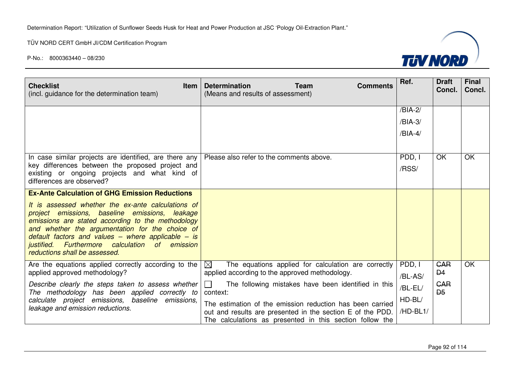TÜV NORD CERT GmbH JI/CDM Certification Program



| <b>Checklist</b><br><b>Item</b><br>(incl. guidance for the determination team)                                                                                                                                                                                                                                                                        | <b>Determination</b><br><b>Team</b><br><b>Comments</b><br>(Means and results of assessment)                            | Ref.     | <b>Draft</b><br>Concl.       | <b>Final</b><br>Concl. |
|-------------------------------------------------------------------------------------------------------------------------------------------------------------------------------------------------------------------------------------------------------------------------------------------------------------------------------------------------------|------------------------------------------------------------------------------------------------------------------------|----------|------------------------------|------------------------|
|                                                                                                                                                                                                                                                                                                                                                       |                                                                                                                        | /BIA-2/  |                              |                        |
|                                                                                                                                                                                                                                                                                                                                                       |                                                                                                                        | /BIA-3/  |                              |                        |
|                                                                                                                                                                                                                                                                                                                                                       |                                                                                                                        | /BIA-4/  |                              |                        |
|                                                                                                                                                                                                                                                                                                                                                       |                                                                                                                        |          |                              |                        |
| In case similar projects are identified, are there any                                                                                                                                                                                                                                                                                                | Please also refer to the comments above.                                                                               | PDD, I   | <b>OK</b>                    | OK                     |
| key differences between the proposed project and<br>existing or ongoing projects and what kind of                                                                                                                                                                                                                                                     |                                                                                                                        | /RSS/    |                              |                        |
| differences are observed?                                                                                                                                                                                                                                                                                                                             |                                                                                                                        |          |                              |                        |
| <b>Ex-Ante Calculation of GHG Emission Reductions</b>                                                                                                                                                                                                                                                                                                 |                                                                                                                        |          |                              |                        |
| It is assessed whether the ex-ante calculations of<br>project emissions, baseline emissions, leakage<br>emissions are stated according to the methodology<br>and whether the argumentation for the choice of<br>default factors and values – where applicable – is<br>justified. Furthermore calculation of emission<br>reductions shall be assessed. |                                                                                                                        |          |                              |                        |
| Are the equations applied correctly according to the<br>applied approved methodology?                                                                                                                                                                                                                                                                 | $\boxtimes$<br>The equations applied for calculation are correctly<br>applied according to the approved methodology.   | PDD, I   | <b>CAR</b><br>D <sub>4</sub> | OK                     |
| Describe clearly the steps taken to assess whether                                                                                                                                                                                                                                                                                                    | The following mistakes have been identified in this<br>$\perp$                                                         | /BL-AS/  | <b>GAR</b>                   |                        |
| The methodology has been applied correctly to                                                                                                                                                                                                                                                                                                         | context:                                                                                                               | /BL-EL/  | D <sub>5</sub>               |                        |
| calculate project emissions, baseline emissions,                                                                                                                                                                                                                                                                                                      | The estimation of the emission reduction has been carried                                                              | $HD-BL/$ |                              |                        |
| leakage and emission reductions.                                                                                                                                                                                                                                                                                                                      | out and results are presented in the section E of the PDD.<br>The calculations as presented in this section follow the | /HD-BL1/ |                              |                        |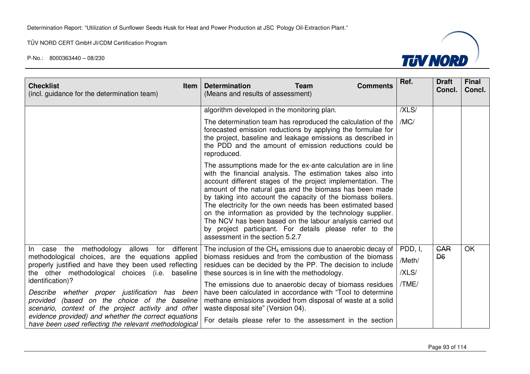

| <b>Checklist</b><br><b>Item</b><br>(incl. guidance for the determination team)                                                                                                                                            | <b>Determination</b><br><b>Team</b><br><b>Comments</b><br>(Means and results of assessment)                                                                                                                                                                                                                                                                                                                                                                                                                                                                                                                 | Ref.                       | <b>Draft</b><br>Concl.       | <b>Final</b><br>Concl. |
|---------------------------------------------------------------------------------------------------------------------------------------------------------------------------------------------------------------------------|-------------------------------------------------------------------------------------------------------------------------------------------------------------------------------------------------------------------------------------------------------------------------------------------------------------------------------------------------------------------------------------------------------------------------------------------------------------------------------------------------------------------------------------------------------------------------------------------------------------|----------------------------|------------------------------|------------------------|
|                                                                                                                                                                                                                           | algorithm developed in the monitoring plan.                                                                                                                                                                                                                                                                                                                                                                                                                                                                                                                                                                 | /XLS/                      |                              |                        |
|                                                                                                                                                                                                                           | The determination team has reproduced the calculation of the<br>forecasted emission reductions by applying the formulae for<br>the project, baseline and leakage emissions as described in<br>the PDD and the amount of emission reductions could be<br>reproduced.                                                                                                                                                                                                                                                                                                                                         | /MC/                       |                              |                        |
|                                                                                                                                                                                                                           | The assumptions made for the ex-ante calculation are in line<br>with the financial analysis. The estimation takes also into<br>account different stages of the project implementation. The<br>amount of the natural gas and the biomass has been made<br>by taking into account the capacity of the biomass boilers.<br>The electricity for the own needs has been estimated based<br>on the information as provided by the technology supplier.<br>The NCV has been based on the labour analysis carried out<br>by project participant. For details please refer to the<br>assessment in the section 5.2.7 |                            |                              |                        |
| the methodology allows for<br>different<br>$\ln$<br>case<br>methodological choices, are the equations applied<br>properly justified and have they been used reflecting<br>the other methodological choices (i.e. baseline | The inclusion of the $CH_4$ emissions due to anaerobic decay of<br>biomass residues and from the combustion of the biomass<br>residues can be decided by the PP. The decision to include<br>these sources is in line with the methodology.                                                                                                                                                                                                                                                                                                                                                                  | PDD, I,<br>/Meth/<br>/XLS/ | <b>GAR</b><br>D <sub>6</sub> | OK                     |
| identification)?<br>Describe whether proper justification has been<br>provided (based on the choice of the baseline<br>scenario, context of the project activity and other                                                | The emissions due to anaerobic decay of biomass residues<br>have been calculated in accordance with "Tool to determine"<br>methane emissions avoided from disposal of waste at a solid<br>waste disposal site" (Version 04).                                                                                                                                                                                                                                                                                                                                                                                | /TME/                      |                              |                        |
| evidence provided) and whether the correct equations<br>have been used reflecting the relevant methodological                                                                                                             | For details please refer to the assessment in the section                                                                                                                                                                                                                                                                                                                                                                                                                                                                                                                                                   |                            |                              |                        |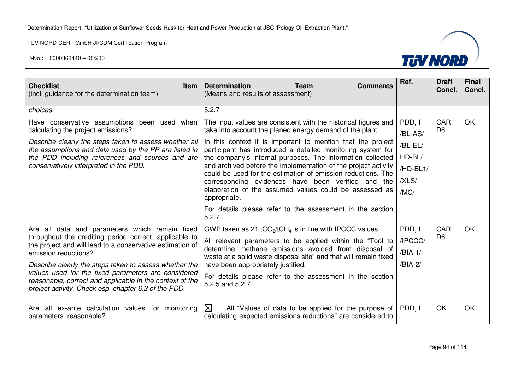

| <b>Checklist</b><br><b>Item</b><br>(incl. guidance for the determination team)                                                                                                                                                                                                                                                                                                                                                     | <b>Determination</b><br><b>Team</b><br><b>Comments</b><br>(Means and results of assessment)                                                                                                                                                                                                                                                                                                                                                                                                                                                                                                                                                            | Ref.                                                                  | <b>Draft</b><br>Concl.       | <b>Final</b><br>Concl. |
|------------------------------------------------------------------------------------------------------------------------------------------------------------------------------------------------------------------------------------------------------------------------------------------------------------------------------------------------------------------------------------------------------------------------------------|--------------------------------------------------------------------------------------------------------------------------------------------------------------------------------------------------------------------------------------------------------------------------------------------------------------------------------------------------------------------------------------------------------------------------------------------------------------------------------------------------------------------------------------------------------------------------------------------------------------------------------------------------------|-----------------------------------------------------------------------|------------------------------|------------------------|
| choices.                                                                                                                                                                                                                                                                                                                                                                                                                           | 5.2.7                                                                                                                                                                                                                                                                                                                                                                                                                                                                                                                                                                                                                                                  |                                                                       |                              |                        |
| Have conservative assumptions been used when<br>calculating the project emissions?<br>Describe clearly the steps taken to assess whether all<br>the assumptions and data used by the PP are listed in<br>the PDD including references and sources and are<br>conservatively interpreted in the PDD.                                                                                                                                | The input values are consistent with the historical figures and<br>take into account the planed energy demand of the plant.<br>In this context it is important to mention that the project<br>participant has introduced a detailed monitoring system for<br>the company's internal purposes. The information collected<br>and archived before the implementation of the project activity<br>could be used for the estimation of emission reductions. The<br>corresponding evidences have been verified and the<br>elaboration of the assumed values could be assessed as<br>appropriate.<br>For details please refer to the assessment in the section | PDD, I<br>/BL-AS/<br>/BL-EL/<br>$HD-BL/$<br>/HD-BL1/<br>/XLS/<br>/MC/ | <b>GAR</b><br>D <sub>6</sub> | <b>OK</b>              |
|                                                                                                                                                                                                                                                                                                                                                                                                                                    | 5.2.7                                                                                                                                                                                                                                                                                                                                                                                                                                                                                                                                                                                                                                                  |                                                                       |                              |                        |
| Are all data and parameters which remain fixed<br>throughout the crediting period correct, applicable to<br>the project and will lead to a conservative estimation of<br>emission reductions?<br>Describe clearly the steps taken to assess whether the<br>values used for the fixed parameters are considered<br>reasonable, correct and applicable in the context of the<br>project activity. Check esp. chapter 6.2 of the PDD. | GWP taken as 21 tCO <sub>2</sub> /tCH <sub>4</sub> is in line with IPCCC values<br>All relevant parameters to be applied within the "Tool to<br>determine methane emissions avoided from disposal of<br>waste at a solid waste disposal site" and that will remain fixed<br>have been appropriately justified.<br>For details please refer to the assessment in the section<br>5.2.5 and 5.2.7.                                                                                                                                                                                                                                                        | PDD, I<br>/IPCCC/<br>/BIA-1/<br>/BIA-2/                               | <b>GAR</b><br>D <sub>6</sub> | <b>OK</b>              |
| Are all ex-ante calculation values for monitoring<br>parameters reasonable?                                                                                                                                                                                                                                                                                                                                                        | $\boxtimes$<br>All "Values of data to be applied for the purpose of<br>calculating expected emissions reductions" are considered to                                                                                                                                                                                                                                                                                                                                                                                                                                                                                                                    | PDD. I                                                                | OK                           | <b>OK</b>              |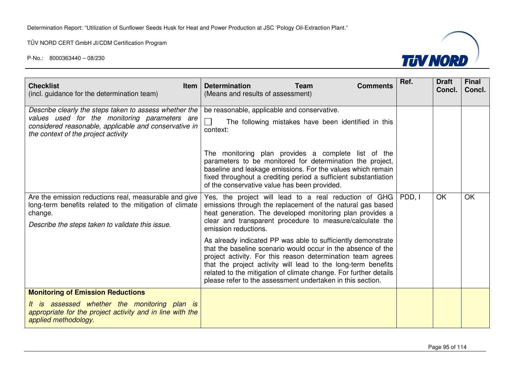

| <b>Checklist</b><br><b>Item</b><br>(incl. guidance for the determination team)                                                                                                                          | <b>Determination</b><br><b>Team</b><br><b>Comments</b><br>(Means and results of assessment)                                                                                                                                                                                                                                                                                                                                    | Ref. | <b>Draft</b><br>Concl. | <b>Final</b><br>Concl. |
|---------------------------------------------------------------------------------------------------------------------------------------------------------------------------------------------------------|--------------------------------------------------------------------------------------------------------------------------------------------------------------------------------------------------------------------------------------------------------------------------------------------------------------------------------------------------------------------------------------------------------------------------------|------|------------------------|------------------------|
| Describe clearly the steps taken to assess whether the<br>values used for the monitoring parameters are<br>considered reasonable, applicable and conservative in<br>the context of the project activity | be reasonable, applicable and conservative.<br>$\Box$<br>The following mistakes have been identified in this<br>context:<br>The monitoring plan provides a complete list of the<br>parameters to be monitored for determination the project,<br>baseline and leakage emissions. For the values which remain<br>fixed throughout a crediting period a sufficient substantiation<br>of the conservative value has been provided. |      |                        |                        |
| Are the emission reductions real, measurable and give<br>long-term benefits related to the mitigation of climate<br>change.<br>Describe the steps taken to validate this issue.                         | Yes, the project will lead to a real reduction of GHG   PDD, I<br>emissions through the replacement of the natural gas based<br>heat generation. The developed monitoring plan provides a<br>clear and transparent procedure to measure/calculate the<br>emission reductions.                                                                                                                                                  |      | OK                     | OK                     |
|                                                                                                                                                                                                         | As already indicated PP was able to sufficiently demonstrate<br>that the baseline scenario would occur in the absence of the<br>project activity. For this reason determination team agrees<br>that the project activity will lead to the long-term benefits<br>related to the mitigation of climate change. For further details<br>please refer to the assessment undertaken in this section.                                 |      |                        |                        |
| <b>Monitoring of Emission Reductions</b><br>It is assessed whether the monitoring plan is<br>appropriate for the project activity and in line with the<br>applied methodology.                          |                                                                                                                                                                                                                                                                                                                                                                                                                                |      |                        |                        |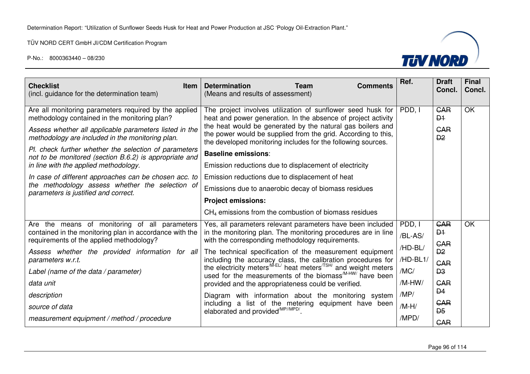

| <b>Checklist</b><br><b>Item</b><br>(incl. guidance for the determination team)                                                                                                                                                                                                                                                                                                                                                            | <b>Determination</b><br><b>Team</b><br><b>Comments</b><br>(Means and results of assessment)                                                                                                                                                                                                                                                                                                                                                                                                                                                                                                                                                                                                          | Ref.                                                                                   | <b>Draft</b><br>Concl.                                                                                                                                   | <b>Final</b><br>Concl. |
|-------------------------------------------------------------------------------------------------------------------------------------------------------------------------------------------------------------------------------------------------------------------------------------------------------------------------------------------------------------------------------------------------------------------------------------------|------------------------------------------------------------------------------------------------------------------------------------------------------------------------------------------------------------------------------------------------------------------------------------------------------------------------------------------------------------------------------------------------------------------------------------------------------------------------------------------------------------------------------------------------------------------------------------------------------------------------------------------------------------------------------------------------------|----------------------------------------------------------------------------------------|----------------------------------------------------------------------------------------------------------------------------------------------------------|------------------------|
| Are all monitoring parameters required by the applied<br>methodology contained in the monitoring plan?<br>Assess whether all applicable parameters listed in the<br>methodology are included in the monitoring plan.<br>Pl. check further whether the selection of parameters<br>not to be monitored (section B.6.2) is appropriate and<br>in line with the applied methodology.<br>In case of different approaches can be chosen acc. to | The project involves utilization of sunflower seed husk for<br>heat and power generation. In the absence of project activity<br>the heat would be generated by the natural gas boilers and<br>the power would be supplied from the grid. According to this,<br>the developed monitoring includes for the following sources.<br><b>Baseline emissions:</b><br>Emission reductions due to displacement of electricity<br>Emission reductions due to displacement of heat                                                                                                                                                                                                                               | PDD. I                                                                                 | <b>GAR</b><br>$\mathsf{D}4$<br><b>GAR</b><br>D2                                                                                                          | OK                     |
| the methodology assess whether the selection of<br>parameters is justified and correct.                                                                                                                                                                                                                                                                                                                                                   | Emissions due to anaerobic decay of biomass residues<br><b>Project emissions:</b><br>$CH4$ emissions from the combustion of biomass residues                                                                                                                                                                                                                                                                                                                                                                                                                                                                                                                                                         |                                                                                        |                                                                                                                                                          |                        |
| Are the means of monitoring of all parameters<br>contained in the monitoring plan in accordance with the<br>requirements of the applied methodology?<br>Assess whether the provided information for all<br>parameters w.r.t.<br>Label (name of the data / parameter)<br>data unit<br>description<br>source of data<br>measurement equipment / method / procedure                                                                          | Yes, all parameters relevant parameters have been included<br>in the monitoring plan. The monitoring procedures are in line<br>with the corresponding methodology requirements.<br>The technical specification of the measurement equipment<br>including the accuracy class, the calibration procedures for<br>the electricity meters <sup>MEL/</sup> heat meters <sup>/TSH/</sup> and weight meters<br>used for the measurements of the biomass <sup>M-HW/</sup> have been<br>provided and the appropriateness could be verified.<br>Diagram with information about the monitoring system<br>including a list of the metering equipment have been<br>elaborated and provided <sup>/MP//MPD/</sup> . | PDD, I<br>/BL-AS/<br>/HD-BL/<br>/HD-BL1/<br>/MC/<br>/M-HW/<br>/MP/<br>$/M-H/$<br>/MPD/ | <b>CAR</b><br>D <sub>1</sub><br><b>GAR</b><br>D2<br><b>GAR</b><br>D <sub>3</sub><br><b>CAR</b><br>D <sub>4</sub><br><b>GAR</b><br>$\overline{D5}$<br>CAR | OK                     |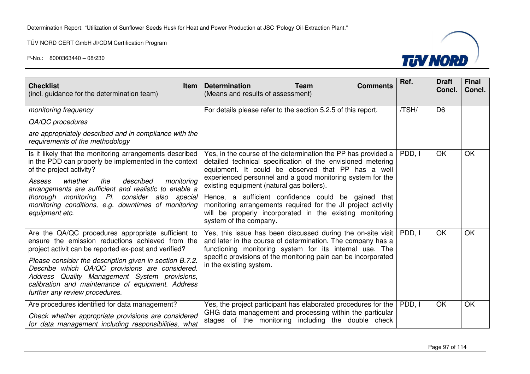

| <b>Checklist</b><br><b>Item</b><br>(incl. guidance for the determination team)                                                                                                                                                                                                                                                                                                                                        | <b>Determination</b><br><b>Team</b><br><b>Comments</b><br>(Means and results of assessment)                                                                                                                                                                                                                                                                                                                                                                                                                | Ref.   | <b>Draft</b><br>Concl. | <b>Final</b><br>Concl. |
|-----------------------------------------------------------------------------------------------------------------------------------------------------------------------------------------------------------------------------------------------------------------------------------------------------------------------------------------------------------------------------------------------------------------------|------------------------------------------------------------------------------------------------------------------------------------------------------------------------------------------------------------------------------------------------------------------------------------------------------------------------------------------------------------------------------------------------------------------------------------------------------------------------------------------------------------|--------|------------------------|------------------------|
| monitoring frequency                                                                                                                                                                                                                                                                                                                                                                                                  | For details please refer to the section 5.2.5 of this report.                                                                                                                                                                                                                                                                                                                                                                                                                                              | /TSH/  | D <sub>6</sub>         |                        |
| QA/QC procedures                                                                                                                                                                                                                                                                                                                                                                                                      |                                                                                                                                                                                                                                                                                                                                                                                                                                                                                                            |        |                        |                        |
| are appropriately described and in compliance with the<br>requirements of the methodology                                                                                                                                                                                                                                                                                                                             |                                                                                                                                                                                                                                                                                                                                                                                                                                                                                                            |        |                        |                        |
| Is it likely that the monitoring arrangements described<br>in the PDD can properly be implemented in the context<br>of the project activity?<br>whether<br>the<br>described<br>monitoring<br>Assess<br>arrangements are sufficient and realistic to enable a<br>thorough monitoring. Pl. consider also special<br>monitoring conditions, e.g. downtimes of monitoring<br>equipment etc.                               | Yes, in the course of the determination the PP has provided a<br>detailed technical specification of the envisioned metering<br>equipment. It could be observed that PP has a well<br>experienced personnel and a good monitoring system for the<br>existing equipment (natural gas boilers).<br>Hence, a sufficient confidence could be gained that<br>monitoring arrangements required for the JI project activity<br>will be properly incorporated in the existing monitoring<br>system of the company. | PDD, I | <b>OK</b>              | OK                     |
| Are the QA/QC procedures appropriate sufficient to<br>ensure the emission reductions achieved from the<br>project activit can be reported ex-post and verified?<br>Please consider the description given in section B.7.2.<br>Describe which QA/QC provisions are considered.<br>Address Quality Management System provisions,<br>calibration and maintenance of equipment. Address<br>further any review procedures. | Yes, this issue has been discussed during the on-site visit<br>and later in the course of determination. The company has a<br>functioning monitoring system for its internal use. The<br>specific provisions of the monitoring paln can be incorporated<br>in the existing system.                                                                                                                                                                                                                         | PDD, I | OK                     | OK                     |
| Are procedures identified for data management?<br>Check whether appropriate provisions are considered<br>for data management including responsibilities, what                                                                                                                                                                                                                                                         | Yes, the project participant has elaborated procedures for the<br>GHG data management and processing within the particular<br>stages of the monitoring including the double check                                                                                                                                                                                                                                                                                                                          | PDD. I | OK                     | OK                     |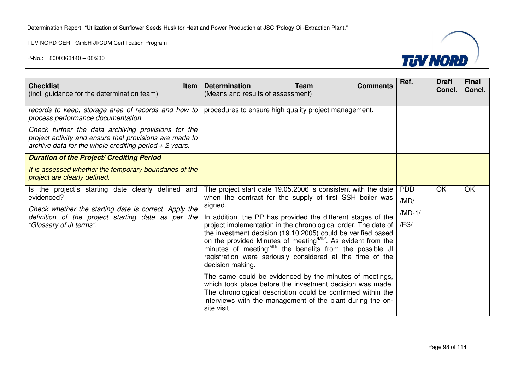

| (incl. guidance for the determination team)                                                                                                                                                                | <b>Determination</b><br><b>Team</b><br><b>Comments</b><br>(Means and results of assessment)                                                                                                                                                                                                                                                                                                                                                                                                                                                                                                                                                                                                                                                                       | Ref.                                 | <b>Draft</b><br>Concl. | <b>Final</b><br>Concl. |
|------------------------------------------------------------------------------------------------------------------------------------------------------------------------------------------------------------|-------------------------------------------------------------------------------------------------------------------------------------------------------------------------------------------------------------------------------------------------------------------------------------------------------------------------------------------------------------------------------------------------------------------------------------------------------------------------------------------------------------------------------------------------------------------------------------------------------------------------------------------------------------------------------------------------------------------------------------------------------------------|--------------------------------------|------------------------|------------------------|
| records to keep, storage area of records and how to<br>process performance documentation                                                                                                                   | procedures to ensure high quality project management.                                                                                                                                                                                                                                                                                                                                                                                                                                                                                                                                                                                                                                                                                                             |                                      |                        |                        |
| Check further the data archiving provisions for the<br>project activity and ensure that provisions are made to<br>archive data for the whole crediting period $+2$ years.                                  |                                                                                                                                                                                                                                                                                                                                                                                                                                                                                                                                                                                                                                                                                                                                                                   |                                      |                        |                        |
| <b>Duration of the Project/ Crediting Period</b>                                                                                                                                                           |                                                                                                                                                                                                                                                                                                                                                                                                                                                                                                                                                                                                                                                                                                                                                                   |                                      |                        |                        |
| It is assessed whether the temporary boundaries of the<br>project are clearly defined.                                                                                                                     |                                                                                                                                                                                                                                                                                                                                                                                                                                                                                                                                                                                                                                                                                                                                                                   |                                      |                        |                        |
| Is the project's starting date clearly defined and<br>evidenced?<br>Check whether the starting date is correct. Apply the<br>definition of the project starting date as per the<br>"Glossary of JI terms". | The project start date 19.05.2006 is consistent with the date<br>when the contract for the supply of first SSH boiler was<br>signed.<br>In addition, the PP has provided the different stages of the<br>project implementation in the chronological order. The date of<br>the investment decision (19.10.2005) could be verified based<br>on the provided Minutes of meeting <sup>MD/</sup> . As evident from the<br>minutes of meeting <sup>(MD/</sup> the benefits from the possible JI<br>registration were seriously considered at the time of the<br>decision making.<br>The same could be evidenced by the minutes of meetings,<br>which took place before the investment decision was made.<br>The chronological description could be confirmed within the | <b>PDD</b><br>/MD/<br>/MD-1/<br>/FS/ | OK                     | OK                     |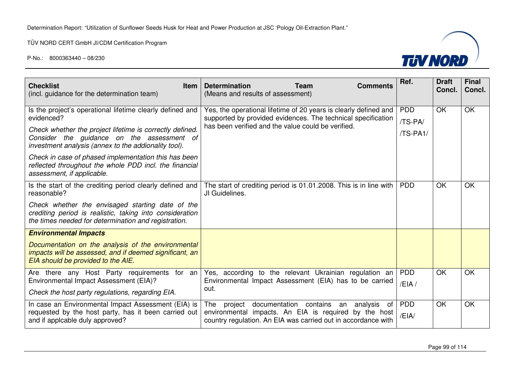

| <b>Checklist</b><br>Item<br>(incl. guidance for the determination team)                                                                                                                                                                                                                                                                                                                   | <b>Determination</b><br><b>Team</b><br><b>Comments</b><br>(Means and results of assessment)                                                                                             | Ref.                              | <b>Draft</b><br>Concl. | <b>Final</b><br>Concl. |
|-------------------------------------------------------------------------------------------------------------------------------------------------------------------------------------------------------------------------------------------------------------------------------------------------------------------------------------------------------------------------------------------|-----------------------------------------------------------------------------------------------------------------------------------------------------------------------------------------|-----------------------------------|------------------------|------------------------|
| Is the project's operational lifetime clearly defined and<br>evidenced?<br>Check whether the project lifetime is correctly defined.<br>Consider the guidance on the assessment of<br>investment analysis (annex to the addionality tool).<br>Check in case of phased implementation this has been<br>reflected throughout the whole PDD incl. the financial<br>assessment, if applicable. | Yes, the operational lifetime of 20 years is clearly defined and<br>supported by provided evidences. The technical specification<br>has been verified and the value could be verified.  | <b>PDD</b><br>/TS-PA/<br>/TS-PA1/ | OK                     | <b>OK</b>              |
| Is the start of the crediting period clearly defined and<br>reasonable?<br>Check whether the envisaged starting date of the<br>crediting period is realistic, taking into consideration<br>the times needed for determination and registration.                                                                                                                                           | The start of crediting period is 01.01.2008. This is in line with<br>JI Guidelines.                                                                                                     | <b>PDD</b>                        | OK                     | <b>OK</b>              |
| <b>Environmental Impacts</b><br>Documentation on the analysis of the environmental<br>impacts will be assessed, and if deemed significant, an<br>EIA should be provided to the AIE.                                                                                                                                                                                                       |                                                                                                                                                                                         |                                   |                        |                        |
| Are there any Host Party requirements for an<br>Environmental Impact Assessment (EIA)?<br>Check the host party regulations, regarding EIA.                                                                                                                                                                                                                                                | Yes, according to the relevant Ukrainian regulation an<br>Environmental Impact Assessment (EIA) has to be carried<br>out.                                                               | <b>PDD</b><br>/EIA/               | OK                     | OK                     |
| In case an Environmental Impact Assessment (EIA) is<br>requested by the host party, has it been carried out<br>and if applcable duly approved?                                                                                                                                                                                                                                            | The<br>documentation contains an<br>analysis<br>project<br>of<br>environmental impacts. An EIA is required by the host<br>country regulation. An EIA was carried out in accordance with | <b>PDD</b><br>/EIA/               | <b>OK</b>              | <b>OK</b>              |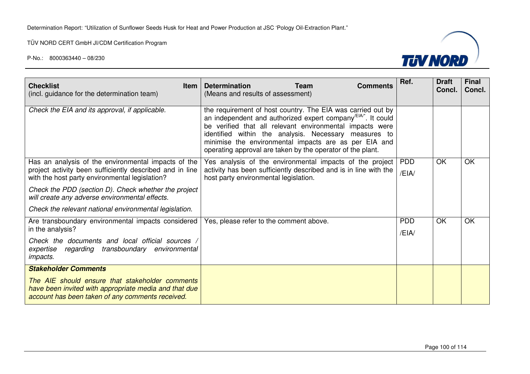

| <b>Checklist</b><br><b>Item</b><br>(incl. guidance for the determination team)                                                                                    | <b>Determination</b><br><b>Team</b><br><b>Comments</b><br>(Means and results of assessment)                                                                                                                                                                                                                                                                                        | Ref.                | <b>Draft</b><br>Concl. | <b>Final</b><br>Concl. |
|-------------------------------------------------------------------------------------------------------------------------------------------------------------------|------------------------------------------------------------------------------------------------------------------------------------------------------------------------------------------------------------------------------------------------------------------------------------------------------------------------------------------------------------------------------------|---------------------|------------------------|------------------------|
| Check the EIA and its approval, if applicable.                                                                                                                    | the requirement of host country. The EIA was carried out by<br>an independent and authorized expert company <sup>EIA"</sup> . It could<br>be verified that all relevant environmental impacts were<br>identified within the analysis. Necessary measures to<br>minimise the environmental impacts are as per EIA and<br>operating approval are taken by the operator of the plant. |                     |                        |                        |
| Has an analysis of the environmental impacts of the<br>project activity been sufficiently described and in line<br>with the host party environmental legislation? | Yes analysis of the environmental impacts of the project<br>activity has been sufficiently described and is in line with the<br>host party environmental legislation.                                                                                                                                                                                                              | <b>PDD</b><br>/EIA/ | OK                     | <b>OK</b>              |
| Check the PDD (section D). Check whether the project<br>will create any adverse environmental effects.                                                            |                                                                                                                                                                                                                                                                                                                                                                                    |                     |                        |                        |
| Check the relevant national environmental legislation.                                                                                                            |                                                                                                                                                                                                                                                                                                                                                                                    |                     |                        |                        |
| Are transboundary environmental impacts considered<br>in the analysis?                                                                                            | Yes, please refer to the comment above.                                                                                                                                                                                                                                                                                                                                            | <b>PDD</b><br>/EIA  | <b>OK</b>              | <b>OK</b>              |
| Check the documents and local official sources<br>expertise regarding transboundary environmental<br><i>impacts.</i>                                              |                                                                                                                                                                                                                                                                                                                                                                                    |                     |                        |                        |
| <b>Stakeholder Comments</b>                                                                                                                                       |                                                                                                                                                                                                                                                                                                                                                                                    |                     |                        |                        |
| The AIE should ensure that stakeholder comments<br>have been invited with appropriate media and that due<br>account has been taken of any comments received.      |                                                                                                                                                                                                                                                                                                                                                                                    |                     |                        |                        |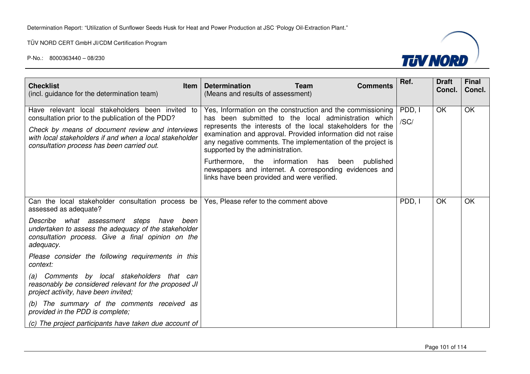

| <b>Checklist</b><br><b>Item</b><br>(incl. guidance for the determination team)                                                                                                                                                                                     | <b>Determination</b><br><b>Team</b><br><b>Comments</b><br>(Means and results of assessment)                                                                                                                                                                                                                                                         | Ref.           | <b>Draft</b><br>Concl. | <b>Final</b><br>Concl. |
|--------------------------------------------------------------------------------------------------------------------------------------------------------------------------------------------------------------------------------------------------------------------|-----------------------------------------------------------------------------------------------------------------------------------------------------------------------------------------------------------------------------------------------------------------------------------------------------------------------------------------------------|----------------|------------------------|------------------------|
| Have relevant local stakeholders been invited to<br>consultation prior to the publication of the PDD?<br>Check by means of document review and interviews<br>with local stakeholders if and when a local stakeholder<br>consultation process has been carried out. | Yes, Information on the construction and the commissioning<br>has been submitted to the local administration which<br>represents the interests of the local stakeholders for the<br>examination and approval. Provided information did not raise<br>any negative comments. The implementation of the project is<br>supported by the administration. | PDD, I<br>/SC/ | OK                     | <b>OK</b>              |
|                                                                                                                                                                                                                                                                    | Furthermore, the information<br>has been<br>published<br>newspapers and internet. A corresponding evidences and<br>links have been provided and were verified.                                                                                                                                                                                      |                |                        |                        |
| Can the local stakeholder consultation process be<br>assessed as adequate?<br>Describe what assessment steps have<br>been<br>undertaken to assess the adequacy of the stakeholder<br>consultation process. Give a final opinion on the<br>adequacy.                | Yes, Please refer to the comment above                                                                                                                                                                                                                                                                                                              | PDD, I         | OK                     | OK                     |
| Please consider the following requirements in this<br>context:                                                                                                                                                                                                     |                                                                                                                                                                                                                                                                                                                                                     |                |                        |                        |
| (a) Comments by local stakeholders that can<br>reasonably be considered relevant for the proposed JI<br>project activity, have been invited;                                                                                                                       |                                                                                                                                                                                                                                                                                                                                                     |                |                        |                        |
| (b) The summary of the comments received as<br>provided in the PDD is complete;                                                                                                                                                                                    |                                                                                                                                                                                                                                                                                                                                                     |                |                        |                        |
| (c) The project participants have taken due account of                                                                                                                                                                                                             |                                                                                                                                                                                                                                                                                                                                                     |                |                        |                        |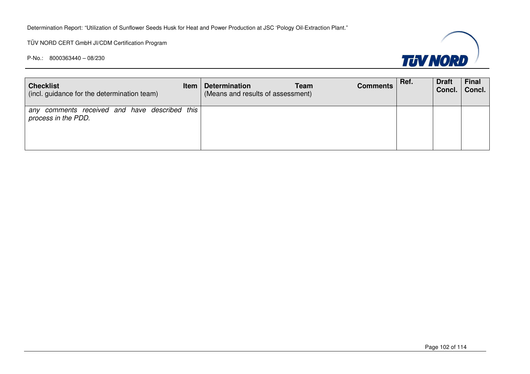TÜV NORD CERT GmbH JI/CDM Certification Program



| <b>Checklist</b><br>(incl. guidance for the determination team)      | Item | <b>Determination</b><br><b>Team</b><br>(Means and results of assessment) | <b>Comments</b> | Ref. | <b>Draft</b><br>Concl. | <b>Final</b><br>Concl. |
|----------------------------------------------------------------------|------|--------------------------------------------------------------------------|-----------------|------|------------------------|------------------------|
| any comments received and have described this<br>process in the PDD. |      |                                                                          |                 |      |                        |                        |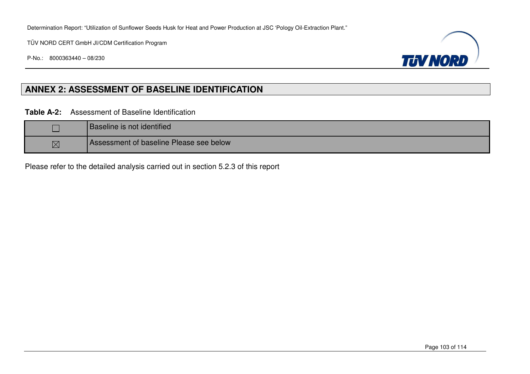TÜV NORD CERT GmbH JI/CDM Certification Program

P-No.: 8000363440 – 08/230



## **ANNEX 2: ASSESSMENT OF BASELINE IDENTIFICATION**

**Table A-2:** Assessment of Baseline Identification

|             | <b>Baseline is not identified</b>       |
|-------------|-----------------------------------------|
| $\boxtimes$ | Assessment of baseline Please see below |

Please refer to the detailed analysis carried out in section 5.2.3 of this report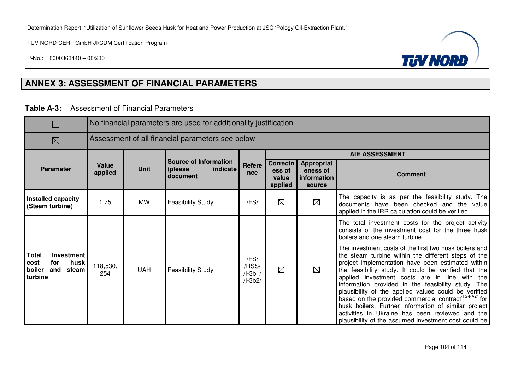TÜV NORD CERT GmbH JI/CDM Certification Program

P-No.: 8000363440 – 08/230



## **ANNEX 3: ASSESSMENT OF FINANCIAL PARAMETERS**

**Table A-3:** Assessment of Financial Parameters

|                                                                                        |                                                  | No financial parameters are used for additionality justification |                                                                  |                                         |                                        |                                                        |                                                                                                                                                                                                                                                                                                                                                                                                                                                                                                                                                                                                                                   |  |  |  |  |  |
|----------------------------------------------------------------------------------------|--------------------------------------------------|------------------------------------------------------------------|------------------------------------------------------------------|-----------------------------------------|----------------------------------------|--------------------------------------------------------|-----------------------------------------------------------------------------------------------------------------------------------------------------------------------------------------------------------------------------------------------------------------------------------------------------------------------------------------------------------------------------------------------------------------------------------------------------------------------------------------------------------------------------------------------------------------------------------------------------------------------------------|--|--|--|--|--|
| $\boxtimes$                                                                            | Assessment of all financial parameters see below |                                                                  |                                                                  |                                         |                                        |                                                        |                                                                                                                                                                                                                                                                                                                                                                                                                                                                                                                                                                                                                                   |  |  |  |  |  |
|                                                                                        |                                                  |                                                                  |                                                                  |                                         |                                        |                                                        | <b>AIE ASSESSMENT</b>                                                                                                                                                                                                                                                                                                                                                                                                                                                                                                                                                                                                             |  |  |  |  |  |
| <b>Parameter</b>                                                                       | Value<br>applied                                 | <b>Unit</b>                                                      | <b>Source of Information</b><br>indicate<br>(please)<br>document | Refere<br>nce                           | Correctn<br>ess of<br>value<br>applied | <b>Appropriat</b><br>eness of<br>information<br>source | <b>Comment</b>                                                                                                                                                                                                                                                                                                                                                                                                                                                                                                                                                                                                                    |  |  |  |  |  |
| Installed capacity<br>(Steam turbine)                                                  | 1.75                                             | <b>MW</b>                                                        | <b>Feasibility Study</b>                                         | /FS/                                    | $\boxtimes$                            | $\boxtimes$                                            | The capacity is as per the feasibility study. The<br>documents have been checked and the value<br>applied in the IRR calculation could be verified.                                                                                                                                                                                                                                                                                                                                                                                                                                                                               |  |  |  |  |  |
|                                                                                        |                                                  |                                                                  |                                                                  |                                         |                                        |                                                        | The total investment costs for the project activity<br>consists of the investment cost for the three husk<br>boilers and one steam turbine.                                                                                                                                                                                                                                                                                                                                                                                                                                                                                       |  |  |  |  |  |
| <b>Total</b><br>Investment<br>husk<br>cost<br>for<br>boiler<br>and<br>steam<br>turbine | 118,530,<br>254                                  | <b>UAH</b>                                                       | <b>Feasibility Study</b>                                         | /FS/<br>/RSS/<br>$/l-3b1/$<br>$/I-3b2/$ | $\boxtimes$                            | $\boxtimes$                                            | The investment costs of the first two husk boilers and<br>the steam turbine within the different steps of the<br>project implementation have been estimated within<br>the feasibility study. It could be verified that the<br>applied investment costs are in line with the<br>information provided in the feasibility study. The<br>plausibility of the applied values could be verified<br>based on the provided commercial contract <sup>(TS-PA2/</sup> for<br>husk boilers. Further information of similar project<br>activities in Ukraine has been reviewed and the<br>plausibility of the assumed investment cost could be |  |  |  |  |  |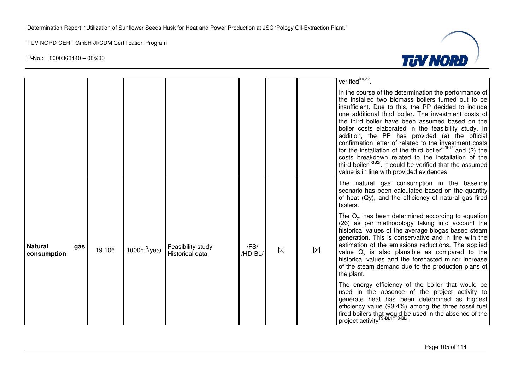

|                                      |        |                 |                                             |                 |             |             | verified <sup>/RSS/</sup> .<br>In the course of the determination the performance of<br>the installed two biomass boilers turned out to be<br>insufficient. Due to this, the PP decided to include<br>one additional third boiler. The investment costs of<br>the third boiler have been assumed based on the<br>boiler costs elaborated in the feasibility study. In<br>addition, the PP has provided (a) the official<br>confirmation letter of related to the investment costs<br>for the installation of the third boiler $1.361/$ and (2) the<br>costs breakdown related to the installation of the<br>third boiler <sup>/1-3B2/</sup> . It could be verified that the assumed<br>value is in line with provided evidences. |
|--------------------------------------|--------|-----------------|---------------------------------------------|-----------------|-------------|-------------|----------------------------------------------------------------------------------------------------------------------------------------------------------------------------------------------------------------------------------------------------------------------------------------------------------------------------------------------------------------------------------------------------------------------------------------------------------------------------------------------------------------------------------------------------------------------------------------------------------------------------------------------------------------------------------------------------------------------------------|
|                                      |        |                 |                                             |                 |             |             | The natural gas consumption in the baseline<br>scenario has been calculated based on the quantity<br>of heat (Qy), and the efficiency of natural gas fired<br>boilers.                                                                                                                                                                                                                                                                                                                                                                                                                                                                                                                                                           |
| <b>Natural</b><br>gas<br>consumption | 19,106 | $1000m^3$ /year | Feasibility study<br><b>Historical data</b> | /FS/<br>/HD-BL/ | $\boxtimes$ | $\boxtimes$ | The $Q_v$ , has been determined according to equation<br>(26) as per methodology taking into account the<br>historical values of the average biogas based steam<br>generation. This is conservative and in line with the<br>estimation of the emissions reductions. The applied<br>value $Q_v$ is also plausible as compared to the<br>historical values and the forecasted minor increase<br>of the steam demand due to the production plans of<br>the plant.                                                                                                                                                                                                                                                                   |
|                                      |        |                 |                                             |                 |             |             | The energy efficiency of the boiler that would be<br>used in the absence of the project activity to<br>generate heat has been determined as highest<br>efficiency value (93.4%) among the three fossil fuel<br>fired boilers that would be used in the absence of the<br>project activity <sup>TS-BL1//TS-BL/.</sup>                                                                                                                                                                                                                                                                                                                                                                                                             |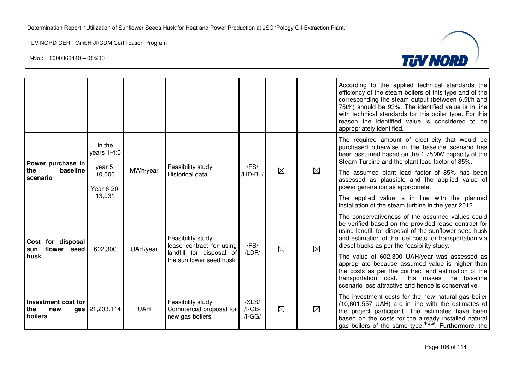

|                                                 |                                 |            |                                                                 |                               |             |             | According to the applied technical standards the<br>efficiency of the steam boilers of this type and of the<br>corresponding the steam output (between 6.5t/h and<br>75t/h) should be 93%. The identified value is in line<br>with technical standards for this boiler type. For this<br>reason the identified value is considered to be<br>appropriately identified. |
|-------------------------------------------------|---------------------------------|------------|-----------------------------------------------------------------|-------------------------------|-------------|-------------|-----------------------------------------------------------------------------------------------------------------------------------------------------------------------------------------------------------------------------------------------------------------------------------------------------------------------------------------------------------------------|
| Power purchase in                               | In the<br>years 1-4:0           |            | Feasibility study                                               | /FS/                          |             |             | The required amount of electricity that would be<br>purchased otherwise in the baseline scenario has<br>been assumed based on the 1.75MW capacity of the<br>Steam Turbine and the plant load factor of 85%.                                                                                                                                                           |
| the<br>baseline<br>scenario                     | year 5:<br>10,000<br>Year 6-20: | MWh/year   | <b>Historical data</b>                                          | /HD-BL/                       | $\boxtimes$ | $\boxtimes$ | The assumed plant load factor of 85% has been<br>assessed as plausible and the applied value of<br>power generation as appropriate.                                                                                                                                                                                                                                   |
|                                                 | 13,031                          |            |                                                                 |                               |             |             | The applied value is in line with the planned<br>installation of the steam turbine in the year 2012.                                                                                                                                                                                                                                                                  |
| Cost for disposal<br>flower seed<br>sun<br>husk | 602,300                         | UAH/year   | Feasibility study<br>lease contract for using                   | /FS/                          | $\boxtimes$ | $\boxtimes$ | The conservativeness of the assumed values could<br>be verified based on the provided lease contract for<br>using landfill for disposal of the sunflower seed husk<br>and estimation of the fuel costs for transportation via<br>diesel trucks as per the feasibility study.                                                                                          |
|                                                 |                                 |            | landfill for disposal of<br>the sunflower seed husk             | /LDF/                         |             |             | The value of 602,300 UAH/year was assessed as<br>appropriate because assumed value is higher than<br>the costs as per the contract and estimation of the<br>transportation cost. This makes the baseline<br>scenario less attractive and hence is conservative.                                                                                                       |
| Investment cost for<br>the<br>new<br>boilers    | gas 21,203,114                  | <b>UAH</b> | Feasibility study<br>Commercial proposal for<br>new gas boilers | /XLS/<br>$/I-GB/$<br>$/I-GG/$ | $\boxtimes$ | $\boxtimes$ | The investment costs for the new natural gas boiler<br>(10,601,557 UAH) are in line with the estimates of<br>the project participant. The estimates have been<br>based on the costs for the already installed natural<br>gas boilers of the same type. <sup>/I-GG/</sup> . Furthermore, the                                                                           |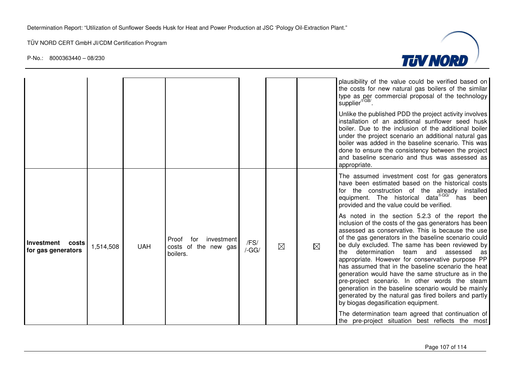

|                                           |           |            |                                                                |                     |             |   | plausibility of the value could be verified based on<br>the costs for new natural gas boilers of the similar<br>type as per commercial proposal of the technology<br>supplier <sup>/I-GB/</sup> .<br>Unlike the published PDD the project activity involves<br>installation of an additional sunflower seed husk<br>boiler. Due to the inclusion of the additional boiler<br>under the project scenario an additional natural gas<br>boiler was added in the baseline scenario. This was<br>done to ensure the consistency between the project<br>and baseline scenario and thus was assessed as<br>appropriate.                                                                                                                                                                                                                                                                                                                                              |
|-------------------------------------------|-----------|------------|----------------------------------------------------------------|---------------------|-------------|---|---------------------------------------------------------------------------------------------------------------------------------------------------------------------------------------------------------------------------------------------------------------------------------------------------------------------------------------------------------------------------------------------------------------------------------------------------------------------------------------------------------------------------------------------------------------------------------------------------------------------------------------------------------------------------------------------------------------------------------------------------------------------------------------------------------------------------------------------------------------------------------------------------------------------------------------------------------------|
| Investment<br>costs<br>for gas generators | 1,514,508 | <b>UAH</b> | for<br>investment<br>Proof<br>costs of the new gas<br>boilers. | /FS/<br>$/$ -GG $/$ | $\boxtimes$ | ⊠ | The assumed investment cost for gas generators<br>have been estimated based on the historical costs<br>for the construction of the already installed<br>equipment. The historical data <sup>/I-GG/</sup> has been<br>provided and the value could be verified.<br>As noted in the section 5.2.3 of the report the<br>inclusion of the costs of the gas generators has been<br>assessed as conservative. This is because the use<br>of the gas generators in the baseline scenario could<br>be duly excluded. The same has been reviewed by<br>the determination team and assessed as<br>appropriate. However for conservative purpose PP<br>has assumed that in the baseline scenario the heat<br>generation would have the same structure as in the<br>pre-project scenario. In other words the steam<br>generation in the baseline scenario would be mainly<br>generated by the natural gas fired boilers and partly<br>by biogas degasification equipment. |
|                                           |           |            |                                                                |                     |             |   | The determination team agreed that continuation of<br>the pre-project situation best reflects the most                                                                                                                                                                                                                                                                                                                                                                                                                                                                                                                                                                                                                                                                                                                                                                                                                                                        |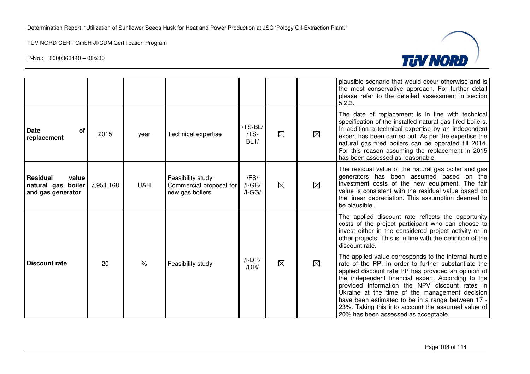

|                                                                     |           |            |                                                                 |                              |             |             | plausible scenario that would occur otherwise and is<br>the most conservative approach. For further detail<br>please refer to the detailed assessment in section<br>5.2.3.                                                                                                                                                                                                                                                                                                       |
|---------------------------------------------------------------------|-----------|------------|-----------------------------------------------------------------|------------------------------|-------------|-------------|----------------------------------------------------------------------------------------------------------------------------------------------------------------------------------------------------------------------------------------------------------------------------------------------------------------------------------------------------------------------------------------------------------------------------------------------------------------------------------|
| <b>Date</b><br>оf<br>replacement                                    | 2015      | year       | Technical expertise                                             | /TS-BL/<br>/TS-<br>BL1/      | $\boxtimes$ | $\boxtimes$ | The date of replacement is in line with technical<br>specification of the installed natural gas fired boilers.<br>In addition a technical expertise by an independent<br>expert has been carried out. As per the expertise the<br>natural gas fired boilers can be operated till 2014.<br>For this reason assuming the replacement in 2015<br>has been assessed as reasonable.                                                                                                   |
| <b>Residual</b><br>value<br>natural gas boiler<br>and gas generator | 7,951,168 | <b>UAH</b> | Feasibility study<br>Commercial proposal for<br>new gas boilers | /FS/<br>$/I-GB/$<br>$/I-GG/$ | $\boxtimes$ | ⊠           | The residual value of the natural gas boiler and gas<br>generators has been assumed based on the<br>investment costs of the new equipment. The fair<br>value is consistent with the residual value based on<br>the linear depreciation. This assumption deemed to<br>be plausible.                                                                                                                                                                                               |
|                                                                     |           |            |                                                                 |                              |             |             | The applied discount rate reflects the opportunity<br>costs of the project participant who can choose to<br>invest either in the considered project activity or in<br>other projects. This is in line with the definition of the<br>discount rate.                                                                                                                                                                                                                               |
| Discount rate                                                       | 20        | $\%$       | Feasibility study                                               | $/I-DR/$<br>/DR/             | $\boxtimes$ | ⊠           | The applied value corresponds to the internal hurdle<br>rate of the PP. In order to further substantiate the<br>applied discount rate PP has provided an opinion of<br>the independent financial expert. According to the<br>provided information the NPV discount rates in<br>Ukraine at the time of the management decision<br>have been estimated to be in a range between 17 -<br>23%. Taking this into account the assumed value of<br>20% has been assessed as acceptable. |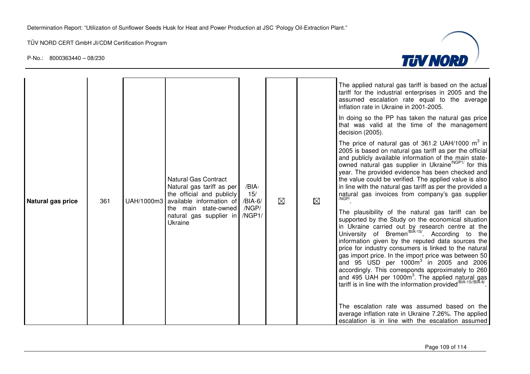$\overline{a}$ 



| Natural gas price | 361 | <b>Natural Gas Contract</b><br>Natural gas tariff as per<br>the official and publicly<br>UAH/1000m3 available information of<br>the main state-owned<br>natural gas supplier in MGP1/<br>Ukraine | /BIA-<br>15/<br>/BIA-6<br>/NGP/ | ⊠ | ⊠ | The applied natural gas tariff is based on the actual<br>tariff for the industrial enterprises in 2005 and the<br>assumed escalation rate equal to the average<br>inflation rate in Ukraine in 2001-2005.<br>In doing so the PP has taken the natural gas price<br>that was valid at the time of the management<br>decision (2005).<br>The price of natural gas of 361.2 UAH/1000 $m^3$ in<br>2005 is based on natural gas tariff as per the official<br>and publicly available information of the main state-<br>owned natural gas supplier in Ukraine <sup>/NGP1/</sup> for this<br>year. The provided evidence has been checked and<br>the value could be verified. The applied value is also<br>in line with the natural gas tariff as per the provided a<br>natural gas invoices from company's gas supplier<br>/NGP/<br>The plausibility of the natural gas tariff can be<br>supported by the Study on the economical situation<br>in Ukraine carried out by research centre at the<br>University of Bremen <sup>/BIA-15/</sup> . According to the<br>information given by the reputed data sources the<br>price for industry consumers is linked to the natural<br>gas import price. In the import price was between 50<br>and 95 USD per $1000m^3$ in 2005 and 2006<br>accordingly. This corresponds approximately to 260<br>and 495 UAH per 1000m <sup>3</sup> . The applied natural gas<br>tariff is in line with the information provided <sup>/BIA-15//BIA-6/</sup><br>The escalation rate was assumed based on the |
|-------------------|-----|--------------------------------------------------------------------------------------------------------------------------------------------------------------------------------------------------|---------------------------------|---|---|---------------------------------------------------------------------------------------------------------------------------------------------------------------------------------------------------------------------------------------------------------------------------------------------------------------------------------------------------------------------------------------------------------------------------------------------------------------------------------------------------------------------------------------------------------------------------------------------------------------------------------------------------------------------------------------------------------------------------------------------------------------------------------------------------------------------------------------------------------------------------------------------------------------------------------------------------------------------------------------------------------------------------------------------------------------------------------------------------------------------------------------------------------------------------------------------------------------------------------------------------------------------------------------------------------------------------------------------------------------------------------------------------------------------------------------------------------------------------------------------------------------------------------|
|                   |     |                                                                                                                                                                                                  |                                 |   |   | average inflation rate in Ukraine 7.26%. The applied<br>escalation is in line with the escalation assumed                                                                                                                                                                                                                                                                                                                                                                                                                                                                                                                                                                                                                                                                                                                                                                                                                                                                                                                                                                                                                                                                                                                                                                                                                                                                                                                                                                                                                       |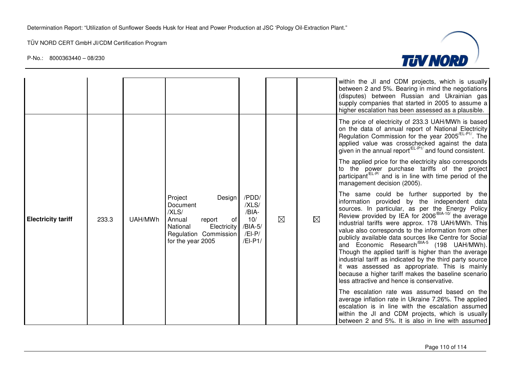

|                           |       |         |                                                                                                                                                    |                                                                    |             |             | within the JI and CDM projects, which is usually<br>between 2 and 5%. Bearing in mind the negotiations<br>(disputes) between Russian and Ukrainian gas<br>supply companies that started in 2005 to assume a<br>higher escalation has been assessed as a plausible.                                                                                                                                                                                                                                                                                                                                                                                                                                                         |
|---------------------------|-------|---------|----------------------------------------------------------------------------------------------------------------------------------------------------|--------------------------------------------------------------------|-------------|-------------|----------------------------------------------------------------------------------------------------------------------------------------------------------------------------------------------------------------------------------------------------------------------------------------------------------------------------------------------------------------------------------------------------------------------------------------------------------------------------------------------------------------------------------------------------------------------------------------------------------------------------------------------------------------------------------------------------------------------------|
|                           |       |         |                                                                                                                                                    |                                                                    |             |             | The price of electricity of 233.3 UAH/MWh is based<br>on the data of annual report of National Electricity<br>Regulation Commission for the year 2005 <sup>/EL-P1/</sup> . The<br>applied value was crosschecked against the data<br>given in the annual report $EEL-P1/$ and found consistent.                                                                                                                                                                                                                                                                                                                                                                                                                            |
| <b>Electricity tariff</b> |       | UAH/MWh | Project<br>Design  <br>Document<br>/XLS/<br>Annual<br>report<br>of<br>National<br><b>Electricity</b><br>Regulation Commission<br>for the year 2005 | /PDD/<br>/XLS/<br>/BIA-<br>10/<br>/BIA-5/<br>$/El-P/$<br>$/El-P1/$ | $\boxtimes$ | $\boxtimes$ | The applied price for the electricity also corresponds<br>to the power purchase tariffs of the project<br>participant <sup>/EL-P/</sup> and is in line with time period of the<br>management decision (2005).                                                                                                                                                                                                                                                                                                                                                                                                                                                                                                              |
|                           | 233.3 |         |                                                                                                                                                    |                                                                    |             |             | The same could be further supported by the<br>information provided by the independent data<br>sources. In particular, as per the Energy Policy Review provided by IEA for 2006 <sup>/BIA-10/</sup> the average<br>industrial tariffs were approx. 178 UAH/MWh. This<br>value also corresponds to the information from other<br>publicly available data sources like Centre for Social<br>and Economic Research <sup>/BIA-5</sup> (198 UAH/MWh).<br>Though the applied tariff is higher than the average<br>industrial tariff as indicated by the third party source<br>it was assessed as appropriate. This is mainly<br>because a higher tariff makes the baseline scenario<br>less attractive and hence is conservative. |
|                           |       |         |                                                                                                                                                    |                                                                    |             |             | The escalation rate was assumed based on the<br>average inflation rate in Ukraine 7.26%. The applied<br>escalation is in line with the escalation assumed<br>within the JI and CDM projects, which is usually<br>between 2 and 5%. It is also in line with assumed                                                                                                                                                                                                                                                                                                                                                                                                                                                         |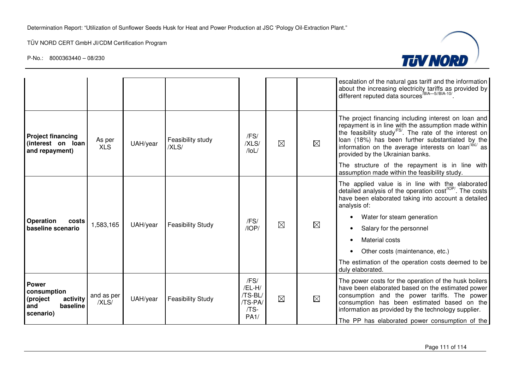

|                                                                                     |                      |          |                            |                                                      |             |             | escalation of the natural gas tariff and the information<br>about the increasing electricity tariffs as provided by different reputed data sources <sup>/BIA-5//BIA-10/</sup> .                                                                                                                                                                                                                                           |
|-------------------------------------------------------------------------------------|----------------------|----------|----------------------------|------------------------------------------------------|-------------|-------------|---------------------------------------------------------------------------------------------------------------------------------------------------------------------------------------------------------------------------------------------------------------------------------------------------------------------------------------------------------------------------------------------------------------------------|
| <b>Project financing</b><br>(interest on loan<br>and repayment)                     | As per<br><b>XLS</b> | UAH/year | Feasibility study<br>/XLS/ | /FS/<br>/XLS/<br>$/$ loL $/$                         | $\boxtimes$ | $\boxtimes$ | The project financing including interest on loan and<br>repayment is in line with the assumption made within<br>the feasibility study <sup>FS</sup> . The rate of the interest on<br>loan (18%) has been further substantiated by the<br>information on the average interests on loan <sup>/bL/</sup> as<br>provided by the Ukrainian banks.                                                                              |
|                                                                                     |                      |          |                            |                                                      |             |             | The structure of the repayment is in line with<br>assumption made within the feasibility study.                                                                                                                                                                                                                                                                                                                           |
| Operation<br>costs<br>baseline scenario                                             | 1,583,165            | UAH/year | <b>Feasibility Study</b>   | /FS/<br>IOP/                                         | $\boxtimes$ | ⊠           | The applied value is in line with the elaborated<br>detailed analysis of the operation cost <sup>/IOP/</sup> . The costs<br>have been elaborated taking into account a detailed<br>analysis of:<br>Water for steam generation<br>$\bullet$<br>Salary for the personnel<br><b>Material costs</b><br>Other costs (maintenance, etc.)<br>$\bullet$<br>The estimation of the operation costs deemed to be<br>duly elaborated. |
| <b>Power</b><br>consumption<br>activity<br>(project<br>baseline<br>and<br>scenario) | and as per<br>/XLS/  | UAH/year | <b>Feasibility Study</b>   | /FS/<br>/EL-H/<br>/TS-BL/<br>/TS-PA/<br>/TS-<br>PA1/ | $\boxtimes$ | $\boxtimes$ | The power costs for the operation of the husk boilers<br>have been elaborated based on the estimated power<br>consumption and the power tariffs. The power<br>consumption has been estimated based on the<br>information as provided by the technology supplier.<br>The PP has elaborated power consumption of the                                                                                                        |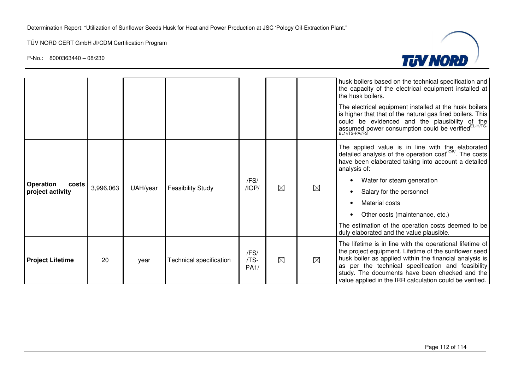

|                           |           |          |                          |                      |             |             | husk boilers based on the technical specification and<br>the capacity of the electrical equipment installed at<br>the husk boilers.                                                                                                                                                                                                             |
|---------------------------|-----------|----------|--------------------------|----------------------|-------------|-------------|-------------------------------------------------------------------------------------------------------------------------------------------------------------------------------------------------------------------------------------------------------------------------------------------------------------------------------------------------|
|                           |           |          |                          |                      |             |             | The electrical equipment installed at the husk boilers<br>is higher that that of the natural gas fired boilers. This<br>could be evidenced and the plausibility of the<br>assumed power consumption could be verified <sup>EL-H/TS-</sup><br>BL1/TS-PA//FS                                                                                      |
|                           |           |          |                          |                      |             |             | The applied value is in line with the elaborated<br>detailed analysis of the operation cost <sup>/IOP/</sup> . The costs<br>have been elaborated taking into account a detailed<br>analysis of:                                                                                                                                                 |
| <b>Operation</b><br>costs | 3,996,063 | UAH/year | <b>Feasibility Study</b> | /FS/<br>/IOP/        | $\boxtimes$ | $\boxtimes$ | Water for steam generation                                                                                                                                                                                                                                                                                                                      |
| project activity          |           |          |                          |                      |             |             | Salary for the personnel                                                                                                                                                                                                                                                                                                                        |
|                           |           |          |                          |                      |             |             | Material costs                                                                                                                                                                                                                                                                                                                                  |
|                           |           |          |                          |                      |             |             | Other costs (maintenance, etc.)                                                                                                                                                                                                                                                                                                                 |
|                           |           |          |                          |                      |             |             | The estimation of the operation costs deemed to be<br>duly elaborated and the value plausible.                                                                                                                                                                                                                                                  |
| <b>Project Lifetime</b>   | 20        | year     | Technical specification  | /FS/<br>/TS-<br>PA1/ | $\boxtimes$ | $\boxtimes$ | The lifetime is in line with the operational lifetime of<br>the project equipment. Lifetime of the sunflower seed<br>husk boiler as applied within the financial analysis is<br>as per the technical specification and feasibility<br>study. The documents have been checked and the<br>value applied in the IRR calculation could be verified. |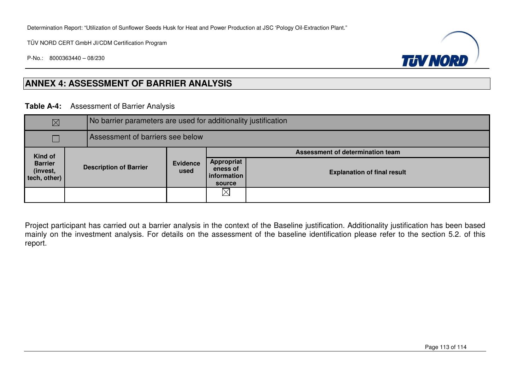Determination Report: "Utilization of Sunflower Seeds Husk for Heat and Power Production at JSC 'Pology Oil-Extraction Plant."

TÜV NORD CERT GmbH JI/CDM Certification Program

P-No.: 8000363440 – 08/230



## **ANNEX 4: ASSESSMENT OF BARRIER ANALYSIS**

## **Table A-4:** Assessment of Barrier Analysis

| $\boxtimes$                                |                               |                                  |                         | No barrier parameters are used for additionality justification |                                    |  |  |  |  |
|--------------------------------------------|-------------------------------|----------------------------------|-------------------------|----------------------------------------------------------------|------------------------------------|--|--|--|--|
|                                            |                               | Assessment of barriers see below |                         |                                                                |                                    |  |  |  |  |
| <b>Kind of</b>                             |                               |                                  |                         | Assessment of determination team                               |                                    |  |  |  |  |
| <b>Barrier</b><br>(invest,<br>tech, other) | <b>Description of Barrier</b> |                                  | <b>Evidence</b><br>used | Appropriat<br>eness of<br>information<br>source                | <b>Explanation of final result</b> |  |  |  |  |
|                                            |                               |                                  | $\boxtimes$             |                                                                |                                    |  |  |  |  |

Project participant has carried out a barrier analysis in the context of the Baseline justification. Additionality justification has been based mainly on the investment analysis. For details on the assessment of the baseline identification please refer to the section 5.2. of this report.